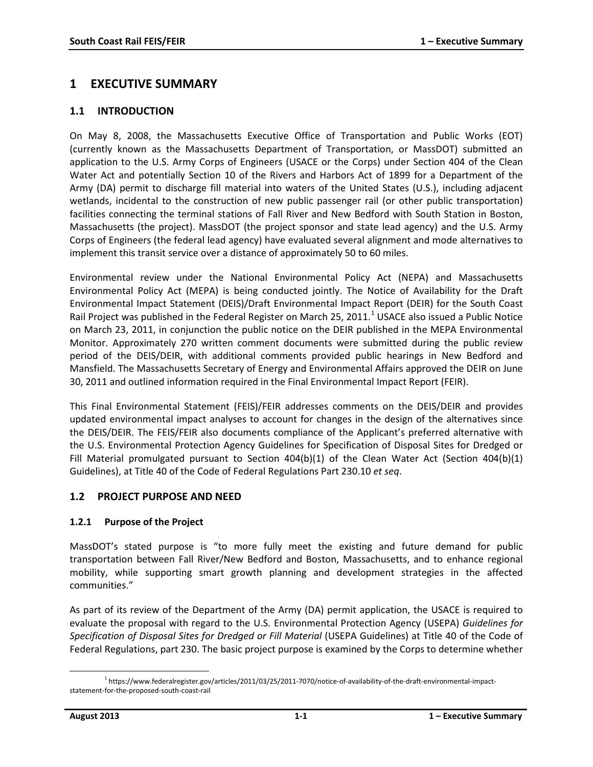# **1 EXECUTIVE SUMMARY**

## **1.1 INTRODUCTION**

On May 8, 2008, the Massachusetts Executive Office of Transportation and Public Works (EOT) (currently known as the Massachusetts Department of Transportation, or MassDOT) submitted an application to the U.S. Army Corps of Engineers (USACE or the Corps) under Section 404 of the Clean Water Act and potentially Section 10 of the Rivers and Harbors Act of 1899 for a Department of the Army (DA) permit to discharge fill material into waters of the United States (U.S.), including adjacent wetlands, incidental to the construction of new public passenger rail (or other public transportation) facilities connecting the terminal stations of Fall River and New Bedford with South Station in Boston, Massachusetts (the project). MassDOT (the project sponsor and state lead agency) and the U.S. Army Corps of Engineers (the federal lead agency) have evaluated several alignment and mode alternatives to implement this transit service over a distance of approximately 50 to 60 miles.

Environmental review under the National Environmental Policy Act (NEPA) and Massachusetts Environmental Policy Act (MEPA) is being conducted jointly. The Notice of Availability for the Draft Environmental Impact Statement (DEIS)/Draft Environmental Impact Report (DEIR) for the South Coast Rail Project was published in the Federal Register on March 25, 20[1](#page-0-0)1.<sup>1</sup> USACE also issued a Public Notice on March 23, 2011, in conjunction the public notice on the DEIR published in the MEPA Environmental Monitor. Approximately 270 written comment documents were submitted during the public review period of the DEIS/DEIR, with additional comments provided public hearings in New Bedford and Mansfield. The Massachusetts Secretary of Energy and Environmental Affairs approved the DEIR on June 30, 2011 and outlined information required in the Final Environmental Impact Report (FEIR).

This Final Environmental Statement (FEIS)/FEIR addresses comments on the DEIS/DEIR and provides updated environmental impact analyses to account for changes in the design of the alternatives since the DEIS/DEIR. The FEIS/FEIR also documents compliance of the Applicant's preferred alternative with the U.S. Environmental Protection Agency Guidelines for Specification of Disposal Sites for Dredged or Fill Material promulgated pursuant to Section 404(b)(1) of the Clean Water Act (Section 404(b)(1) Guidelines), at Title 40 of the Code of Federal Regulations Part 230.10 *et seq*.

### **1.2 PROJECT PURPOSE AND NEED**

### **1.2.1 Purpose of the Project**

MassDOT's stated purpose is "to more fully meet the existing and future demand for public transportation between Fall River/New Bedford and Boston, Massachusetts, and to enhance regional mobility, while supporting smart growth planning and development strategies in the affected communities."

As part of its review of the Department of the Army (DA) permit application, the USACE is required to evaluate the proposal with regard to the U.S. Environmental Protection Agency (USEPA) *Guidelines for*  Specification of Disposal Sites for Dredged or Fill Material (USEPA Guidelines) at Title 40 of the Code of Federal Regulations, part 230. The basic project purpose is examined by the Corps to determine whether

<span id="page-0-0"></span><sup>&</sup>lt;sup>1</sup> [https://www.federalregister.gov/articles/2011/03/25/2011-7070/notice-of-availability-of-the-draft-environmental-impact](https://www.federalregister.gov/articles/2011/03/25/2011-7070/notice-of-availability-of-the-draft-environmental-impact-statement-for-the-proposed-south-coast-rail)[statement-for-the-proposed-south-coast-rail](https://www.federalregister.gov/articles/2011/03/25/2011-7070/notice-of-availability-of-the-draft-environmental-impact-statement-for-the-proposed-south-coast-rail)  $\overline{\phantom{a}}$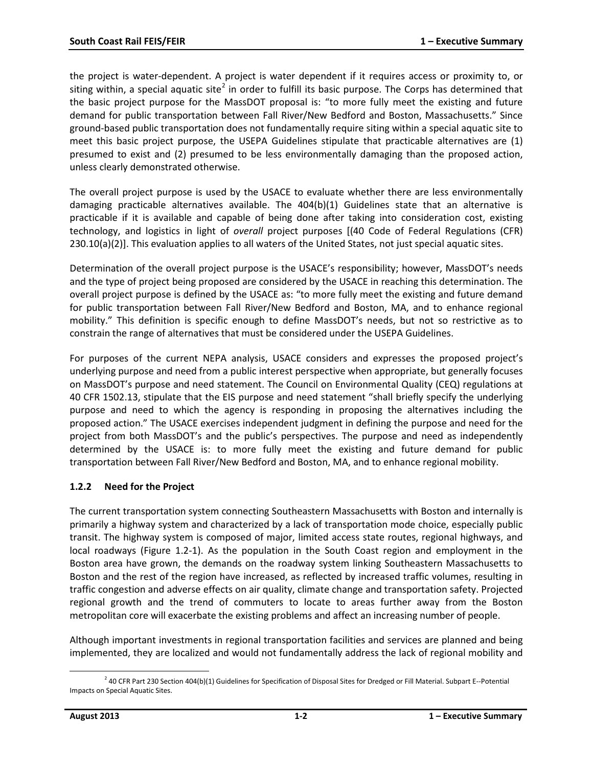the project is water-dependent. A project is water dependent if it requires access or proximity to, or siting within, a special aquatic site<sup>[2](#page-1-0)</sup> in order to fulfill its basic purpose. The Corps has determined that the basic project purpose for the MassDOT proposal is: "to more fully meet the existing and future demand for public transportation between Fall River/New Bedford and Boston, Massachusetts." Since ground-based public transportation does not fundamentally require siting within a special aquatic site to meet this basic project purpose, the USEPA Guidelines stipulate that practicable alternatives are (1) presumed to exist and (2) presumed to be less environmentally damaging than the proposed action, unless clearly demonstrated otherwise.

The overall project purpose is used by the USACE to evaluate whether there are less environmentally damaging practicable alternatives available. The 404(b)(1) Guidelines state that an alternative is practicable if it is available and capable of being done after taking into consideration cost, existing technology, and logistics in light of *overall* project purposes [(40 Code of Federal Regulations (CFR) 230.10(a)(2)]. This evaluation applies to all waters of the United States, not just special aquatic sites.

Determination of the overall project purpose is the USACE's responsibility; however, MassDOT's needs and the type of project being proposed are considered by the USACE in reaching this determination. The overall project purpose is defined by the USACE as: "to more fully meet the existing and future demand for public transportation between Fall River/New Bedford and Boston, MA, and to enhance regional mobility." This definition is specific enough to define MassDOT's needs, but not so restrictive as to constrain the range of alternatives that must be considered under the USEPA Guidelines.

For purposes of the current NEPA analysis, USACE considers and expresses the proposed project's underlying purpose and need from a public interest perspective when appropriate, but generally focuses on MassDOT's purpose and need statement. The Council on Environmental Quality (CEQ) regulations at 40 CFR 1502.13, stipulate that the EIS purpose and need statement "shall briefly specify the underlying purpose and need to which the agency is responding in proposing the alternatives including the proposed action." The USACE exercises independent judgment in defining the purpose and need for the project from both MassDOT's and the public's perspectives. The purpose and need as independently determined by the USACE is: to more fully meet the existing and future demand for public transportation between Fall River/New Bedford and Boston, MA, and to enhance regional mobility.

### **1.2.2 Need for the Project**

The current transportation system connecting Southeastern Massachusetts with Boston and internally is primarily a highway system and characterized by a lack of transportation mode choice, especially public transit. The highway system is composed of major, limited access state routes, regional highways, and local roadways (Figure 1.2-1). As the population in the South Coast region and employment in the Boston area have grown, the demands on the roadway system linking Southeastern Massachusetts to Boston and the rest of the region have increased, as reflected by increased traffic volumes, resulting in traffic congestion and adverse effects on air quality, climate change and transportation safety. Projected regional growth and the trend of commuters to locate to areas further away from the Boston metropolitan core will exacerbate the existing problems and affect an increasing number of people.

Although important investments in regional transportation facilities and services are planned and being implemented, they are localized and would not fundamentally address the lack of regional mobility and

<span id="page-1-0"></span> $^2$  40 CFR Part 230 Section 404(b)(1) Guidelines for Specification of Disposal Sites for Dredged or Fill Material. Subpart E--Potential Impacts on Special Aquatic Sites.  $\overline{\phantom{a}}$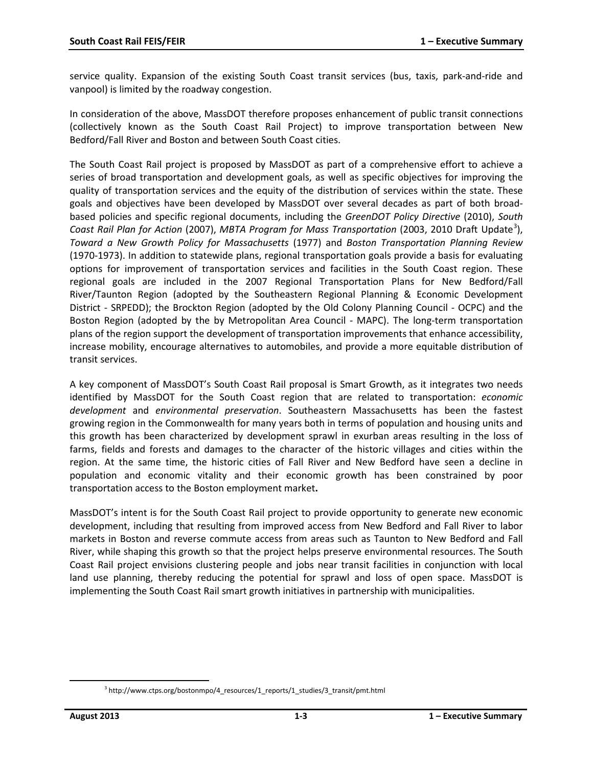service quality. Expansion of the existing South Coast transit services (bus, taxis, park-and-ride and vanpool) is limited by the roadway congestion.

In consideration of the above, MassDOT therefore proposes enhancement of public transit connections (collectively known as the South Coast Rail Project) to improve transportation between New Bedford/Fall River and Boston and between South Coast cities.

The South Coast Rail project is proposed by MassDOT as part of a comprehensive effort to achieve a series of broad transportation and development goals, as well as specific objectives for improving the quality of transportation services and the equity of the distribution of services within the state. These goals and objectives have been developed by MassDOT over several decades as part of both broadbased policies and specific regional documents, including the *GreenDOT Policy Directive* (2010), *South*  Coast Rail Plan for Action (2007), MBTA Program for Mass Transportation (200[3](#page-2-0), 2010 Draft Update<sup>3</sup>), *Toward a New Growth Policy for Massachusetts* (1977) and *Boston Transportation Planning Review* (1970-1973). In addition to statewide plans, regional transportation goals provide a basis for evaluating options for improvement of transportation services and facilities in the South Coast region. These regional goals are included in the 2007 Regional Transportation Plans for New Bedford/Fall River/Taunton Region (adopted by the Southeastern Regional Planning & Economic Development District - SRPEDD); the Brockton Region (adopted by the Old Colony Planning Council - OCPC) and the Boston Region (adopted by the by Metropolitan Area Council - MAPC). The long-term transportation plans of the region support the development of transportation improvements that enhance accessibility, increase mobility, encourage alternatives to automobiles, and provide a more equitable distribution of transit services.

A key component of MassDOT's South Coast Rail proposal is Smart Growth, as it integrates two needs identified by MassDOT for the South Coast region that are related to transportation: *economic development* and *environmental preservation*. Southeastern Massachusetts has been the fastest growing region in the Commonwealth for many years both in terms of population and housing units and this growth has been characterized by development sprawl in exurban areas resulting in the loss of farms, fields and forests and damages to the character of the historic villages and cities within the region. At the same time, the historic cities of Fall River and New Bedford have seen a decline in population and economic vitality and their economic growth has been constrained by poor transportation access to the Boston employment market**.** 

MassDOT's intent is for the South Coast Rail project to provide opportunity to generate new economic development, including that resulting from improved access from New Bedford and Fall River to labor markets in Boston and reverse commute access from areas such as Taunton to New Bedford and Fall River, while shaping this growth so that the project helps preserve environmental resources. The South Coast Rail project envisions clustering people and jobs near transit facilities in conjunction with local land use planning, thereby reducing the potential for sprawl and loss of open space. MassDOT is implementing the South Coast Rail smart growth initiatives in partnership with municipalities.

<span id="page-2-0"></span>l

 $3$  http://www.ctps.org/bostonmpo/4\_resources/1\_reports/1\_studies/3\_transit/pmt.html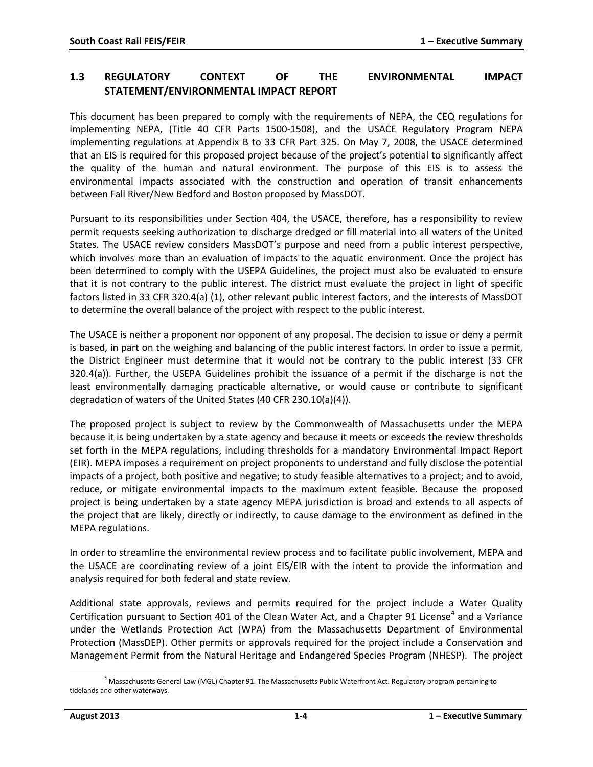## **1.3 REGULATORY CONTEXT OF THE ENVIRONMENTAL IMPACT STATEMENT/ENVIRONMENTAL IMPACT REPORT**

This document has been prepared to comply with the requirements of NEPA, the CEQ regulations for implementing NEPA, (Title 40 CFR Parts 1500-1508), and the USACE Regulatory Program NEPA implementing regulations at Appendix B to 33 CFR Part 325. On May 7, 2008, the USACE determined that an EIS is required for this proposed project because of the project's potential to significantly affect the quality of the human and natural environment. The purpose of this EIS is to assess the environmental impacts associated with the construction and operation of transit enhancements between Fall River/New Bedford and Boston proposed by MassDOT.

Pursuant to its responsibilities under Section 404, the USACE, therefore, has a responsibility to review permit requests seeking authorization to discharge dredged or fill material into all waters of the United States. The USACE review considers MassDOT's purpose and need from a public interest perspective, which involves more than an evaluation of impacts to the aquatic environment. Once the project has been determined to comply with the USEPA Guidelines, the project must also be evaluated to ensure that it is not contrary to the public interest. The district must evaluate the project in light of specific factors listed in 33 CFR 320.4(a) (1), other relevant public interest factors, and the interests of MassDOT to determine the overall balance of the project with respect to the public interest.

The USACE is neither a proponent nor opponent of any proposal. The decision to issue or deny a permit is based, in part on the weighing and balancing of the public interest factors. In order to issue a permit, the District Engineer must determine that it would not be contrary to the public interest (33 CFR 320.4(a)). Further, the USEPA Guidelines prohibit the issuance of a permit if the discharge is not the least environmentally damaging practicable alternative, or would cause or contribute to significant degradation of waters of the United States (40 CFR 230.10(a)(4)).

The proposed project is subject to review by the Commonwealth of Massachusetts under the MEPA because it is being undertaken by a state agency and because it meets or exceeds the review thresholds set forth in the MEPA regulations, including thresholds for a mandatory Environmental Impact Report (EIR). MEPA imposes a requirement on project proponents to understand and fully disclose the potential impacts of a project, both positive and negative; to study feasible alternatives to a project; and to avoid, reduce, or mitigate environmental impacts to the maximum extent feasible. Because the proposed project is being undertaken by a state agency MEPA jurisdiction is broad and extends to all aspects of the project that are likely, directly or indirectly, to cause damage to the environment as defined in the MEPA regulations.

In order to streamline the environmental review process and to facilitate public involvement, MEPA and the USACE are coordinating review of a joint EIS/EIR with the intent to provide the information and analysis required for both federal and state review.

Additional state approvals, reviews and permits required for the project include a Water Quality Certification pursuant to Section [4](#page-3-0)01 of the Clean Water Act, and a Chapter 91 License<sup>4</sup> and a Variance under the Wetlands Protection Act (WPA) from the Massachusetts Department of Environmental Protection (MassDEP). Other permits or approvals required for the project include a Conservation and Management Permit from the Natural Heritage and Endangered Species Program (NHESP). The project

<span id="page-3-0"></span> $^4$  Massachusetts General Law (MGL) Chapter 91. The Massachusetts Public Waterfront Act. Regulatory program pertaining to tidelands and other waterways.  $\overline{\phantom{a}}$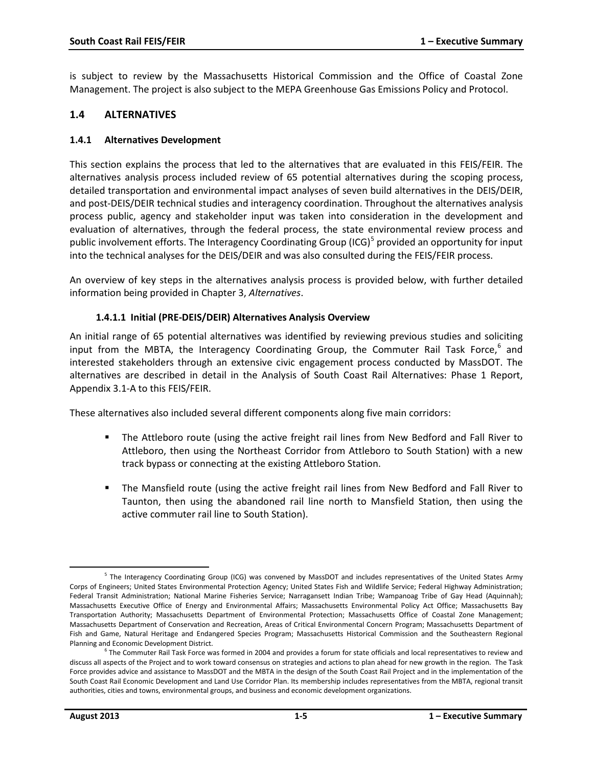is subject to review by the Massachusetts Historical Commission and the Office of Coastal Zone Management. The project is also subject to the MEPA Greenhouse Gas Emissions Policy and Protocol.

## **1.4 ALTERNATIVES**

#### **1.4.1 Alternatives Development**

This section explains the process that led to the alternatives that are evaluated in this FEIS/FEIR. The alternatives analysis process included review of 65 potential alternatives during the scoping process, detailed transportation and environmental impact analyses of seven build alternatives in the DEIS/DEIR, and post-DEIS/DEIR technical studies and interagency coordination. Throughout the alternatives analysis process public, agency and stakeholder input was taken into consideration in the development and evaluation of alternatives, through the federal process, the state environmental review process and public involvement efforts. The Interagency Coordinating Group (ICG) $5$  provided an opportunity for input into the technical analyses for the DEIS/DEIR and was also consulted during the FEIS/FEIR process.

An overview of key steps in the alternatives analysis process is provided below, with further detailed information being provided in Chapter 3, *Alternatives*.

#### **1.4.1.1 Initial (PRE-DEIS/DEIR) Alternatives Analysis Overview**

An initial range of 65 potential alternatives was identified by reviewing previous studies and soliciting input from the MBTA, the Interagency Coordinating Group, the Commuter Rail Task Force,<sup>[6](#page-4-1)</sup> and interested stakeholders through an extensive civic engagement process conducted by MassDOT. The alternatives are described in detail in the Analysis of South Coast Rail Alternatives: Phase 1 Report, Appendix 3.1-A to this FEIS/FEIR.

These alternatives also included several different components along five main corridors:

- The Attleboro route (using the active freight rail lines from New Bedford and Fall River to Attleboro, then using the Northeast Corridor from Attleboro to South Station) with a new track bypass or connecting at the existing Attleboro Station.
- The Mansfield route (using the active freight rail lines from New Bedford and Fall River to Taunton, then using the abandoned rail line north to Mansfield Station, then using the active commuter rail line to South Station).

<span id="page-4-0"></span><sup>5</sup> The Interagency Coordinating Group (ICG) was convened by MassDOT and includes representatives of the United States Army Corps of Engineers; United States Environmental Protection Agency; United States Fish and Wildlife Service; Federal Highway Administration; Federal Transit Administration; National Marine Fisheries Service; Narragansett Indian Tribe; Wampanoag Tribe of Gay Head (Aquinnah); Massachusetts Executive Office of Energy and Environmental Affairs; Massachusetts Environmental Policy Act Office; Massachusetts Bay Transportation Authority; Massachusetts Department of Environmental Protection; Massachusetts Office of Coastal Zone Management; Massachusetts Department of Conservation and Recreation, Areas of Critical Environmental Concern Program; Massachusetts Department of Fish and Game, Natural Heritage and Endangered Species Program; Massachusetts Historical Commission and the Southeastern Regional Planning and Economic Development District. l

<span id="page-4-1"></span> $6$  The Commuter Rail Task Force was formed in 2004 and provides a forum for state officials and local representatives to review and discuss all aspects of the Project and to work toward consensus on strategies and actions to plan ahead for new growth in the region. The Task Force provides advice and assistance to MassDOT and the MBTA in the design of the South Coast Rail Project and in the implementation of the South Coast Rail Economic Development and Land Use Corridor Plan. Its membership includes representatives from the MBTA, regional transit authorities, cities and towns, environmental groups, and business and economic development organizations.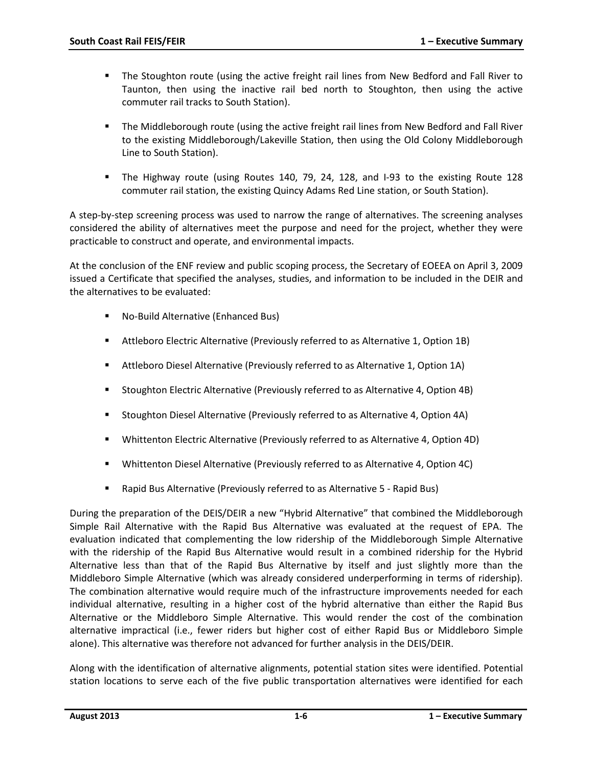- The Stoughton route (using the active freight rail lines from New Bedford and Fall River to Taunton, then using the inactive rail bed north to Stoughton, then using the active commuter rail tracks to South Station).
- **The Middleborough route (using the active freight rail lines from New Bedford and Fall River** to the existing Middleborough/Lakeville Station, then using the Old Colony Middleborough Line to South Station).
- The Highway route (using Routes 140, 79, 24, 128, and I-93 to the existing Route 128 commuter rail station, the existing Quincy Adams Red Line station, or South Station).

A step-by-step screening process was used to narrow the range of alternatives. The screening analyses considered the ability of alternatives meet the purpose and need for the project, whether they were practicable to construct and operate, and environmental impacts.

At the conclusion of the ENF review and public scoping process, the Secretary of EOEEA on April 3, 2009 issued a Certificate that specified the analyses, studies, and information to be included in the DEIR and the alternatives to be evaluated:

- No-Build Alternative (Enhanced Bus)
- Attleboro Electric Alternative (Previously referred to as Alternative 1, Option 1B)
- Attleboro Diesel Alternative (Previously referred to as Alternative 1, Option 1A)
- Stoughton Electric Alternative (Previously referred to as Alternative 4, Option 4B)
- **Stoughton Diesel Alternative (Previously referred to as Alternative 4, Option 4A)**
- Whittenton Electric Alternative (Previously referred to as Alternative 4, Option 4D)
- Whittenton Diesel Alternative (Previously referred to as Alternative 4, Option 4C)
- Rapid Bus Alternative (Previously referred to as Alternative 5 Rapid Bus)

During the preparation of the DEIS/DEIR a new "Hybrid Alternative" that combined the Middleborough Simple Rail Alternative with the Rapid Bus Alternative was evaluated at the request of EPA. The evaluation indicated that complementing the low ridership of the Middleborough Simple Alternative with the ridership of the Rapid Bus Alternative would result in a combined ridership for the Hybrid Alternative less than that of the Rapid Bus Alternative by itself and just slightly more than the Middleboro Simple Alternative (which was already considered underperforming in terms of ridership). The combination alternative would require much of the infrastructure improvements needed for each individual alternative, resulting in a higher cost of the hybrid alternative than either the Rapid Bus Alternative or the Middleboro Simple Alternative. This would render the cost of the combination alternative impractical (i.e., fewer riders but higher cost of either Rapid Bus or Middleboro Simple alone). This alternative was therefore not advanced for further analysis in the DEIS/DEIR.

Along with the identification of alternative alignments, potential station sites were identified. Potential station locations to serve each of the five public transportation alternatives were identified for each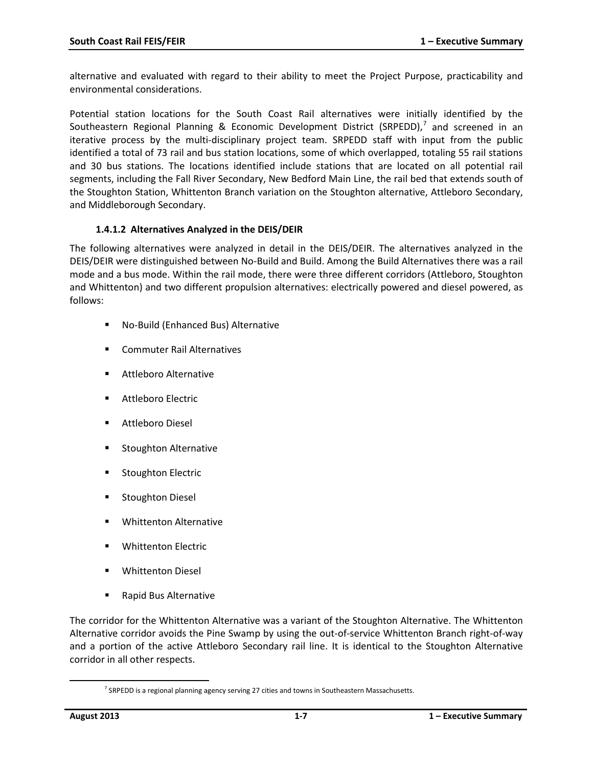alternative and evaluated with regard to their ability to meet the Project Purpose, practicability and environmental considerations.

Potential station locations for the South Coast Rail alternatives were initially identified by the Southeastern Regional Planning & Economic Development District (SRPEDD),<sup>[7](#page-6-0)</sup> and screened in an iterative process by the multi-disciplinary project team. SRPEDD staff with input from the public identified a total of 73 rail and bus station locations, some of which overlapped, totaling 55 rail stations and 30 bus stations. The locations identified include stations that are located on all potential rail segments, including the Fall River Secondary, New Bedford Main Line, the rail bed that extends south of the Stoughton Station, Whittenton Branch variation on the Stoughton alternative, Attleboro Secondary, and Middleborough Secondary.

#### **1.4.1.2 Alternatives Analyzed in the DEIS/DEIR**

The following alternatives were analyzed in detail in the DEIS/DEIR. The alternatives analyzed in the DEIS/DEIR were distinguished between No-Build and Build. Among the Build Alternatives there was a rail mode and a bus mode. Within the rail mode, there were three different corridors (Attleboro, Stoughton and Whittenton) and two different propulsion alternatives: electrically powered and diesel powered, as follows:

- No-Build (Enhanced Bus) Alternative
- **EXECOMMUTER Rail Alternatives**
- **Attleboro Alternative**
- Attleboro Electric
- Attleboro Diesel
- **Stoughton Alternative**
- **Stoughton Electric**
- **Stoughton Diesel**
- Whittenton Alternative
- Whittenton Electric
- Whittenton Diesel
- Rapid Bus Alternative

The corridor for the Whittenton Alternative was a variant of the Stoughton Alternative. The Whittenton Alternative corridor avoids the Pine Swamp by using the out-of-service Whittenton Branch right-of-way and a portion of the active Attleboro Secondary rail line. It is identical to the Stoughton Alternative corridor in all other respects.

<span id="page-6-0"></span>l

 $7$  SRPEDD is a regional planning agency serving 27 cities and towns in Southeastern Massachusetts.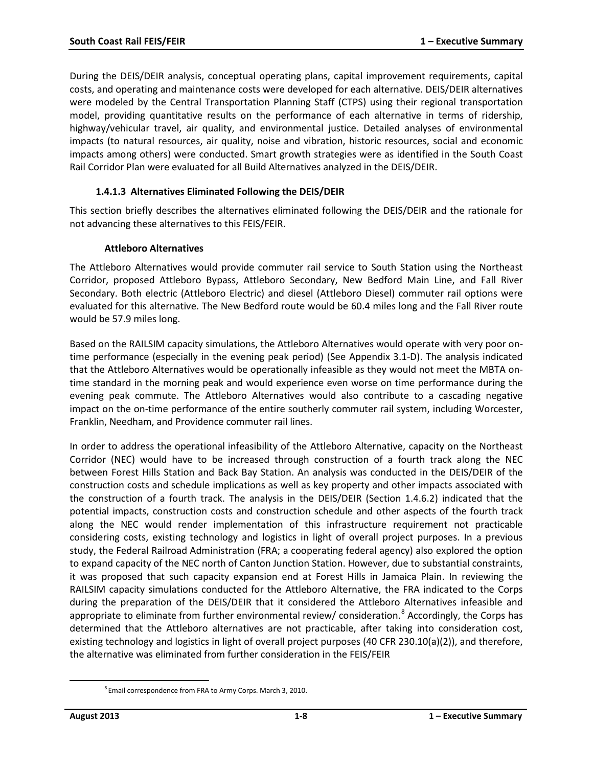During the DEIS/DEIR analysis, conceptual operating plans, capital improvement requirements, capital costs, and operating and maintenance costs were developed for each alternative. DEIS/DEIR alternatives were modeled by the Central Transportation Planning Staff (CTPS) using their regional transportation model, providing quantitative results on the performance of each alternative in terms of ridership, highway/vehicular travel, air quality, and environmental justice. Detailed analyses of environmental impacts (to natural resources, air quality, noise and vibration, historic resources, social and economic impacts among others) were conducted. Smart growth strategies were as identified in the South Coast Rail Corridor Plan were evaluated for all Build Alternatives analyzed in the DEIS/DEIR.

#### **1.4.1.3 Alternatives Eliminated Following the DEIS/DEIR**

This section briefly describes the alternatives eliminated following the DEIS/DEIR and the rationale for not advancing these alternatives to this FEIS/FEIR.

#### **Attleboro Alternatives**

The Attleboro Alternatives would provide commuter rail service to South Station using the Northeast Corridor, proposed Attleboro Bypass, Attleboro Secondary, New Bedford Main Line, and Fall River Secondary. Both electric (Attleboro Electric) and diesel (Attleboro Diesel) commuter rail options were evaluated for this alternative. The New Bedford route would be 60.4 miles long and the Fall River route would be 57.9 miles long.

Based on the RAILSIM capacity simulations, the Attleboro Alternatives would operate with very poor ontime performance (especially in the evening peak period) (See Appendix 3.1-D). The analysis indicated that the Attleboro Alternatives would be operationally infeasible as they would not meet the MBTA ontime standard in the morning peak and would experience even worse on time performance during the evening peak commute. The Attleboro Alternatives would also contribute to a cascading negative impact on the on-time performance of the entire southerly commuter rail system, including Worcester, Franklin, Needham, and Providence commuter rail lines.

In order to address the operational infeasibility of the Attleboro Alternative, capacity on the Northeast Corridor (NEC) would have to be increased through construction of a fourth track along the NEC between Forest Hills Station and Back Bay Station. An analysis was conducted in the DEIS/DEIR of the construction costs and schedule implications as well as key property and other impacts associated with the construction of a fourth track. The analysis in the DEIS/DEIR (Section 1.4.6.2) indicated that the potential impacts, construction costs and construction schedule and other aspects of the fourth track along the NEC would render implementation of this infrastructure requirement not practicable considering costs, existing technology and logistics in light of overall project purposes. In a previous study, the Federal Railroad Administration (FRA; a cooperating federal agency) also explored the option to expand capacity of the NEC north of Canton Junction Station. However, due to substantial constraints, it was proposed that such capacity expansion end at Forest Hills in Jamaica Plain. In reviewing the RAILSIM capacity simulations conducted for the Attleboro Alternative, the FRA indicated to the Corps during the preparation of the DEIS/DEIR that it considered the Attleboro Alternatives infeasible and appropriate to eliminate from further environmental review/ consideration.<sup>[8](#page-7-0)</sup> Accordingly, the Corps has determined that the Attleboro alternatives are not practicable, after taking into consideration cost, existing technology and logistics in light of overall project purposes (40 CFR 230.10(a)(2)), and therefore, the alternative was eliminated from further consideration in the FEIS/FEIR

<span id="page-7-0"></span>l

 $^8$ Email correspondence from FRA to Army Corps. March 3, 2010.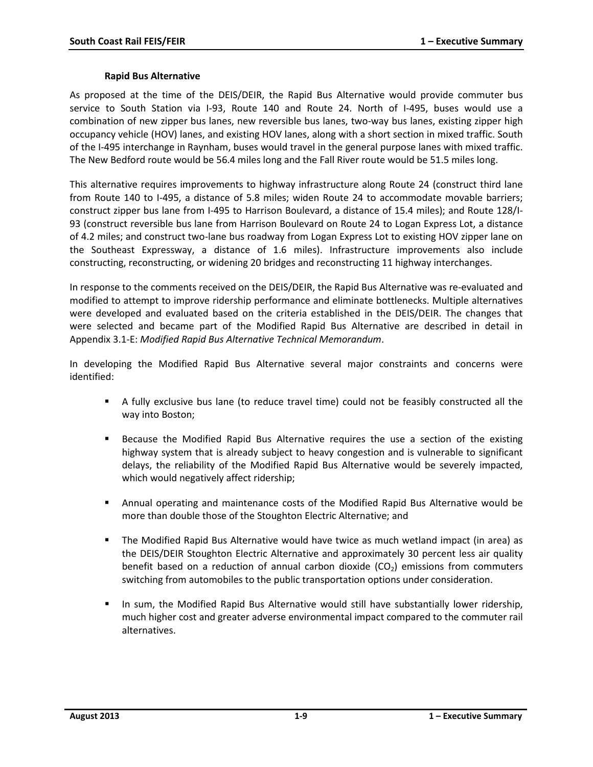#### **Rapid Bus Alternative**

As proposed at the time of the DEIS/DEIR, the Rapid Bus Alternative would provide commuter bus service to South Station via I-93, Route 140 and Route 24. North of I-495, buses would use a combination of new zipper bus lanes, new reversible bus lanes, two-way bus lanes, existing zipper high occupancy vehicle (HOV) lanes, and existing HOV lanes, along with a short section in mixed traffic. South of the I-495 interchange in Raynham, buses would travel in the general purpose lanes with mixed traffic. The New Bedford route would be 56.4 miles long and the Fall River route would be 51.5 miles long.

This alternative requires improvements to highway infrastructure along Route 24 (construct third lane from Route 140 to I-495, a distance of 5.8 miles; widen Route 24 to accommodate movable barriers; construct zipper bus lane from I-495 to Harrison Boulevard, a distance of 15.4 miles); and Route 128/I-93 (construct reversible bus lane from Harrison Boulevard on Route 24 to Logan Express Lot, a distance of 4.2 miles; and construct two-lane bus roadway from Logan Express Lot to existing HOV zipper lane on the Southeast Expressway, a distance of 1.6 miles). Infrastructure improvements also include constructing, reconstructing, or widening 20 bridges and reconstructing 11 highway interchanges.

In response to the comments received on the DEIS/DEIR, the Rapid Bus Alternative was re-evaluated and modified to attempt to improve ridership performance and eliminate bottlenecks. Multiple alternatives were developed and evaluated based on the criteria established in the DEIS/DEIR. The changes that were selected and became part of the Modified Rapid Bus Alternative are described in detail in Appendix 3.1-E: *Modified Rapid Bus Alternative Technical Memorandum*.

In developing the Modified Rapid Bus Alternative several major constraints and concerns were identified:

- A fully exclusive bus lane (to reduce travel time) could not be feasibly constructed all the way into Boston;
- Because the Modified Rapid Bus Alternative requires the use a section of the existing highway system that is already subject to heavy congestion and is vulnerable to significant delays, the reliability of the Modified Rapid Bus Alternative would be severely impacted, which would negatively affect ridership;
- Annual operating and maintenance costs of the Modified Rapid Bus Alternative would be more than double those of the Stoughton Electric Alternative; and
- The Modified Rapid Bus Alternative would have twice as much wetland impact (in area) as the DEIS/DEIR Stoughton Electric Alternative and approximately 30 percent less air quality benefit based on a reduction of annual carbon dioxide  $(CO<sub>2</sub>)$  emissions from commuters switching from automobiles to the public transportation options under consideration.
- In sum, the Modified Rapid Bus Alternative would still have substantially lower ridership, much higher cost and greater adverse environmental impact compared to the commuter rail alternatives.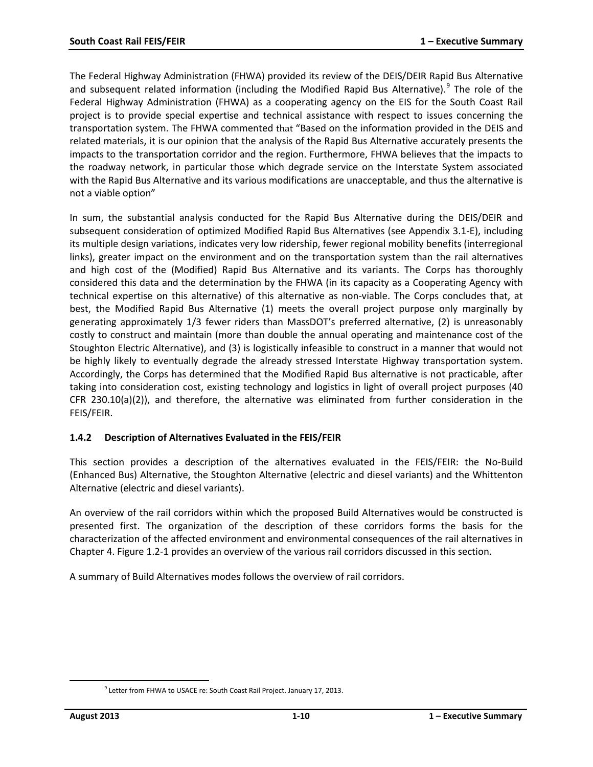The Federal Highway Administration (FHWA) provided its review of the DEIS/DEIR Rapid Bus Alternative and subsequent related information (including the Modified Rapid Bus Alternative).<sup>[9](#page-9-0)</sup> The role of the Federal Highway Administration (FHWA) as a cooperating agency on the EIS for the South Coast Rail project is to provide special expertise and technical assistance with respect to issues concerning the transportation system. The FHWA commented that "Based on the information provided in the DEIS and related materials, it is our opinion that the analysis of the Rapid Bus Alternative accurately presents the impacts to the transportation corridor and the region. Furthermore, FHWA believes that the impacts to the roadway network, in particular those which degrade service on the Interstate System associated with the Rapid Bus Alternative and its various modifications are unacceptable, and thus the alternative is not a viable option"

In sum, the substantial analysis conducted for the Rapid Bus Alternative during the DEIS/DEIR and subsequent consideration of optimized Modified Rapid Bus Alternatives (see Appendix 3.1-E), including its multiple design variations, indicates very low ridership, fewer regional mobility benefits (interregional links), greater impact on the environment and on the transportation system than the rail alternatives and high cost of the (Modified) Rapid Bus Alternative and its variants. The Corps has thoroughly considered this data and the determination by the FHWA (in its capacity as a Cooperating Agency with technical expertise on this alternative) of this alternative as non-viable. The Corps concludes that, at best, the Modified Rapid Bus Alternative (1) meets the overall project purpose only marginally by generating approximately 1/3 fewer riders than MassDOT's preferred alternative, (2) is unreasonably costly to construct and maintain (more than double the annual operating and maintenance cost of the Stoughton Electric Alternative), and (3) is logistically infeasible to construct in a manner that would not be highly likely to eventually degrade the already stressed Interstate Highway transportation system. Accordingly, the Corps has determined that the Modified Rapid Bus alternative is not practicable, after taking into consideration cost, existing technology and logistics in light of overall project purposes (40 CFR 230.10(a)(2)), and therefore, the alternative was eliminated from further consideration in the FEIS/FEIR.

### **1.4.2 Description of Alternatives Evaluated in the FEIS/FEIR**

This section provides a description of the alternatives evaluated in the FEIS/FEIR: the No-Build (Enhanced Bus) Alternative, the Stoughton Alternative (electric and diesel variants) and the Whittenton Alternative (electric and diesel variants).

An overview of the rail corridors within which the proposed Build Alternatives would be constructed is presented first. The organization of the description of these corridors forms the basis for the characterization of the affected environment and environmental consequences of the rail alternatives in Chapter 4. Figure 1.2-1 provides an overview of the various rail corridors discussed in this section.

A summary of Build Alternatives modes follows the overview of rail corridors.

<span id="page-9-0"></span>l

<sup>&</sup>lt;sup>9</sup> Letter from FHWA to USACE re: South Coast Rail Project. January 17, 2013.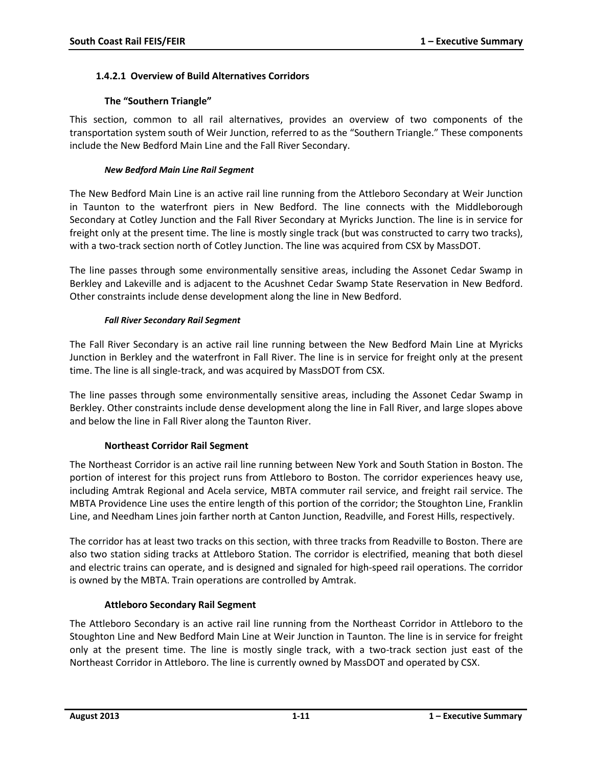#### **1.4.2.1 Overview of Build Alternatives Corridors**

#### **The "Southern Triangle"**

This section, common to all rail alternatives, provides an overview of two components of the transportation system south of Weir Junction, referred to as the "Southern Triangle." These components include the New Bedford Main Line and the Fall River Secondary.

#### *New Bedford Main Line Rail Segment*

The New Bedford Main Line is an active rail line running from the Attleboro Secondary at Weir Junction in Taunton to the waterfront piers in New Bedford. The line connects with the Middleborough Secondary at Cotley Junction and the Fall River Secondary at Myricks Junction. The line is in service for freight only at the present time. The line is mostly single track (but was constructed to carry two tracks), with a two-track section north of Cotley Junction. The line was acquired from CSX by MassDOT.

The line passes through some environmentally sensitive areas, including the Assonet Cedar Swamp in Berkley and Lakeville and is adjacent to the Acushnet Cedar Swamp State Reservation in New Bedford. Other constraints include dense development along the line in New Bedford.

#### *Fall River Secondary Rail Segment*

The Fall River Secondary is an active rail line running between the New Bedford Main Line at Myricks Junction in Berkley and the waterfront in Fall River. The line is in service for freight only at the present time. The line is all single-track, and was acquired by MassDOT from CSX.

The line passes through some environmentally sensitive areas, including the Assonet Cedar Swamp in Berkley. Other constraints include dense development along the line in Fall River, and large slopes above and below the line in Fall River along the Taunton River.

### **Northeast Corridor Rail Segment**

The Northeast Corridor is an active rail line running between New York and South Station in Boston. The portion of interest for this project runs from Attleboro to Boston. The corridor experiences heavy use, including Amtrak Regional and Acela service, MBTA commuter rail service, and freight rail service. The MBTA Providence Line uses the entire length of this portion of the corridor; the Stoughton Line, Franklin Line, and Needham Lines join farther north at Canton Junction, Readville, and Forest Hills, respectively.

The corridor has at least two tracks on this section, with three tracks from Readville to Boston. There are also two station siding tracks at Attleboro Station. The corridor is electrified, meaning that both diesel and electric trains can operate, and is designed and signaled for high-speed rail operations. The corridor is owned by the MBTA. Train operations are controlled by Amtrak.

### **Attleboro Secondary Rail Segment**

The Attleboro Secondary is an active rail line running from the Northeast Corridor in Attleboro to the Stoughton Line and New Bedford Main Line at Weir Junction in Taunton. The line is in service for freight only at the present time. The line is mostly single track, with a two-track section just east of the Northeast Corridor in Attleboro. The line is currently owned by MassDOT and operated by CSX.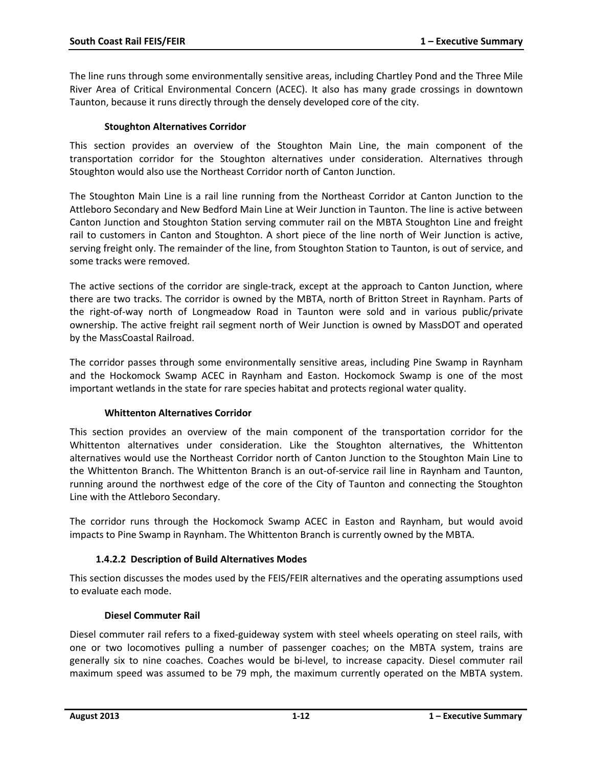The line runs through some environmentally sensitive areas, including Chartley Pond and the Three Mile River Area of Critical Environmental Concern (ACEC). It also has many grade crossings in downtown Taunton, because it runs directly through the densely developed core of the city.

#### **Stoughton Alternatives Corridor**

This section provides an overview of the Stoughton Main Line, the main component of the transportation corridor for the Stoughton alternatives under consideration. Alternatives through Stoughton would also use the Northeast Corridor north of Canton Junction.

The Stoughton Main Line is a rail line running from the Northeast Corridor at Canton Junction to the Attleboro Secondary and New Bedford Main Line at Weir Junction in Taunton. The line is active between Canton Junction and Stoughton Station serving commuter rail on the MBTA Stoughton Line and freight rail to customers in Canton and Stoughton. A short piece of the line north of Weir Junction is active, serving freight only. The remainder of the line, from Stoughton Station to Taunton, is out of service, and some tracks were removed.

The active sections of the corridor are single-track, except at the approach to Canton Junction, where there are two tracks. The corridor is owned by the MBTA, north of Britton Street in Raynham. Parts of the right-of-way north of Longmeadow Road in Taunton were sold and in various public/private ownership. The active freight rail segment north of Weir Junction is owned by MassDOT and operated by the MassCoastal Railroad.

The corridor passes through some environmentally sensitive areas, including Pine Swamp in Raynham and the Hockomock Swamp ACEC in Raynham and Easton. Hockomock Swamp is one of the most important wetlands in the state for rare species habitat and protects regional water quality.

#### **Whittenton Alternatives Corridor**

This section provides an overview of the main component of the transportation corridor for the Whittenton alternatives under consideration. Like the Stoughton alternatives, the Whittenton alternatives would use the Northeast Corridor north of Canton Junction to the Stoughton Main Line to the Whittenton Branch. The Whittenton Branch is an out-of-service rail line in Raynham and Taunton, running around the northwest edge of the core of the City of Taunton and connecting the Stoughton Line with the Attleboro Secondary.

The corridor runs through the Hockomock Swamp ACEC in Easton and Raynham, but would avoid impacts to Pine Swamp in Raynham. The Whittenton Branch is currently owned by the MBTA.

### **1.4.2.2 Description of Build Alternatives Modes**

This section discusses the modes used by the FEIS/FEIR alternatives and the operating assumptions used to evaluate each mode.

### **Diesel Commuter Rail**

Diesel commuter rail refers to a fixed-guideway system with steel wheels operating on steel rails, with one or two locomotives pulling a number of passenger coaches; on the MBTA system, trains are generally six to nine coaches. Coaches would be bi-level, to increase capacity. Diesel commuter rail maximum speed was assumed to be 79 mph, the maximum currently operated on the MBTA system.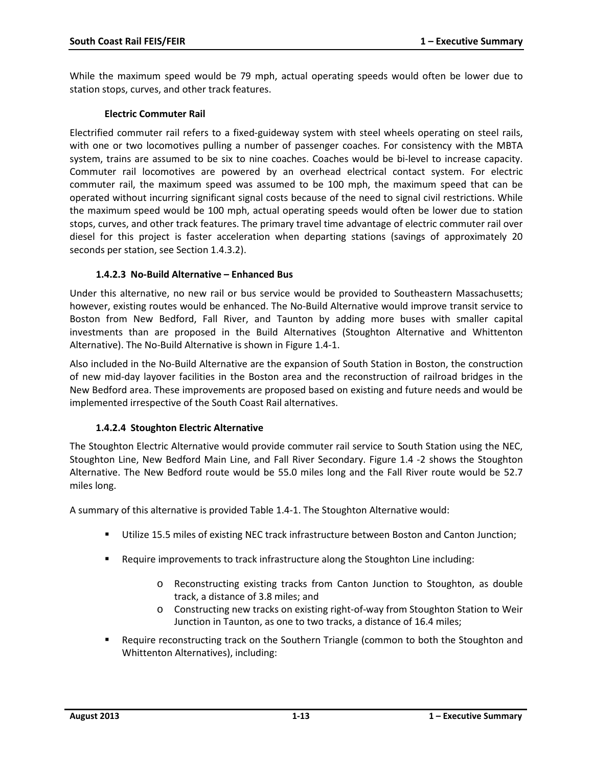While the maximum speed would be 79 mph, actual operating speeds would often be lower due to station stops, curves, and other track features.

#### **Electric Commuter Rail**

Electrified commuter rail refers to a fixed-guideway system with steel wheels operating on steel rails, with one or two locomotives pulling a number of passenger coaches. For consistency with the MBTA system, trains are assumed to be six to nine coaches. Coaches would be bi-level to increase capacity. Commuter rail locomotives are powered by an overhead electrical contact system. For electric commuter rail, the maximum speed was assumed to be 100 mph, the maximum speed that can be operated without incurring significant signal costs because of the need to signal civil restrictions. While the maximum speed would be 100 mph, actual operating speeds would often be lower due to station stops, curves, and other track features. The primary travel time advantage of electric commuter rail over diesel for this project is faster acceleration when departing stations (savings of approximately 20 seconds per station, see Section 1.4.3.2).

#### **1.4.2.3 No-Build Alternative – Enhanced Bus**

Under this alternative, no new rail or bus service would be provided to Southeastern Massachusetts; however, existing routes would be enhanced. The No-Build Alternative would improve transit service to Boston from New Bedford, Fall River, and Taunton by adding more buses with smaller capital investments than are proposed in the Build Alternatives (Stoughton Alternative and Whittenton Alternative). The No-Build Alternative is shown in Figure 1.4-1.

Also included in the No-Build Alternative are the expansion of South Station in Boston, the construction of new mid-day layover facilities in the Boston area and the reconstruction of railroad bridges in the New Bedford area. These improvements are proposed based on existing and future needs and would be implemented irrespective of the South Coast Rail alternatives.

### **1.4.2.4 Stoughton Electric Alternative**

The Stoughton Electric Alternative would provide commuter rail service to South Station using the NEC, Stoughton Line, New Bedford Main Line, and Fall River Secondary. Figure 1.4 -2 shows the Stoughton Alternative. The New Bedford route would be 55.0 miles long and the Fall River route would be 52.7 miles long.

A summary of this alternative is provided Table 1.4-1. The Stoughton Alternative would:

- Utilize 15.5 miles of existing NEC track infrastructure between Boston and Canton Junction;
- **Require improvements to track infrastructure along the Stoughton Line including:** 
	- o Reconstructing existing tracks from Canton Junction to Stoughton, as double track, a distance of 3.8 miles; and
	- o Constructing new tracks on existing right-of-way from Stoughton Station to Weir Junction in Taunton, as one to two tracks, a distance of 16.4 miles;
- **Require reconstructing track on the Southern Triangle (common to both the Stoughton and** Whittenton Alternatives), including: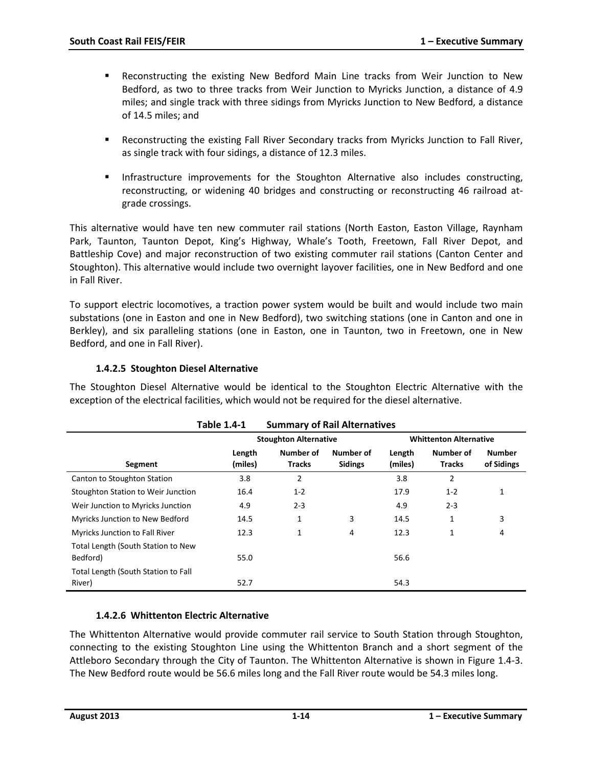- Reconstructing the existing New Bedford Main Line tracks from Weir Junction to New Bedford, as two to three tracks from Weir Junction to Myricks Junction, a distance of 4.9 miles; and single track with three sidings from Myricks Junction to New Bedford, a distance of 14.5 miles; and
- Reconstructing the existing Fall River Secondary tracks from Myricks Junction to Fall River, as single track with four sidings, a distance of 12.3 miles.
- **Infrastructure improvements for the Stoughton Alternative also includes constructing,** reconstructing, or widening 40 bridges and constructing or reconstructing 46 railroad atgrade crossings.

This alternative would have ten new commuter rail stations (North Easton, Easton Village, Raynham Park, Taunton, Taunton Depot, King's Highway, Whale's Tooth, Freetown, Fall River Depot, and Battleship Cove) and major reconstruction of two existing commuter rail stations (Canton Center and Stoughton). This alternative would include two overnight layover facilities, one in New Bedford and one in Fall River.

To support electric locomotives, a traction power system would be built and would include two main substations (one in Easton and one in New Bedford), two switching stations (one in Canton and one in Berkley), and six paralleling stations (one in Easton, one in Taunton, two in Freetown, one in New Bedford, and one in Fall River).

## **1.4.2.5 Stoughton Diesel Alternative**

The Stoughton Diesel Alternative would be identical to the Stoughton Electric Alternative with the exception of the electrical facilities, which would not be required for the diesel alternative.

|                                                | <b>Table 1.4-1</b><br><b>Summary of Rail Alternatives</b> |                              |                             |                   |                               |                             |  |
|------------------------------------------------|-----------------------------------------------------------|------------------------------|-----------------------------|-------------------|-------------------------------|-----------------------------|--|
|                                                |                                                           | <b>Stoughton Alternative</b> |                             |                   | <b>Whittenton Alternative</b> |                             |  |
| Segment                                        | Length<br>(miles)                                         | Number of<br><b>Tracks</b>   | Number of<br><b>Sidings</b> | Length<br>(miles) | Number of<br><b>Tracks</b>    | <b>Number</b><br>of Sidings |  |
| Canton to Stoughton Station                    | 3.8                                                       | $\overline{2}$               |                             | 3.8               | 2                             |                             |  |
| Stoughton Station to Weir Junction             | 16.4                                                      | $1 - 2$                      |                             | 17.9              | $1 - 2$                       | 1                           |  |
| Weir Junction to Myricks Junction              | 4.9                                                       | $2 - 3$                      |                             | 4.9               | $2 - 3$                       |                             |  |
| Myricks Junction to New Bedford                | 14.5                                                      | 1                            | 3                           | 14.5              | 1                             | 3                           |  |
| <b>Myricks Junction to Fall River</b>          | 12.3                                                      | 1                            | 4                           | 12.3              | 1                             | 4                           |  |
| Total Length (South Station to New<br>Bedford) | 55.0                                                      |                              |                             | 56.6              |                               |                             |  |
| Total Length (South Station to Fall<br>River)  | 52.7                                                      |                              |                             | 54.3              |                               |                             |  |

### **1.4.2.6 Whittenton Electric Alternative**

The Whittenton Alternative would provide commuter rail service to South Station through Stoughton, connecting to the existing Stoughton Line using the Whittenton Branch and a short segment of the Attleboro Secondary through the City of Taunton. The Whittenton Alternative is shown in Figure 1.4-3. The New Bedford route would be 56.6 miles long and the Fall River route would be 54.3 miles long.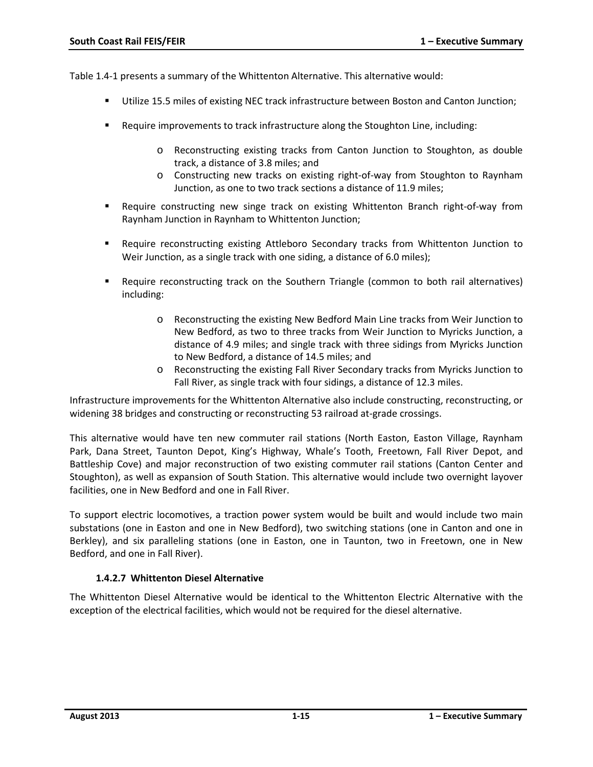Table 1.4-1 presents a summary of the Whittenton Alternative. This alternative would:

- Utilize 15.5 miles of existing NEC track infrastructure between Boston and Canton Junction;
- **Require improvements to track infrastructure along the Stoughton Line, including:** 
	- o Reconstructing existing tracks from Canton Junction to Stoughton, as double track, a distance of 3.8 miles; and
	- o Constructing new tracks on existing right-of-way from Stoughton to Raynham Junction, as one to two track sections a distance of 11.9 miles;
- Require constructing new singe track on existing Whittenton Branch right-of-way from Raynham Junction in Raynham to Whittenton Junction;
- **Require reconstructing existing Attleboro Secondary tracks from Whittenton Junction to** Weir Junction, as a single track with one siding, a distance of 6.0 miles);
- **Require reconstructing track on the Southern Triangle (common to both rail alternatives)** including:
	- o Reconstructing the existing New Bedford Main Line tracks from Weir Junction to New Bedford, as two to three tracks from Weir Junction to Myricks Junction, a distance of 4.9 miles; and single track with three sidings from Myricks Junction to New Bedford, a distance of 14.5 miles; and
	- Reconstructing the existing Fall River Secondary tracks from Myricks Junction to Fall River, as single track with four sidings, a distance of 12.3 miles.

Infrastructure improvements for the Whittenton Alternative also include constructing, reconstructing, or widening 38 bridges and constructing or reconstructing 53 railroad at-grade crossings.

This alternative would have ten new commuter rail stations (North Easton, Easton Village, Raynham Park, Dana Street, Taunton Depot, King's Highway, Whale's Tooth, Freetown, Fall River Depot, and Battleship Cove) and major reconstruction of two existing commuter rail stations (Canton Center and Stoughton), as well as expansion of South Station. This alternative would include two overnight layover facilities, one in New Bedford and one in Fall River.

To support electric locomotives, a traction power system would be built and would include two main substations (one in Easton and one in New Bedford), two switching stations (one in Canton and one in Berkley), and six paralleling stations (one in Easton, one in Taunton, two in Freetown, one in New Bedford, and one in Fall River).

### **1.4.2.7 Whittenton Diesel Alternative**

The Whittenton Diesel Alternative would be identical to the Whittenton Electric Alternative with the exception of the electrical facilities, which would not be required for the diesel alternative.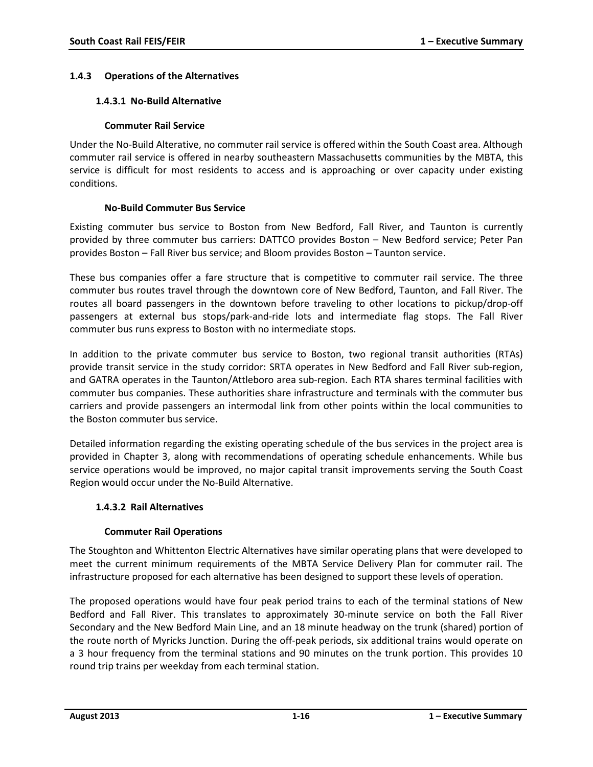### **1.4.3 Operations of the Alternatives**

#### **1.4.3.1 No-Build Alternative**

#### **Commuter Rail Service**

Under the No-Build Alterative, no commuter rail service is offered within the South Coast area. Although commuter rail service is offered in nearby southeastern Massachusetts communities by the MBTA, this service is difficult for most residents to access and is approaching or over capacity under existing conditions.

#### **No-Build Commuter Bus Service**

Existing commuter bus service to Boston from New Bedford, Fall River, and Taunton is currently provided by three commuter bus carriers: DATTCO provides Boston – New Bedford service; Peter Pan provides Boston – Fall River bus service; and Bloom provides Boston – Taunton service.

These bus companies offer a fare structure that is competitive to commuter rail service. The three commuter bus routes travel through the downtown core of New Bedford, Taunton, and Fall River. The routes all board passengers in the downtown before traveling to other locations to pickup/drop-off passengers at external bus stops/park-and-ride lots and intermediate flag stops. The Fall River commuter bus runs express to Boston with no intermediate stops.

In addition to the private commuter bus service to Boston, two regional transit authorities (RTAs) provide transit service in the study corridor: SRTA operates in New Bedford and Fall River sub-region, and GATRA operates in the Taunton/Attleboro area sub-region. Each RTA shares terminal facilities with commuter bus companies. These authorities share infrastructure and terminals with the commuter bus carriers and provide passengers an intermodal link from other points within the local communities to the Boston commuter bus service.

Detailed information regarding the existing operating schedule of the bus services in the project area is provided in Chapter 3, along with recommendations of operating schedule enhancements. While bus service operations would be improved, no major capital transit improvements serving the South Coast Region would occur under the No-Build Alternative.

### **1.4.3.2 Rail Alternatives**

### **Commuter Rail Operations**

The Stoughton and Whittenton Electric Alternatives have similar operating plans that were developed to meet the current minimum requirements of the MBTA Service Delivery Plan for commuter rail. The infrastructure proposed for each alternative has been designed to support these levels of operation.

The proposed operations would have four peak period trains to each of the terminal stations of New Bedford and Fall River. This translates to approximately 30-minute service on both the Fall River Secondary and the New Bedford Main Line, and an 18 minute headway on the trunk (shared) portion of the route north of Myricks Junction. During the off-peak periods, six additional trains would operate on a 3 hour frequency from the terminal stations and 90 minutes on the trunk portion. This provides 10 round trip trains per weekday from each terminal station.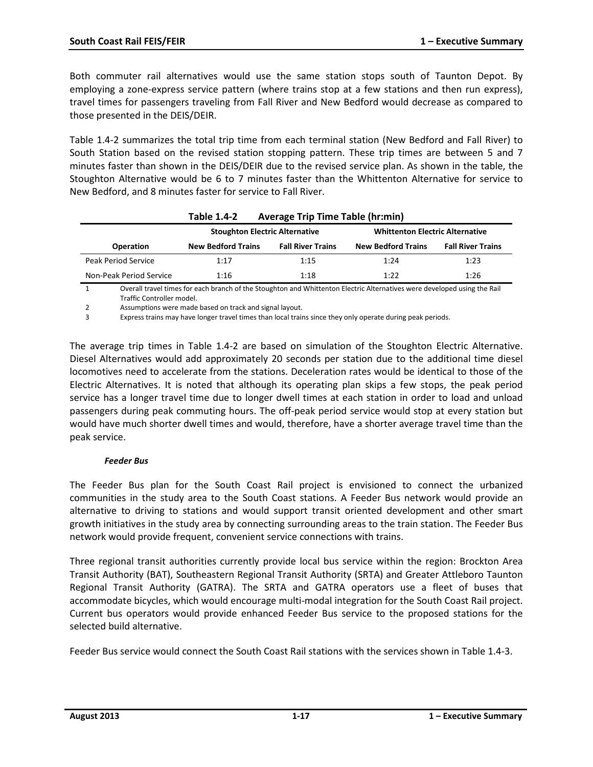Both commuter rail alternatives would use the same station stops south of Taunton Depot. By employing a zone-express service pattern (where trains stop at a few stations and then run express), travel times for passengers traveling from Fall River and New Bedford would decrease as compared to those presented in the DEIS/DEIR.

Table 1.4-2 summarizes the total trip time from each terminal station (New Bedford and Fall River) to South Station based on the revised station stopping pattern. These trip times are between 5 and 7 minutes faster than shown in the DEIS/DEIR due to the revised service plan. As shown in the table, the Stoughton Alternative would be 6 to 7 minutes faster than the Whittenton Alternative for service to New Bedford, and 8 minutes faster for service to Fall River.

|                         | <b>Table 1.4-2</b>                    | <b>Average Trip Time Table (hr:min)</b> |                           |                          |  |  |
|-------------------------|---------------------------------------|-----------------------------------------|---------------------------|--------------------------|--|--|
|                         | <b>Stoughton Electric Alternative</b> | <b>Whittenton Electric Alternative</b>  |                           |                          |  |  |
| <b>Operation</b>        | <b>New Bedford Trains</b>             | <b>Fall River Trains</b>                | <b>New Bedford Trains</b> | <b>Fall River Trains</b> |  |  |
| Peak Period Service     | 1:17                                  | 1:15                                    | 1:24                      | 1:23                     |  |  |
| Non-Peak Period Service | 1:16                                  | 1:18                                    | 1:22                      | 1:26                     |  |  |

1 Overall travel times for each branch of the Stoughton and Whittenton Electric Alternatives were developed using the Rail Traffic Controller model.

2 Assumptions were made based on track and signal layout.

3 Express trains may have longer travel times than local trains since they only operate during peak periods.

The average trip times in Table 1.4-2 are based on simulation of the Stoughton Electric Alternative. Diesel Alternatives would add approximately 20 seconds per station due to the additional time diesel locomotives need to accelerate from the stations. Deceleration rates would be identical to those of the Electric Alternatives. It is noted that although its operating plan skips a few stops, the peak period service has a longer travel time due to longer dwell times at each station in order to load and unload passengers during peak commuting hours. The off-peak period service would stop at every station but would have much shorter dwell times and would, therefore, have a shorter average travel time than the peak service.

#### *Feeder Bus*

The Feeder Bus plan for the South Coast Rail project is envisioned to connect the urbanized communities in the study area to the South Coast stations. A Feeder Bus network would provide an alternative to driving to stations and would support transit oriented development and other smart growth initiatives in the study area by connecting surrounding areas to the train station. The Feeder Bus network would provide frequent, convenient service connections with trains.

Three regional transit authorities currently provide local bus service within the region: Brockton Area Transit Authority (BAT), Southeastern Regional Transit Authority (SRTA) and Greater Attleboro Taunton Regional Transit Authority (GATRA). The SRTA and GATRA operators use a fleet of buses that accommodate bicycles, which would encourage multi-modal integration for the South Coast Rail project. Current bus operators would provide enhanced Feeder Bus service to the proposed stations for the selected build alternative.

Feeder Bus service would connect the South Coast Rail stations with the services shown in Table 1.4-3.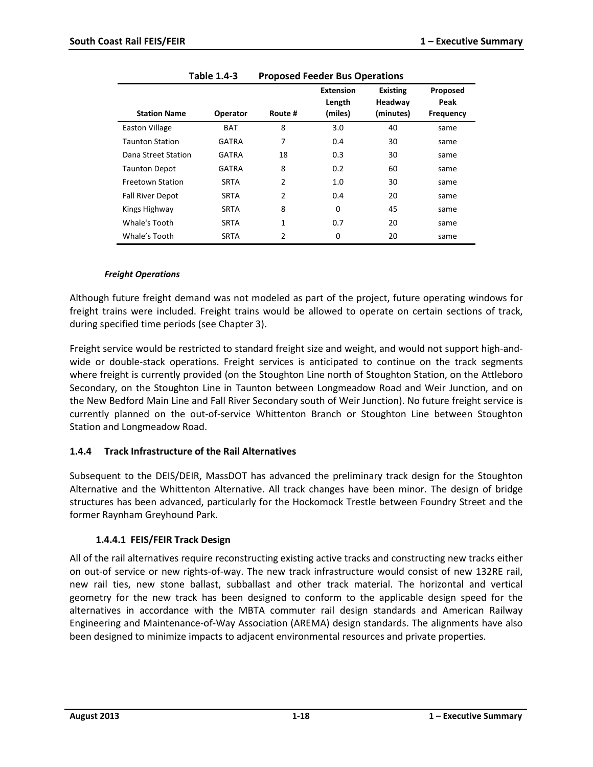|                         | .            |                |                            |                            |                  |
|-------------------------|--------------|----------------|----------------------------|----------------------------|------------------|
|                         |              |                | <b>Extension</b><br>Length | <b>Existing</b><br>Headway | Proposed<br>Peak |
| <b>Station Name</b>     | Operator     | Route #        | (miles)                    | (minutes)                  | <b>Frequency</b> |
| <b>Easton Village</b>   | <b>BAT</b>   | 8              | 3.0                        | 40                         | same             |
| <b>Taunton Station</b>  | GATRA        | 7              | 0.4                        | 30                         | same             |
| Dana Street Station     | <b>GATRA</b> | 18             | 0.3                        | 30                         | same             |
| <b>Taunton Depot</b>    | <b>GATRA</b> | 8              | 0.2                        | 60                         | same             |
| <b>Freetown Station</b> | <b>SRTA</b>  | $\overline{2}$ | 1.0                        | 30                         | same             |
| <b>Fall River Depot</b> | <b>SRTA</b>  | $\overline{2}$ | 0.4                        | 20                         | same             |
| Kings Highway           | <b>SRTA</b>  | 8              | 0                          | 45                         | same             |
| Whale's Tooth           | <b>SRTA</b>  | $\mathbf{1}$   | 0.7                        | 20                         | same             |
| Whale's Tooth           | <b>SRTA</b>  | $\overline{2}$ | 0                          | 20                         | same             |

#### *Freight Operations*

Although future freight demand was not modeled as part of the project, future operating windows for freight trains were included. Freight trains would be allowed to operate on certain sections of track, during specified time periods (see Chapter 3).

Freight service would be restricted to standard freight size and weight, and would not support high-andwide or double-stack operations. Freight services is anticipated to continue on the track segments where freight is currently provided (on the Stoughton Line north of Stoughton Station, on the Attleboro Secondary, on the Stoughton Line in Taunton between Longmeadow Road and Weir Junction, and on the New Bedford Main Line and Fall River Secondary south of Weir Junction). No future freight service is currently planned on the out-of-service Whittenton Branch or Stoughton Line between Stoughton Station and Longmeadow Road.

#### **1.4.4 Track Infrastructure of the Rail Alternatives**

Subsequent to the DEIS/DEIR, MassDOT has advanced the preliminary track design for the Stoughton Alternative and the Whittenton Alternative. All track changes have been minor. The design of bridge structures has been advanced, particularly for the Hockomock Trestle between Foundry Street and the former Raynham Greyhound Park.

#### **1.4.4.1 FEIS/FEIR Track Design**

All of the rail alternatives require reconstructing existing active tracks and constructing new tracks either on out-of service or new rights-of-way. The new track infrastructure would consist of new 132RE rail, new rail ties, new stone ballast, subballast and other track material. The horizontal and vertical geometry for the new track has been designed to conform to the applicable design speed for the alternatives in accordance with the MBTA commuter rail design standards and American Railway Engineering and Maintenance-of-Way Association (AREMA) design standards. The alignments have also been designed to minimize impacts to adjacent environmental resources and private properties.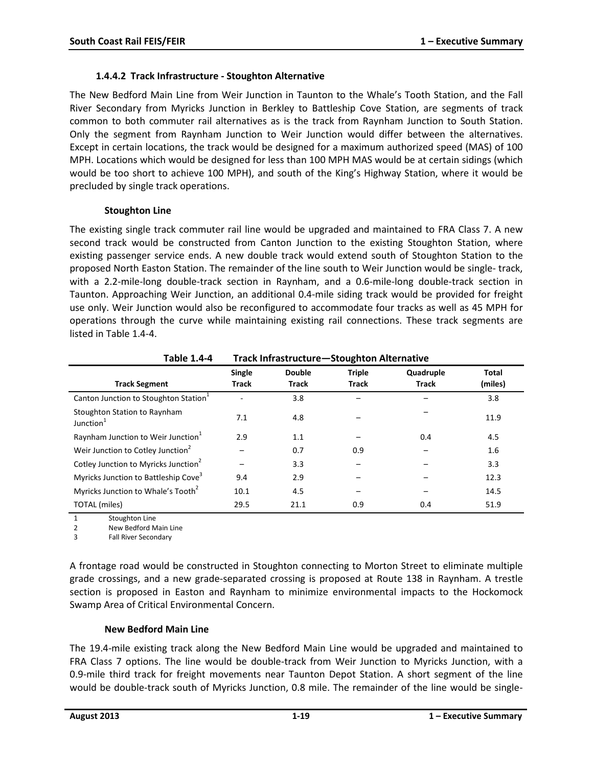#### **1.4.4.2 Track Infrastructure - Stoughton Alternative**

The New Bedford Main Line from Weir Junction in Taunton to the Whale's Tooth Station, and the Fall River Secondary from Myricks Junction in Berkley to Battleship Cove Station, are segments of track common to both commuter rail alternatives as is the track from Raynham Junction to South Station. Only the segment from Raynham Junction to Weir Junction would differ between the alternatives. Except in certain locations, the track would be designed for a maximum authorized speed (MAS) of 100 MPH. Locations which would be designed for less than 100 MPH MAS would be at certain sidings (which would be too short to achieve 100 MPH), and south of the King's Highway Station, where it would be precluded by single track operations.

#### **Stoughton Line**

The existing single track commuter rail line would be upgraded and maintained to FRA Class 7. A new second track would be constructed from Canton Junction to the existing Stoughton Station, where existing passenger service ends. A new double track would extend south of Stoughton Station to the proposed North Easton Station. The remainder of the line south to Weir Junction would be single- track, with a 2.2-mile-long double-track section in Raynham, and a 0.6-mile-long double-track section in Taunton. Approaching Weir Junction, an additional 0.4-mile siding track would be provided for freight use only. Weir Junction would also be reconfigured to accommodate four tracks as well as 45 MPH for operations through the curve while maintaining existing rail connections. These track segments are listed in Table 1.4-4.

| <b>Table 1.4-4</b>                                    | Track Infrastructure-Stoughton Alternative |                               |                               |                           |                         |  |
|-------------------------------------------------------|--------------------------------------------|-------------------------------|-------------------------------|---------------------------|-------------------------|--|
| <b>Track Segment</b>                                  | Single<br><b>Track</b>                     | <b>Double</b><br><b>Track</b> | <b>Triple</b><br><b>Track</b> | Quadruple<br><b>Track</b> | <b>Total</b><br>(miles) |  |
| Canton Junction to Stoughton Station <sup>1</sup>     |                                            | 3.8                           |                               |                           | 3.8                     |  |
| Stoughton Station to Raynham<br>Junction <sup>1</sup> | 7.1                                        | 4.8                           |                               |                           | 11.9                    |  |
| Raynham Junction to Weir Junction <sup>1</sup>        | 2.9                                        | 1.1                           |                               | 0.4                       | 4.5                     |  |
| Weir Junction to Cotley Junction <sup>2</sup>         |                                            | 0.7                           | 0.9                           |                           | 1.6                     |  |
| Cotley Junction to Myricks Junction <sup>2</sup>      |                                            | 3.3                           |                               |                           | 3.3                     |  |
| Myricks Junction to Battleship Cove <sup>3</sup>      | 9.4                                        | 2.9                           |                               |                           | 12.3                    |  |
| Myricks Junction to Whale's Tooth <sup>2</sup>        | 10.1                                       | 4.5                           |                               |                           | 14.5                    |  |
| TOTAL (miles)                                         | 29.5                                       | 21.1                          | 0.9                           | 0.4                       | 51.9                    |  |

1 Stoughton Line

2 New Bedford Main Line

3 Fall River Secondary

A frontage road would be constructed in Stoughton connecting to Morton Street to eliminate multiple grade crossings, and a new grade-separated crossing is proposed at Route 138 in Raynham. A trestle section is proposed in Easton and Raynham to minimize environmental impacts to the Hockomock Swamp Area of Critical Environmental Concern.

### **New Bedford Main Line**

The 19.4-mile existing track along the New Bedford Main Line would be upgraded and maintained to FRA Class 7 options. The line would be double-track from Weir Junction to Myricks Junction, with a 0.9-mile third track for freight movements near Taunton Depot Station. A short segment of the line would be double-track south of Myricks Junction, 0.8 mile. The remainder of the line would be single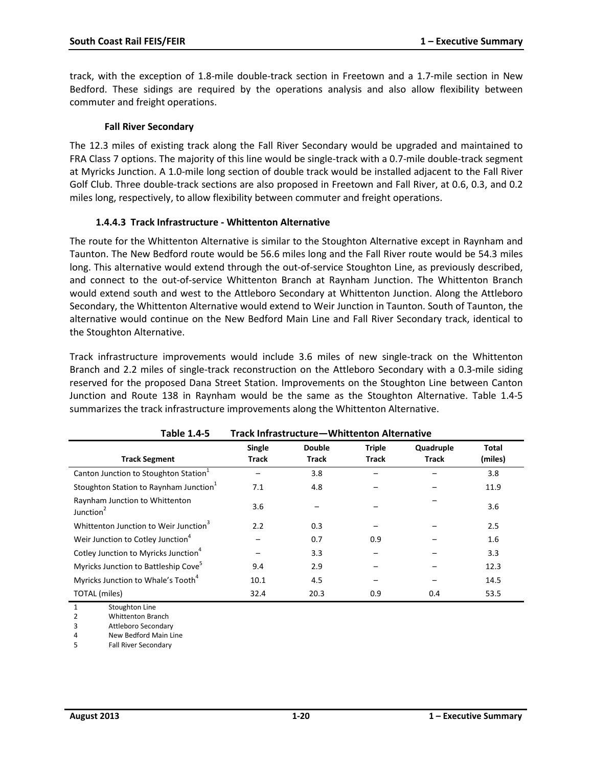track, with the exception of 1.8-mile double-track section in Freetown and a 1.7-mile section in New Bedford. These sidings are required by the operations analysis and also allow flexibility between commuter and freight operations.

#### **Fall River Secondary**

The 12.3 miles of existing track along the Fall River Secondary would be upgraded and maintained to FRA Class 7 options. The majority of this line would be single-track with a 0.7-mile double-track segment at Myricks Junction. A 1.0-mile long section of double track would be installed adjacent to the Fall River Golf Club. Three double-track sections are also proposed in Freetown and Fall River, at 0.6, 0.3, and 0.2 miles long, respectively, to allow flexibility between commuter and freight operations.

#### **1.4.4.3 Track Infrastructure - Whittenton Alternative**

The route for the Whittenton Alternative is similar to the Stoughton Alternative except in Raynham and Taunton. The New Bedford route would be 56.6 miles long and the Fall River route would be 54.3 miles long. This alternative would extend through the out-of-service Stoughton Line, as previously described, and connect to the out-of-service Whittenton Branch at Raynham Junction. The Whittenton Branch would extend south and west to the Attleboro Secondary at Whittenton Junction. Along the Attleboro Secondary, the Whittenton Alternative would extend to Weir Junction in Taunton. South of Taunton, the alternative would continue on the New Bedford Main Line and Fall River Secondary track, identical to the Stoughton Alternative.

Track infrastructure improvements would include 3.6 miles of new single-track on the Whittenton Branch and 2.2 miles of single-track reconstruction on the Attleboro Secondary with a 0.3-mile siding reserved for the proposed Dana Street Station. Improvements on the Stoughton Line between Canton Junction and Route 138 in Raynham would be the same as the Stoughton Alternative. Table 1.4-5 summarizes the track infrastructure improvements along the Whittenton Alternative.

| Table 1.4-5                                             | Track Infrastructure—Whittenton Alternative |                               |                               |                           |                         |  |
|---------------------------------------------------------|---------------------------------------------|-------------------------------|-------------------------------|---------------------------|-------------------------|--|
| <b>Track Segment</b>                                    | <b>Single</b><br><b>Track</b>               | <b>Double</b><br><b>Track</b> | <b>Triple</b><br><b>Track</b> | Quadruple<br><b>Track</b> | <b>Total</b><br>(miles) |  |
| Canton Junction to Stoughton Station <sup>1</sup>       |                                             | 3.8                           |                               |                           | 3.8                     |  |
| Stoughton Station to Raynham Junction <sup>1</sup>      | 7.1                                         | 4.8                           |                               |                           | 11.9                    |  |
| Raynham Junction to Whittenton<br>Junction <sup>2</sup> | 3.6                                         |                               |                               |                           | 3.6                     |  |
| Whittenton Junction to Weir Junction <sup>3</sup>       | 2.2                                         | 0.3                           |                               |                           | 2.5                     |  |
| Weir Junction to Cotley Junction <sup>4</sup>           |                                             | 0.7                           | 0.9                           |                           | 1.6                     |  |
| Cotley Junction to Myricks Junction <sup>4</sup>        |                                             | 3.3                           |                               |                           | 3.3                     |  |
| Myricks Junction to Battleship Cove <sup>5</sup>        | 9.4                                         | 2.9                           |                               |                           | 12.3                    |  |
| Myricks Junction to Whale's Tooth <sup>4</sup>          | 10.1                                        | 4.5                           |                               |                           | 14.5                    |  |
| TOTAL (miles)                                           | 32.4                                        | 20.3                          | 0.9                           | 0.4                       | 53.5                    |  |

**Table 1.4-5 Track Infrastructure—Whittenton Alternative**

1 Stoughton Line

2 Whittenton Branch 3 Attleboro Secondary

4 New Bedford Main Line

5 Fall River Secondary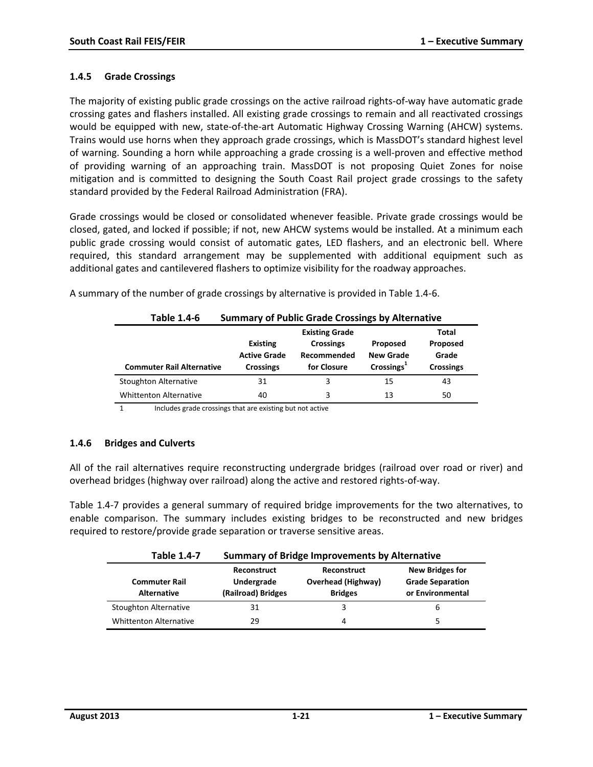#### **1.4.5 Grade Crossings**

The majority of existing public grade crossings on the active railroad rights-of-way have automatic grade crossing gates and flashers installed. All existing grade crossings to remain and all reactivated crossings would be equipped with new, state-of-the-art Automatic Highway Crossing Warning (AHCW) systems. Trains would use horns when they approach grade crossings, which is MassDOT's standard highest level of warning. Sounding a horn while approaching a grade crossing is a well-proven and effective method of providing warning of an approaching train. MassDOT is not proposing Quiet Zones for noise mitigation and is committed to designing the South Coast Rail project grade crossings to the safety standard provided by the Federal Railroad Administration (FRA).

Grade crossings would be closed or consolidated whenever feasible. Private grade crossings would be closed, gated, and locked if possible; if not, new AHCW systems would be installed. At a minimum each public grade crossing would consist of automatic gates, LED flashers, and an electronic bell. Where required, this standard arrangement may be supplemented with additional equipment such as additional gates and cantilevered flashers to optimize visibility for the roadway approaches.

| Table 1.4-6                      | <b>Summary of Public Grade Crossings by Alternative</b>    |                                                                         |                                                        |                                                |  |  |
|----------------------------------|------------------------------------------------------------|-------------------------------------------------------------------------|--------------------------------------------------------|------------------------------------------------|--|--|
| <b>Commuter Rail Alternative</b> | <b>Existing</b><br><b>Active Grade</b><br><b>Crossings</b> | <b>Existing Grade</b><br><b>Crossings</b><br>Recommended<br>for Closure | Proposed<br><b>New Grade</b><br>Crossings <sup>1</sup> | Total<br>Proposed<br>Grade<br><b>Crossings</b> |  |  |
| <b>Stoughton Alternative</b>     | 31                                                         | 3                                                                       | 15                                                     | 43                                             |  |  |
| <b>Whittenton Alternative</b>    | 40                                                         | 3                                                                       | 13                                                     | 50                                             |  |  |

A summary of the number of grade crossings by alternative is provided in Table 1.4-6.

1 Includes grade crossings that are existing but not active

#### **1.4.6 Bridges and Culverts**

All of the rail alternatives require reconstructing undergrade bridges (railroad over road or river) and overhead bridges (highway over railroad) along the active and restored rights-of-way.

Table 1.4-7 provides a general summary of required bridge improvements for the two alternatives, to enable comparison. The summary includes existing bridges to be reconstructed and new bridges required to restore/provide grade separation or traverse sensitive areas.

| Table 1.4-7                                | <b>Summary of Bridge Improvements by Alternative</b> |                                                            |                                                                       |  |  |  |  |
|--------------------------------------------|------------------------------------------------------|------------------------------------------------------------|-----------------------------------------------------------------------|--|--|--|--|
| <b>Commuter Rail</b><br><b>Alternative</b> | Reconstruct<br>Undergrade<br>(Railroad) Bridges      | Reconstruct<br><b>Overhead (Highway)</b><br><b>Bridges</b> | <b>New Bridges for</b><br><b>Grade Separation</b><br>or Environmental |  |  |  |  |
| <b>Stoughton Alternative</b>               | 31                                                   | 3                                                          | b                                                                     |  |  |  |  |
| <b>Whittenton Alternative</b>              | 29                                                   | 4                                                          |                                                                       |  |  |  |  |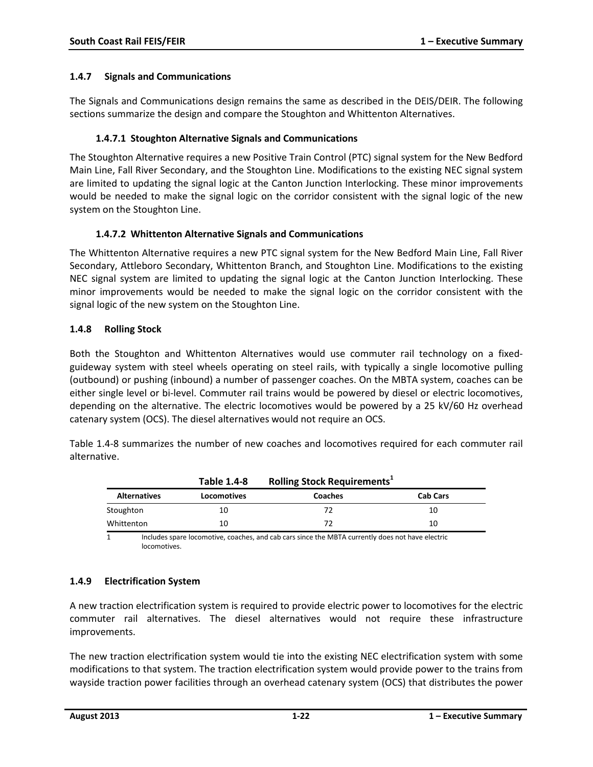#### **1.4.7 Signals and Communications**

The Signals and Communications design remains the same as described in the DEIS/DEIR. The following sections summarize the design and compare the Stoughton and Whittenton Alternatives.

#### **1.4.7.1 Stoughton Alternative Signals and Communications**

The Stoughton Alternative requires a new Positive Train Control (PTC) signal system for the New Bedford Main Line, Fall River Secondary, and the Stoughton Line. Modifications to the existing NEC signal system are limited to updating the signal logic at the Canton Junction Interlocking. These minor improvements would be needed to make the signal logic on the corridor consistent with the signal logic of the new system on the Stoughton Line.

#### **1.4.7.2 Whittenton Alternative Signals and Communications**

The Whittenton Alternative requires a new PTC signal system for the New Bedford Main Line, Fall River Secondary, Attleboro Secondary, Whittenton Branch, and Stoughton Line. Modifications to the existing NEC signal system are limited to updating the signal logic at the Canton Junction Interlocking. These minor improvements would be needed to make the signal logic on the corridor consistent with the signal logic of the new system on the Stoughton Line.

#### **1.4.8 Rolling Stock**

Both the Stoughton and Whittenton Alternatives would use commuter rail technology on a fixedguideway system with steel wheels operating on steel rails, with typically a single locomotive pulling (outbound) or pushing (inbound) a number of passenger coaches. On the MBTA system, coaches can be either single level or bi-level. Commuter rail trains would be powered by diesel or electric locomotives, depending on the alternative. The electric locomotives would be powered by a 25 kV/60 Hz overhead catenary system (OCS). The diesel alternatives would not require an OCS.

Table 1.4-8 summarizes the number of new coaches and locomotives required for each commuter rail alternative.

|                     | <b>Table 1.4-8</b> | <b>Rolling Stock Requirements</b> <sup>1</sup> |                 |  |
|---------------------|--------------------|------------------------------------------------|-----------------|--|
| <b>Alternatives</b> | <b>Locomotives</b> | <b>Coaches</b>                                 | <b>Cab Cars</b> |  |
| Stoughton           | 10                 | 72                                             | 10              |  |
| Whittenton          | 10                 | 72                                             | 10              |  |

1 Includes spare locomotive, coaches, and cab cars since the MBTA currently does not have electric locomotives.

### **1.4.9 Electrification System**

A new traction electrification system is required to provide electric power to locomotives for the electric commuter rail alternatives. The diesel alternatives would not require these infrastructure improvements.

The new traction electrification system would tie into the existing NEC electrification system with some modifications to that system. The traction electrification system would provide power to the trains from wayside traction power facilities through an overhead catenary system (OCS) that distributes the power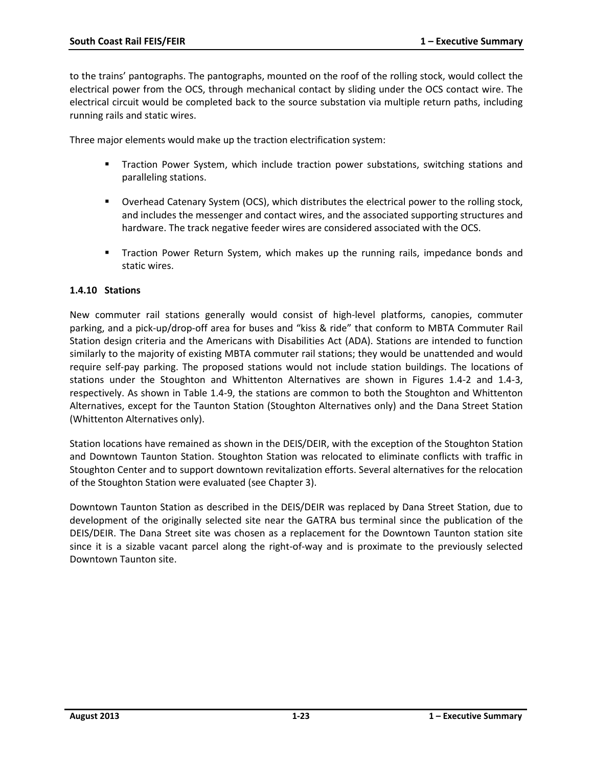to the trains' pantographs. The pantographs, mounted on the roof of the rolling stock, would collect the electrical power from the OCS, through mechanical contact by sliding under the OCS contact wire. The electrical circuit would be completed back to the source substation via multiple return paths, including running rails and static wires.

Three major elements would make up the traction electrification system:

- Traction Power System, which include traction power substations, switching stations and paralleling stations.
- Overhead Catenary System (OCS), which distributes the electrical power to the rolling stock, and includes the messenger and contact wires, and the associated supporting structures and hardware. The track negative feeder wires are considered associated with the OCS.
- Traction Power Return System, which makes up the running rails, impedance bonds and static wires.

#### **1.4.10 Stations**

New commuter rail stations generally would consist of high-level platforms, canopies, commuter parking, and a pick-up/drop-off area for buses and "kiss & ride" that conform to MBTA Commuter Rail Station design criteria and the Americans with Disabilities Act (ADA). Stations are intended to function similarly to the majority of existing MBTA commuter rail stations; they would be unattended and would require self-pay parking. The proposed stations would not include station buildings. The locations of stations under the Stoughton and Whittenton Alternatives are shown in Figures 1.4-2 and 1.4-3, respectively. As shown in Table 1.4-9, the stations are common to both the Stoughton and Whittenton Alternatives, except for the Taunton Station (Stoughton Alternatives only) and the Dana Street Station (Whittenton Alternatives only).

Station locations have remained as shown in the DEIS/DEIR, with the exception of the Stoughton Station and Downtown Taunton Station. Stoughton Station was relocated to eliminate conflicts with traffic in Stoughton Center and to support downtown revitalization efforts. Several alternatives for the relocation of the Stoughton Station were evaluated (see Chapter 3).

Downtown Taunton Station as described in the DEIS/DEIR was replaced by Dana Street Station, due to development of the originally selected site near the GATRA bus terminal since the publication of the DEIS/DEIR. The Dana Street site was chosen as a replacement for the Downtown Taunton station site since it is a sizable vacant parcel along the right-of-way and is proximate to the previously selected Downtown Taunton site.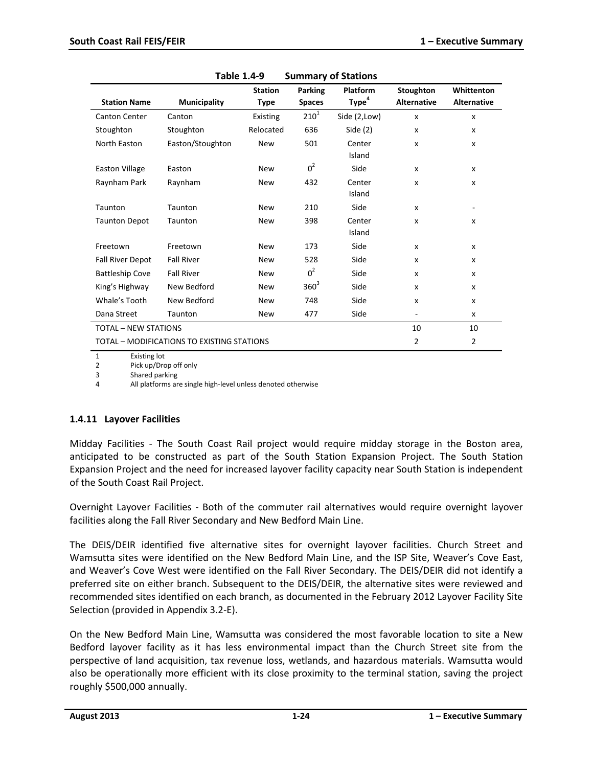| <b>Station Name</b>         | <b>Municipality</b>                        | <b>Station</b><br>Type | <b>Parking</b><br><b>Spaces</b> | <b>Platform</b><br>Type <sup>4</sup> | Stoughton<br><b>Alternative</b> | Whittenton<br><b>Alternative</b> |
|-----------------------------|--------------------------------------------|------------------------|---------------------------------|--------------------------------------|---------------------------------|----------------------------------|
| Canton Center               | Canton                                     | Existing               | $210^{1}$                       | Side (2,Low)                         | $\mathsf{x}$                    | $\boldsymbol{\mathsf{x}}$        |
| Stoughton                   | Stoughton                                  | Relocated              | 636                             | Side $(2)$                           | $\boldsymbol{\mathsf{x}}$       | X                                |
| North Easton                | Easton/Stoughton                           | <b>New</b>             | 501                             | Center<br>Island                     | X                               | X                                |
| <b>Easton Village</b>       | Easton                                     | <b>New</b>             | $0^2$                           | Side                                 | X                               | x                                |
| Raynham Park                | Raynham                                    | <b>New</b>             | 432                             | Center<br>Island                     | $\boldsymbol{\mathsf{x}}$       | x                                |
| Taunton                     | Taunton                                    | <b>New</b>             | 210                             | Side                                 | $\boldsymbol{\mathsf{x}}$       |                                  |
| <b>Taunton Depot</b>        | Taunton                                    | <b>New</b>             | 398                             | Center<br>Island                     | $\boldsymbol{\mathsf{x}}$       | X                                |
| Freetown                    | Freetown                                   | <b>New</b>             | 173                             | Side                                 | X                               | x                                |
| <b>Fall River Depot</b>     | <b>Fall River</b>                          | <b>New</b>             | 528                             | Side                                 | $\boldsymbol{\mathsf{x}}$       | x                                |
| <b>Battleship Cove</b>      | <b>Fall River</b>                          | <b>New</b>             | $0^2$                           | Side                                 | $\boldsymbol{\mathsf{x}}$       | X                                |
| King's Highway              | New Bedford                                | <b>New</b>             | $360^3$                         | Side                                 | $\boldsymbol{\mathsf{x}}$       | X                                |
| Whale's Tooth               | New Bedford                                | <b>New</b>             | 748                             | Side                                 | $\boldsymbol{\mathsf{x}}$       | X                                |
| Dana Street                 | Taunton                                    | <b>New</b>             | 477                             | Side                                 | ٠                               | x                                |
| <b>TOTAL - NEW STATIONS</b> |                                            |                        |                                 |                                      |                                 | 10                               |
|                             | TOTAL - MODIFICATIONS TO EXISTING STATIONS |                        |                                 |                                      | 2                               | $\overline{2}$                   |

| Table 1.4-9 | <b>Summary of Stations</b> |
|-------------|----------------------------|
|-------------|----------------------------|

1 Existing lot

2 Pick up/Drop off only

3 Shared parking

4 All platforms are single high-level unless denoted otherwise

#### **1.4.11 Layover Facilities**

Midday Facilities - The South Coast Rail project would require midday storage in the Boston area, anticipated to be constructed as part of the South Station Expansion Project. The South Station Expansion Project and the need for increased layover facility capacity near South Station is independent of the South Coast Rail Project.

Overnight Layover Facilities - Both of the commuter rail alternatives would require overnight layover facilities along the Fall River Secondary and New Bedford Main Line.

The DEIS/DEIR identified five alternative sites for overnight layover facilities. Church Street and Wamsutta sites were identified on the New Bedford Main Line, and the ISP Site, Weaver's Cove East, and Weaver's Cove West were identified on the Fall River Secondary. The DEIS/DEIR did not identify a preferred site on either branch. Subsequent to the DEIS/DEIR, the alternative sites were reviewed and recommended sites identified on each branch, as documented in the February 2012 Layover Facility Site Selection (provided in Appendix 3.2-E).

On the New Bedford Main Line, Wamsutta was considered the most favorable location to site a New Bedford layover facility as it has less environmental impact than the Church Street site from the perspective of land acquisition, tax revenue loss, wetlands, and hazardous materials. Wamsutta would also be operationally more efficient with its close proximity to the terminal station, saving the project roughly \$500,000 annually.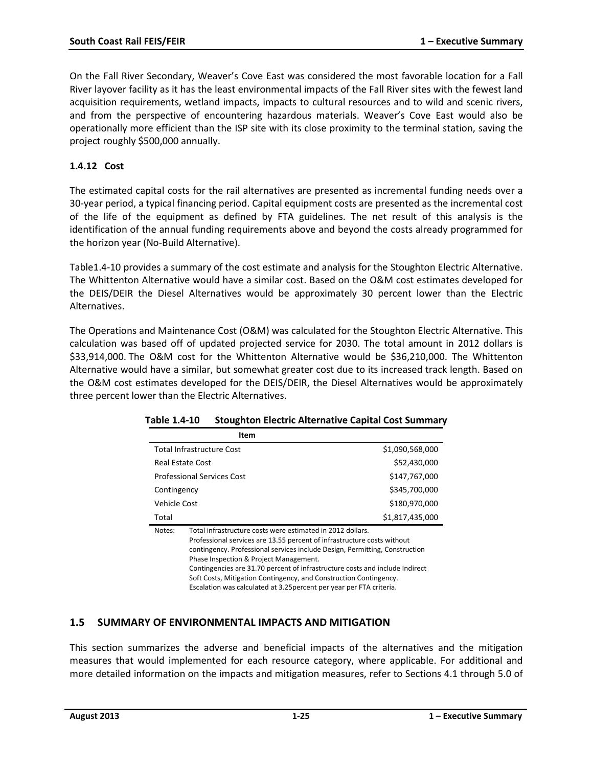On the Fall River Secondary, Weaver's Cove East was considered the most favorable location for a Fall River layover facility as it has the least environmental impacts of the Fall River sites with the fewest land acquisition requirements, wetland impacts, impacts to cultural resources and to wild and scenic rivers, and from the perspective of encountering hazardous materials. Weaver's Cove East would also be operationally more efficient than the ISP site with its close proximity to the terminal station, saving the project roughly \$500,000 annually.

## **1.4.12 Cost**

The estimated capital costs for the rail alternatives are presented as incremental funding needs over a 30-year period, a typical financing period. Capital equipment costs are presented as the incremental cost of the life of the equipment as defined by FTA guidelines. The net result of this analysis is the identification of the annual funding requirements above and beyond the costs already programmed for the horizon year (No-Build Alternative).

Table1.4-10 provides a summary of the cost estimate and analysis for the Stoughton Electric Alternative. The Whittenton Alternative would have a similar cost. Based on the O&M cost estimates developed for the DEIS/DEIR the Diesel Alternatives would be approximately 30 percent lower than the Electric Alternatives.

The Operations and Maintenance Cost (O&M) was calculated for the Stoughton Electric Alternative. This calculation was based off of updated projected service for 2030. The total amount in 2012 dollars is \$33,914,000. The O&M cost for the Whittenton Alternative would be \$36,210,000. The Whittenton Alternative would have a similar, but somewhat greater cost due to its increased track length. Based on the O&M cost estimates developed for the DEIS/DEIR, the Diesel Alternatives would be approximately three percent lower than the Electric Alternatives.

|                  | Item                                                                                                                                                                                                                                                                                                                                           |                 |
|------------------|------------------------------------------------------------------------------------------------------------------------------------------------------------------------------------------------------------------------------------------------------------------------------------------------------------------------------------------------|-----------------|
|                  | <b>Total Infrastructure Cost</b>                                                                                                                                                                                                                                                                                                               | \$1,090,568,000 |
| Real Estate Cost |                                                                                                                                                                                                                                                                                                                                                | \$52,430,000    |
|                  | <b>Professional Services Cost</b>                                                                                                                                                                                                                                                                                                              | \$147,767,000   |
| Contingency      |                                                                                                                                                                                                                                                                                                                                                | \$345,700,000   |
| Vehicle Cost     |                                                                                                                                                                                                                                                                                                                                                | \$180,970,000   |
| Total            |                                                                                                                                                                                                                                                                                                                                                | \$1,817,435,000 |
| Notes:           | Total infrastructure costs were estimated in 2012 dollars.<br>Professional services are 13.55 percent of infrastructure costs without<br>contingency. Professional services include Design, Permitting, Construction<br>Phase Inspection & Project Management.<br>Contingencies are 31.70 percent of infrastructure costs and include Indirect |                 |

#### **Table 1.4-10 Stoughton Electric Alternative Capital Cost Summary**

Soft Costs, Mitigation Contingency, and Construction Contingency. Escalation was calculated at 3.25percent per year per FTA criteria.

## **1.5 SUMMARY OF ENVIRONMENTAL IMPACTS AND MITIGATION**

This section summarizes the adverse and beneficial impacts of the alternatives and the mitigation measures that would implemented for each resource category, where applicable. For additional and more detailed information on the impacts and mitigation measures, refer to Sections 4.1 through 5.0 of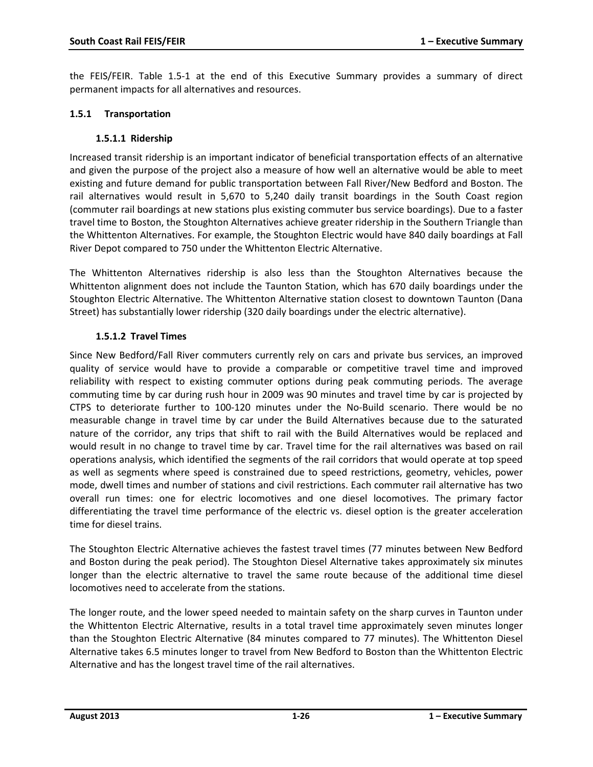the FEIS/FEIR. Table 1.5-1 at the end of this Executive Summary provides a summary of direct permanent impacts for all alternatives and resources.

#### **1.5.1 Transportation**

#### **1.5.1.1 Ridership**

Increased transit ridership is an important indicator of beneficial transportation effects of an alternative and given the purpose of the project also a measure of how well an alternative would be able to meet existing and future demand for public transportation between Fall River/New Bedford and Boston. The rail alternatives would result in 5,670 to 5,240 daily transit boardings in the South Coast region (commuter rail boardings at new stations plus existing commuter bus service boardings). Due to a faster travel time to Boston, the Stoughton Alternatives achieve greater ridership in the Southern Triangle than the Whittenton Alternatives. For example, the Stoughton Electric would have 840 daily boardings at Fall River Depot compared to 750 under the Whittenton Electric Alternative.

The Whittenton Alternatives ridership is also less than the Stoughton Alternatives because the Whittenton alignment does not include the Taunton Station, which has 670 daily boardings under the Stoughton Electric Alternative. The Whittenton Alternative station closest to downtown Taunton (Dana Street) has substantially lower ridership (320 daily boardings under the electric alternative).

#### **1.5.1.2 Travel Times**

Since New Bedford/Fall River commuters currently rely on cars and private bus services, an improved quality of service would have to provide a comparable or competitive travel time and improved reliability with respect to existing commuter options during peak commuting periods. The average commuting time by car during rush hour in 2009 was 90 minutes and travel time by car is projected by CTPS to deteriorate further to 100-120 minutes under the No-Build scenario. There would be no measurable change in travel time by car under the Build Alternatives because due to the saturated nature of the corridor, any trips that shift to rail with the Build Alternatives would be replaced and would result in no change to travel time by car. Travel time for the rail alternatives was based on rail operations analysis, which identified the segments of the rail corridors that would operate at top speed as well as segments where speed is constrained due to speed restrictions, geometry, vehicles, power mode, dwell times and number of stations and civil restrictions. Each commuter rail alternative has two overall run times: one for electric locomotives and one diesel locomotives. The primary factor differentiating the travel time performance of the electric vs. diesel option is the greater acceleration time for diesel trains.

The Stoughton Electric Alternative achieves the fastest travel times (77 minutes between New Bedford and Boston during the peak period). The Stoughton Diesel Alternative takes approximately six minutes longer than the electric alternative to travel the same route because of the additional time diesel locomotives need to accelerate from the stations.

The longer route, and the lower speed needed to maintain safety on the sharp curves in Taunton under the Whittenton Electric Alternative, results in a total travel time approximately seven minutes longer than the Stoughton Electric Alternative (84 minutes compared to 77 minutes). The Whittenton Diesel Alternative takes 6.5 minutes longer to travel from New Bedford to Boston than the Whittenton Electric Alternative and has the longest travel time of the rail alternatives.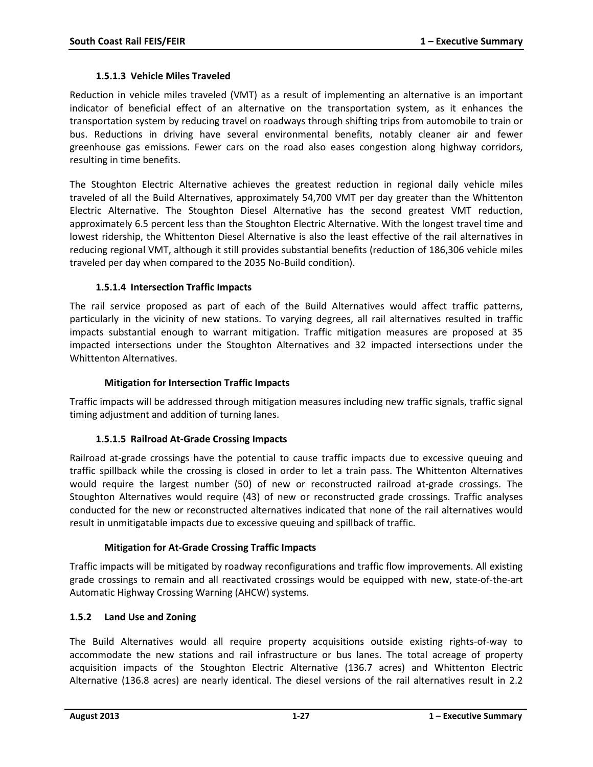#### **1.5.1.3 Vehicle Miles Traveled**

Reduction in vehicle miles traveled (VMT) as a result of implementing an alternative is an important indicator of beneficial effect of an alternative on the transportation system, as it enhances the transportation system by reducing travel on roadways through shifting trips from automobile to train or bus. Reductions in driving have several environmental benefits, notably cleaner air and fewer greenhouse gas emissions. Fewer cars on the road also eases congestion along highway corridors, resulting in time benefits.

The Stoughton Electric Alternative achieves the greatest reduction in regional daily vehicle miles traveled of all the Build Alternatives, approximately 54,700 VMT per day greater than the Whittenton Electric Alternative. The Stoughton Diesel Alternative has the second greatest VMT reduction, approximately 6.5 percent less than the Stoughton Electric Alternative. With the longest travel time and lowest ridership, the Whittenton Diesel Alternative is also the least effective of the rail alternatives in reducing regional VMT, although it still provides substantial benefits (reduction of 186,306 vehicle miles traveled per day when compared to the 2035 No-Build condition).

#### **1.5.1.4 Intersection Traffic Impacts**

The rail service proposed as part of each of the Build Alternatives would affect traffic patterns, particularly in the vicinity of new stations. To varying degrees, all rail alternatives resulted in traffic impacts substantial enough to warrant mitigation. Traffic mitigation measures are proposed at 35 impacted intersections under the Stoughton Alternatives and 32 impacted intersections under the Whittenton Alternatives.

#### **Mitigation for Intersection Traffic Impacts**

Traffic impacts will be addressed through mitigation measures including new traffic signals, traffic signal timing adjustment and addition of turning lanes.

### **1.5.1.5 Railroad At-Grade Crossing Impacts**

Railroad at-grade crossings have the potential to cause traffic impacts due to excessive queuing and traffic spillback while the crossing is closed in order to let a train pass. The Whittenton Alternatives would require the largest number (50) of new or reconstructed railroad at-grade crossings. The Stoughton Alternatives would require (43) of new or reconstructed grade crossings. Traffic analyses conducted for the new or reconstructed alternatives indicated that none of the rail alternatives would result in unmitigatable impacts due to excessive queuing and spillback of traffic.

### **Mitigation for At-Grade Crossing Traffic Impacts**

Traffic impacts will be mitigated by roadway reconfigurations and traffic flow improvements. All existing grade crossings to remain and all reactivated crossings would be equipped with new, state-of-the-art Automatic Highway Crossing Warning (AHCW) systems.

#### **1.5.2 Land Use and Zoning**

The Build Alternatives would all require property acquisitions outside existing rights-of-way to accommodate the new stations and rail infrastructure or bus lanes. The total acreage of property acquisition impacts of the Stoughton Electric Alternative (136.7 acres) and Whittenton Electric Alternative (136.8 acres) are nearly identical. The diesel versions of the rail alternatives result in 2.2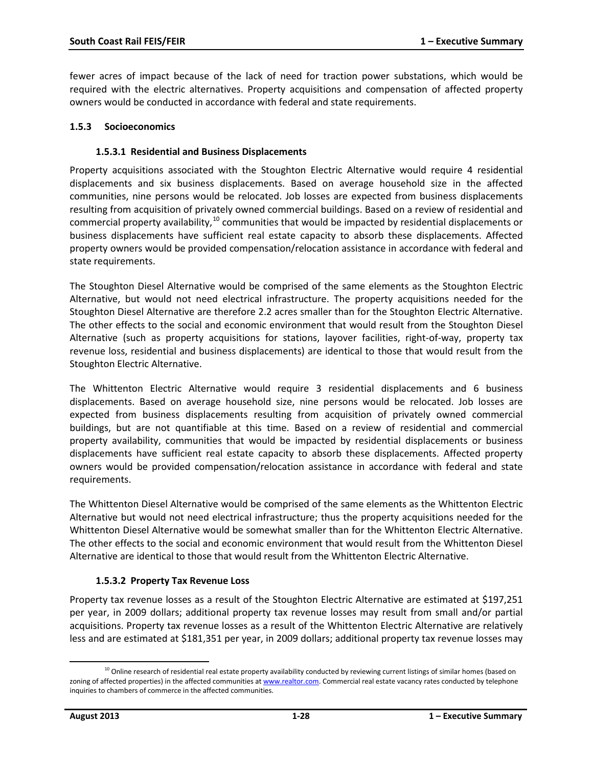fewer acres of impact because of the lack of need for traction power substations, which would be required with the electric alternatives. Property acquisitions and compensation of affected property owners would be conducted in accordance with federal and state requirements.

#### **1.5.3 Socioeconomics**

#### **1.5.3.1 Residential and Business Displacements**

Property acquisitions associated with the Stoughton Electric Alternative would require 4 residential displacements and six business displacements. Based on average household size in the affected communities, nine persons would be relocated. Job losses are expected from business displacements resulting from acquisition of privately owned commercial buildings. Based on a review of residential and commercial property availability, $^{10}$  $^{10}$  $^{10}$  communities that would be impacted by residential displacements or business displacements have sufficient real estate capacity to absorb these displacements. Affected property owners would be provided compensation/relocation assistance in accordance with federal and state requirements.

The Stoughton Diesel Alternative would be comprised of the same elements as the Stoughton Electric Alternative, but would not need electrical infrastructure. The property acquisitions needed for the Stoughton Diesel Alternative are therefore 2.2 acres smaller than for the Stoughton Electric Alternative. The other effects to the social and economic environment that would result from the Stoughton Diesel Alternative (such as property acquisitions for stations, layover facilities, right-of-way, property tax revenue loss, residential and business displacements) are identical to those that would result from the Stoughton Electric Alternative.

The Whittenton Electric Alternative would require 3 residential displacements and 6 business displacements. Based on average household size, nine persons would be relocated. Job losses are expected from business displacements resulting from acquisition of privately owned commercial buildings, but are not quantifiable at this time. Based on a review of residential and commercial property availability, communities that would be impacted by residential displacements or business displacements have sufficient real estate capacity to absorb these displacements. Affected property owners would be provided compensation/relocation assistance in accordance with federal and state requirements.

The Whittenton Diesel Alternative would be comprised of the same elements as the Whittenton Electric Alternative but would not need electrical infrastructure; thus the property acquisitions needed for the Whittenton Diesel Alternative would be somewhat smaller than for the Whittenton Electric Alternative. The other effects to the social and economic environment that would result from the Whittenton Diesel Alternative are identical to those that would result from the Whittenton Electric Alternative.

### **1.5.3.2 Property Tax Revenue Loss**

Property tax revenue losses as a result of the Stoughton Electric Alternative are estimated at \$197,251 per year, in 2009 dollars; additional property tax revenue losses may result from small and/or partial acquisitions. Property tax revenue losses as a result of the Whittenton Electric Alternative are relatively less and are estimated at \$181,351 per year, in 2009 dollars; additional property tax revenue losses may

<span id="page-27-0"></span> $^{10}$  Online research of residential real estate property availability conducted by reviewing current listings of similar homes (based on zoning of affected properties) in the affected communities a[t www.realtor.com.](http://www.realtor.com/) Commercial real estate vacancy rates conducted by telephone inquiries to chambers of commerce in the affected communities. l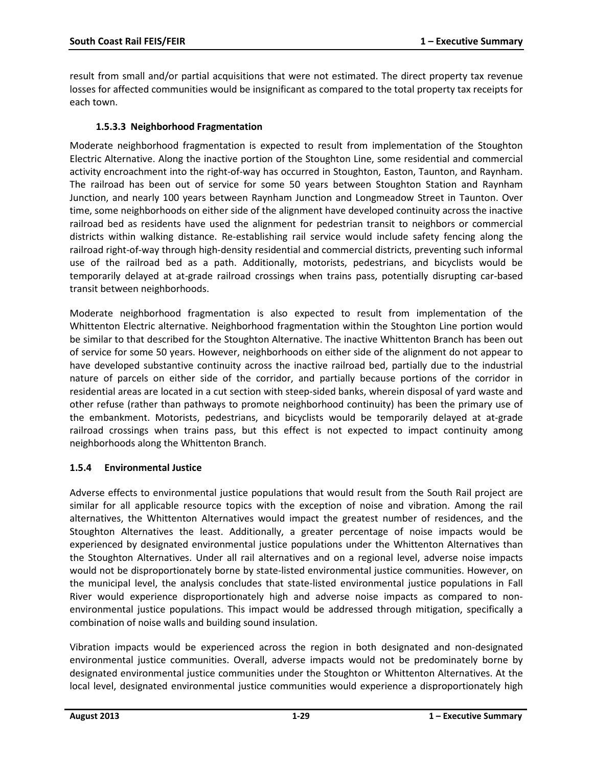result from small and/or partial acquisitions that were not estimated. The direct property tax revenue losses for affected communities would be insignificant as compared to the total property tax receipts for each town.

### **1.5.3.3 Neighborhood Fragmentation**

Moderate neighborhood fragmentation is expected to result from implementation of the Stoughton Electric Alternative. Along the inactive portion of the Stoughton Line, some residential and commercial activity encroachment into the right-of-way has occurred in Stoughton, Easton, Taunton, and Raynham. The railroad has been out of service for some 50 years between Stoughton Station and Raynham Junction, and nearly 100 years between Raynham Junction and Longmeadow Street in Taunton. Over time, some neighborhoods on either side of the alignment have developed continuity across the inactive railroad bed as residents have used the alignment for pedestrian transit to neighbors or commercial districts within walking distance. Re-establishing rail service would include safety fencing along the railroad right-of-way through high-density residential and commercial districts, preventing such informal use of the railroad bed as a path. Additionally, motorists, pedestrians, and bicyclists would be temporarily delayed at at-grade railroad crossings when trains pass, potentially disrupting car-based transit between neighborhoods.

Moderate neighborhood fragmentation is also expected to result from implementation of the Whittenton Electric alternative. Neighborhood fragmentation within the Stoughton Line portion would be similar to that described for the Stoughton Alternative. The inactive Whittenton Branch has been out of service for some 50 years. However, neighborhoods on either side of the alignment do not appear to have developed substantive continuity across the inactive railroad bed, partially due to the industrial nature of parcels on either side of the corridor, and partially because portions of the corridor in residential areas are located in a cut section with steep-sided banks, wherein disposal of yard waste and other refuse (rather than pathways to promote neighborhood continuity) has been the primary use of the embankment. Motorists, pedestrians, and bicyclists would be temporarily delayed at at-grade railroad crossings when trains pass, but this effect is not expected to impact continuity among neighborhoods along the Whittenton Branch.

### **1.5.4 Environmental Justice**

Adverse effects to environmental justice populations that would result from the South Rail project are similar for all applicable resource topics with the exception of noise and vibration. Among the rail alternatives, the Whittenton Alternatives would impact the greatest number of residences, and the Stoughton Alternatives the least. Additionally, a greater percentage of noise impacts would be experienced by designated environmental justice populations under the Whittenton Alternatives than the Stoughton Alternatives. Under all rail alternatives and on a regional level, adverse noise impacts would not be disproportionately borne by state-listed environmental justice communities. However, on the municipal level, the analysis concludes that state-listed environmental justice populations in Fall River would experience disproportionately high and adverse noise impacts as compared to nonenvironmental justice populations. This impact would be addressed through mitigation, specifically a combination of noise walls and building sound insulation.

Vibration impacts would be experienced across the region in both designated and non-designated environmental justice communities. Overall, adverse impacts would not be predominately borne by designated environmental justice communities under the Stoughton or Whittenton Alternatives. At the local level, designated environmental justice communities would experience a disproportionately high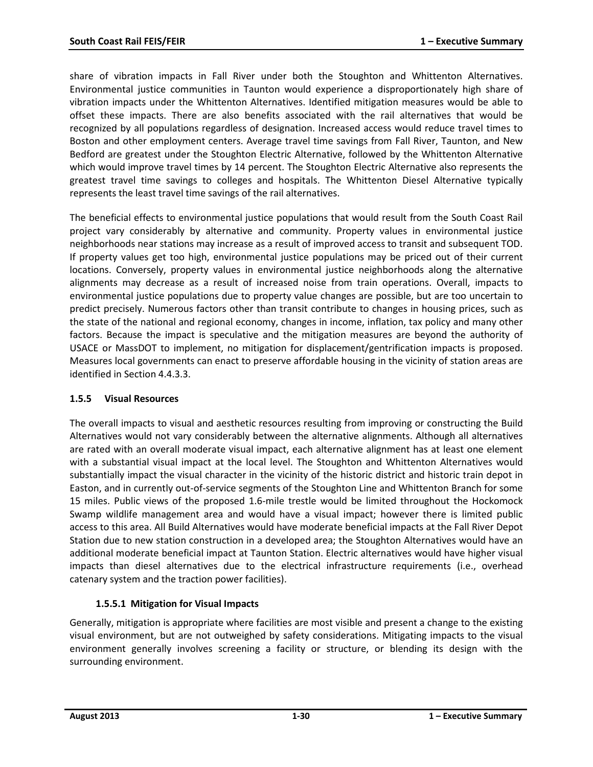share of vibration impacts in Fall River under both the Stoughton and Whittenton Alternatives. Environmental justice communities in Taunton would experience a disproportionately high share of vibration impacts under the Whittenton Alternatives. Identified mitigation measures would be able to offset these impacts. There are also benefits associated with the rail alternatives that would be recognized by all populations regardless of designation. Increased access would reduce travel times to Boston and other employment centers. Average travel time savings from Fall River, Taunton, and New Bedford are greatest under the Stoughton Electric Alternative, followed by the Whittenton Alternative which would improve travel times by 14 percent. The Stoughton Electric Alternative also represents the greatest travel time savings to colleges and hospitals. The Whittenton Diesel Alternative typically represents the least travel time savings of the rail alternatives.

The beneficial effects to environmental justice populations that would result from the South Coast Rail project vary considerably by alternative and community. Property values in environmental justice neighborhoods near stations may increase as a result of improved access to transit and subsequent TOD. If property values get too high, environmental justice populations may be priced out of their current locations. Conversely, property values in environmental justice neighborhoods along the alternative alignments may decrease as a result of increased noise from train operations. Overall, impacts to environmental justice populations due to property value changes are possible, but are too uncertain to predict precisely. Numerous factors other than transit contribute to changes in housing prices, such as the state of the national and regional economy, changes in income, inflation, tax policy and many other factors. Because the impact is speculative and the mitigation measures are beyond the authority of USACE or MassDOT to implement, no mitigation for displacement/gentrification impacts is proposed. Measures local governments can enact to preserve affordable housing in the vicinity of station areas are identified in Section 4.4.3.3.

### **1.5.5 Visual Resources**

The overall impacts to visual and aesthetic resources resulting from improving or constructing the Build Alternatives would not vary considerably between the alternative alignments. Although all alternatives are rated with an overall moderate visual impact, each alternative alignment has at least one element with a substantial visual impact at the local level. The Stoughton and Whittenton Alternatives would substantially impact the visual character in the vicinity of the historic district and historic train depot in Easton, and in currently out-of-service segments of the Stoughton Line and Whittenton Branch for some 15 miles. Public views of the proposed 1.6-mile trestle would be limited throughout the Hockomock Swamp wildlife management area and would have a visual impact; however there is limited public access to this area. All Build Alternatives would have moderate beneficial impacts at the Fall River Depot Station due to new station construction in a developed area; the Stoughton Alternatives would have an additional moderate beneficial impact at Taunton Station. Electric alternatives would have higher visual impacts than diesel alternatives due to the electrical infrastructure requirements (i.e., overhead catenary system and the traction power facilities).

### **1.5.5.1 Mitigation for Visual Impacts**

Generally, mitigation is appropriate where facilities are most visible and present a change to the existing visual environment, but are not outweighed by safety considerations. Mitigating impacts to the visual environment generally involves screening a facility or structure, or blending its design with the surrounding environment.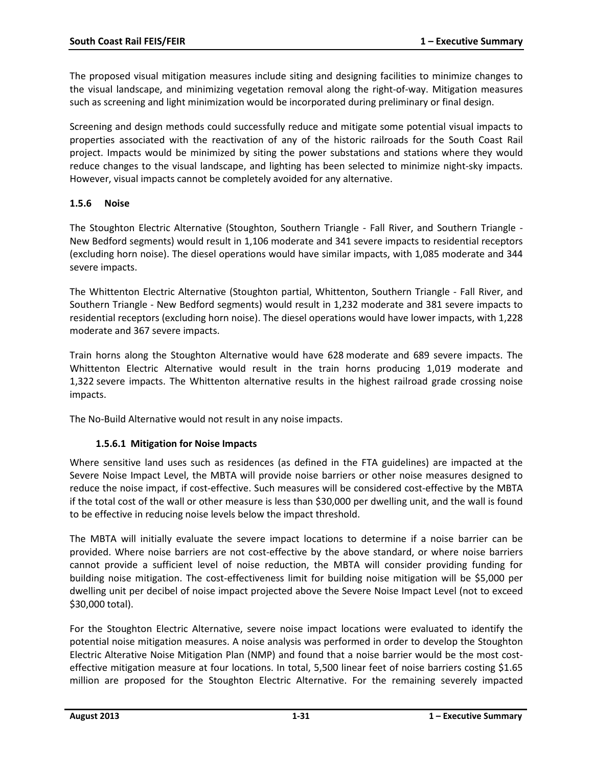The proposed visual mitigation measures include siting and designing facilities to minimize changes to the visual landscape, and minimizing vegetation removal along the right-of-way. Mitigation measures such as screening and light minimization would be incorporated during preliminary or final design.

Screening and design methods could successfully reduce and mitigate some potential visual impacts to properties associated with the reactivation of any of the historic railroads for the South Coast Rail project. Impacts would be minimized by siting the power substations and stations where they would reduce changes to the visual landscape, and lighting has been selected to minimize night-sky impacts. However, visual impacts cannot be completely avoided for any alternative.

#### **1.5.6 Noise**

The Stoughton Electric Alternative (Stoughton, Southern Triangle - Fall River, and Southern Triangle - New Bedford segments) would result in 1,106 moderate and 341 severe impacts to residential receptors (excluding horn noise). The diesel operations would have similar impacts, with 1,085 moderate and 344 severe impacts.

The Whittenton Electric Alternative (Stoughton partial, Whittenton, Southern Triangle - Fall River, and Southern Triangle - New Bedford segments) would result in 1,232 moderate and 381 severe impacts to residential receptors (excluding horn noise). The diesel operations would have lower impacts, with 1,228 moderate and 367 severe impacts.

Train horns along the Stoughton Alternative would have 628 moderate and 689 severe impacts. The Whittenton Electric Alternative would result in the train horns producing 1,019 moderate and 1,322 severe impacts. The Whittenton alternative results in the highest railroad grade crossing noise impacts.

The No-Build Alternative would not result in any noise impacts.

### **1.5.6.1 Mitigation for Noise Impacts**

Where sensitive land uses such as residences (as defined in the FTA guidelines) are impacted at the Severe Noise Impact Level, the MBTA will provide noise barriers or other noise measures designed to reduce the noise impact, if cost-effective. Such measures will be considered cost-effective by the MBTA if the total cost of the wall or other measure is less than \$30,000 per dwelling unit, and the wall is found to be effective in reducing noise levels below the impact threshold.

The MBTA will initially evaluate the severe impact locations to determine if a noise barrier can be provided. Where noise barriers are not cost-effective by the above standard, or where noise barriers cannot provide a sufficient level of noise reduction, the MBTA will consider providing funding for building noise mitigation. The cost-effectiveness limit for building noise mitigation will be \$5,000 per dwelling unit per decibel of noise impact projected above the Severe Noise Impact Level (not to exceed \$30,000 total).

For the Stoughton Electric Alternative, severe noise impact locations were evaluated to identify the potential noise mitigation measures. A noise analysis was performed in order to develop the Stoughton Electric Alterative Noise Mitigation Plan (NMP) and found that a noise barrier would be the most costeffective mitigation measure at four locations. In total, 5,500 linear feet of noise barriers costing \$1.65 million are proposed for the Stoughton Electric Alternative. For the remaining severely impacted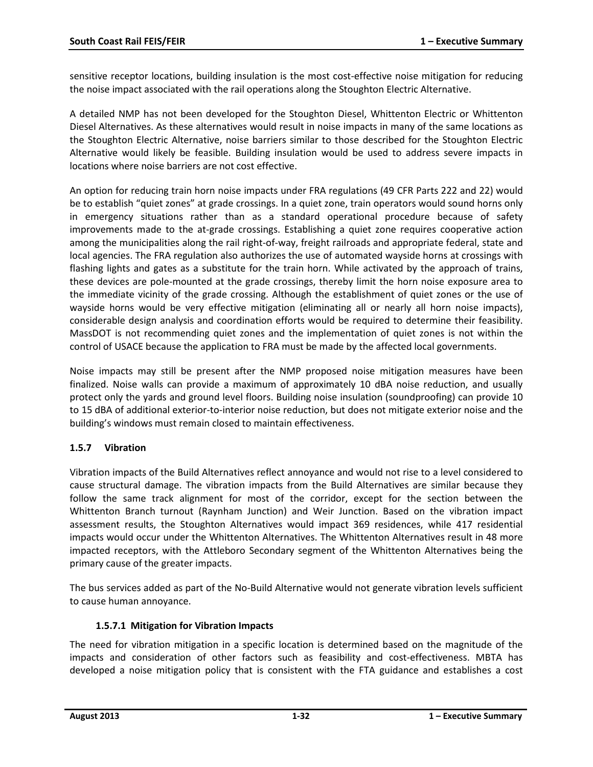sensitive receptor locations, building insulation is the most cost-effective noise mitigation for reducing the noise impact associated with the rail operations along the Stoughton Electric Alternative.

A detailed NMP has not been developed for the Stoughton Diesel, Whittenton Electric or Whittenton Diesel Alternatives. As these alternatives would result in noise impacts in many of the same locations as the Stoughton Electric Alternative, noise barriers similar to those described for the Stoughton Electric Alternative would likely be feasible. Building insulation would be used to address severe impacts in locations where noise barriers are not cost effective.

An option for reducing train horn noise impacts under FRA regulations (49 CFR Parts 222 and 22) would be to establish "quiet zones" at grade crossings. In a quiet zone, train operators would sound horns only in emergency situations rather than as a standard operational procedure because of safety improvements made to the at-grade crossings. Establishing a quiet zone requires cooperative action among the municipalities along the rail right-of-way, freight railroads and appropriate federal, state and local agencies. The FRA regulation also authorizes the use of automated wayside horns at crossings with flashing lights and gates as a substitute for the train horn. While activated by the approach of trains, these devices are pole-mounted at the grade crossings, thereby limit the horn noise exposure area to the immediate vicinity of the grade crossing. Although the establishment of quiet zones or the use of wayside horns would be very effective mitigation (eliminating all or nearly all horn noise impacts), considerable design analysis and coordination efforts would be required to determine their feasibility. MassDOT is not recommending quiet zones and the implementation of quiet zones is not within the control of USACE because the application to FRA must be made by the affected local governments.

Noise impacts may still be present after the NMP proposed noise mitigation measures have been finalized. Noise walls can provide a maximum of approximately 10 dBA noise reduction, and usually protect only the yards and ground level floors. Building noise insulation (soundproofing) can provide 10 to 15 dBA of additional exterior-to-interior noise reduction, but does not mitigate exterior noise and the building's windows must remain closed to maintain effectiveness.

### **1.5.7 Vibration**

Vibration impacts of the Build Alternatives reflect annoyance and would not rise to a level considered to cause structural damage. The vibration impacts from the Build Alternatives are similar because they follow the same track alignment for most of the corridor, except for the section between the Whittenton Branch turnout (Raynham Junction) and Weir Junction. Based on the vibration impact assessment results, the Stoughton Alternatives would impact 369 residences, while 417 residential impacts would occur under the Whittenton Alternatives. The Whittenton Alternatives result in 48 more impacted receptors, with the Attleboro Secondary segment of the Whittenton Alternatives being the primary cause of the greater impacts.

The bus services added as part of the No-Build Alternative would not generate vibration levels sufficient to cause human annoyance.

### **1.5.7.1 Mitigation for Vibration Impacts**

The need for vibration mitigation in a specific location is determined based on the magnitude of the impacts and consideration of other factors such as feasibility and cost-effectiveness. MBTA has developed a noise mitigation policy that is consistent with the FTA guidance and establishes a cost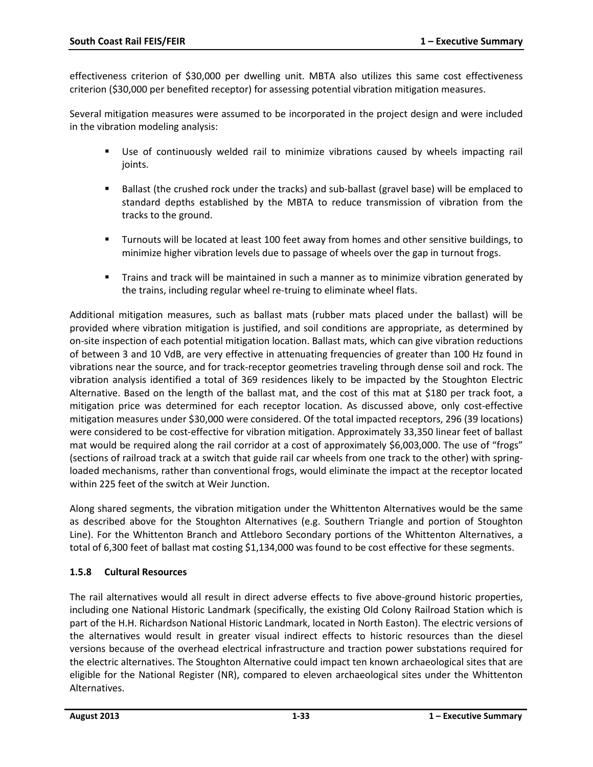effectiveness criterion of \$30,000 per dwelling unit. MBTA also utilizes this same cost effectiveness criterion (\$30,000 per benefited receptor) for assessing potential vibration mitigation measures.

Several mitigation measures were assumed to be incorporated in the project design and were included in the vibration modeling analysis:

- Use of continuously welded rail to minimize vibrations caused by wheels impacting rail joints.
- Ballast (the crushed rock under the tracks) and sub-ballast (gravel base) will be emplaced to standard depths established by the MBTA to reduce transmission of vibration from the tracks to the ground.
- Turnouts will be located at least 100 feet away from homes and other sensitive buildings, to minimize higher vibration levels due to passage of wheels over the gap in turnout frogs.
- Trains and track will be maintained in such a manner as to minimize vibration generated by the trains, including regular wheel re-truing to eliminate wheel flats.

Additional mitigation measures, such as ballast mats (rubber mats placed under the ballast) will be provided where vibration mitigation is justified, and soil conditions are appropriate, as determined by on-site inspection of each potential mitigation location. Ballast mats, which can give vibration reductions of between 3 and 10 VdB, are very effective in attenuating frequencies of greater than 100 Hz found in vibrations near the source, and for track-receptor geometries traveling through dense soil and rock. The vibration analysis identified a total of 369 residences likely to be impacted by the Stoughton Electric Alternative. Based on the length of the ballast mat, and the cost of this mat at \$180 per track foot, a mitigation price was determined for each receptor location. As discussed above, only cost-effective mitigation measures under \$30,000 were considered. Of the total impacted receptors, 296 (39 locations) were considered to be cost-effective for vibration mitigation. Approximately 33,350 linear feet of ballast mat would be required along the rail corridor at a cost of approximately \$6,003,000. The use of "frogs" (sections of railroad track at a switch that guide rail car wheels from one track to the other) with springloaded mechanisms, rather than conventional frogs, would eliminate the impact at the receptor located within 225 feet of the switch at Weir Junction.

Along shared segments, the vibration mitigation under the Whittenton Alternatives would be the same as described above for the Stoughton Alternatives (e.g. Southern Triangle and portion of Stoughton Line). For the Whittenton Branch and Attleboro Secondary portions of the Whittenton Alternatives, a total of 6,300 feet of ballast mat costing \$1,134,000 was found to be cost effective for these segments.

### **1.5.8 Cultural Resources**

The rail alternatives would all result in direct adverse effects to five above-ground historic properties, including one National Historic Landmark (specifically, the existing Old Colony Railroad Station which is part of the H.H. Richardson National Historic Landmark, located in North Easton). The electric versions of the alternatives would result in greater visual indirect effects to historic resources than the diesel versions because of the overhead electrical infrastructure and traction power substations required for the electric alternatives. The Stoughton Alternative could impact ten known archaeological sites that are eligible for the National Register (NR), compared to eleven archaeological sites under the Whittenton Alternatives.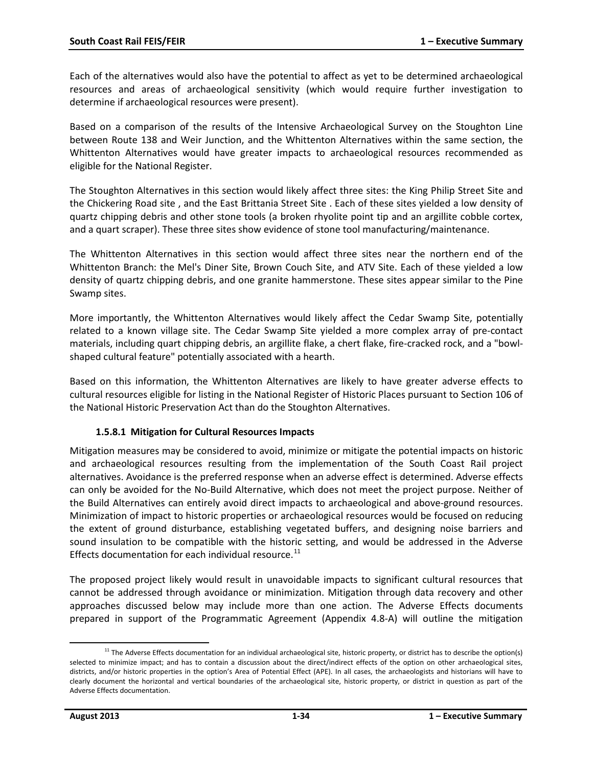Each of the alternatives would also have the potential to affect as yet to be determined archaeological resources and areas of archaeological sensitivity (which would require further investigation to determine if archaeological resources were present).

Based on a comparison of the results of the Intensive Archaeological Survey on the Stoughton Line between Route 138 and Weir Junction, and the Whittenton Alternatives within the same section, the Whittenton Alternatives would have greater impacts to archaeological resources recommended as eligible for the National Register.

The Stoughton Alternatives in this section would likely affect three sites: the King Philip Street Site and the Chickering Road site , and the East Brittania Street Site . Each of these sites yielded a low density of quartz chipping debris and other stone tools (a broken rhyolite point tip and an argillite cobble cortex, and a quart scraper). These three sites show evidence of stone tool manufacturing/maintenance.

The Whittenton Alternatives in this section would affect three sites near the northern end of the Whittenton Branch: the Mel's Diner Site, Brown Couch Site, and ATV Site. Each of these yielded a low density of quartz chipping debris, and one granite hammerstone. These sites appear similar to the Pine Swamp sites.

More importantly, the Whittenton Alternatives would likely affect the Cedar Swamp Site, potentially related to a known village site. The Cedar Swamp Site yielded a more complex array of pre-contact materials, including quart chipping debris, an argillite flake, a chert flake, fire-cracked rock, and a "bowlshaped cultural feature" potentially associated with a hearth.

Based on this information, the Whittenton Alternatives are likely to have greater adverse effects to cultural resources eligible for listing in the National Register of Historic Places pursuant to Section 106 of the National Historic Preservation Act than do the Stoughton Alternatives.

### **1.5.8.1 Mitigation for Cultural Resources Impacts**

Mitigation measures may be considered to avoid, minimize or mitigate the potential impacts on historic and archaeological resources resulting from the implementation of the South Coast Rail project alternatives. Avoidance is the preferred response when an adverse effect is determined. Adverse effects can only be avoided for the No-Build Alternative, which does not meet the project purpose. Neither of the Build Alternatives can entirely avoid direct impacts to archaeological and above-ground resources. Minimization of impact to historic properties or archaeological resources would be focused on reducing the extent of ground disturbance, establishing vegetated buffers, and designing noise barriers and sound insulation to be compatible with the historic setting, and would be addressed in the Adverse Effects documentation for each individual resource.<sup>[11](#page-33-0)</sup>

The proposed project likely would result in unavoidable impacts to significant cultural resources that cannot be addressed through avoidance or minimization. Mitigation through data recovery and other approaches discussed below may include more than one action. The Adverse Effects documents prepared in support of the Programmatic Agreement (Appendix 4.8-A) will outline the mitigation

<span id="page-33-0"></span> $11$  The Adverse Effects documentation for an individual archaeological site, historic property, or district has to describe the option(s) selected to minimize impact; and has to contain a discussion about the direct/indirect effects of the option on other archaeological sites, districts, and/or historic properties in the option's Area of Potential Effect (APE). In all cases, the archaeologists and historians will have to clearly document the horizontal and vertical boundaries of the archaeological site, historic property, or district in question as part of the Adverse Effects documentation. l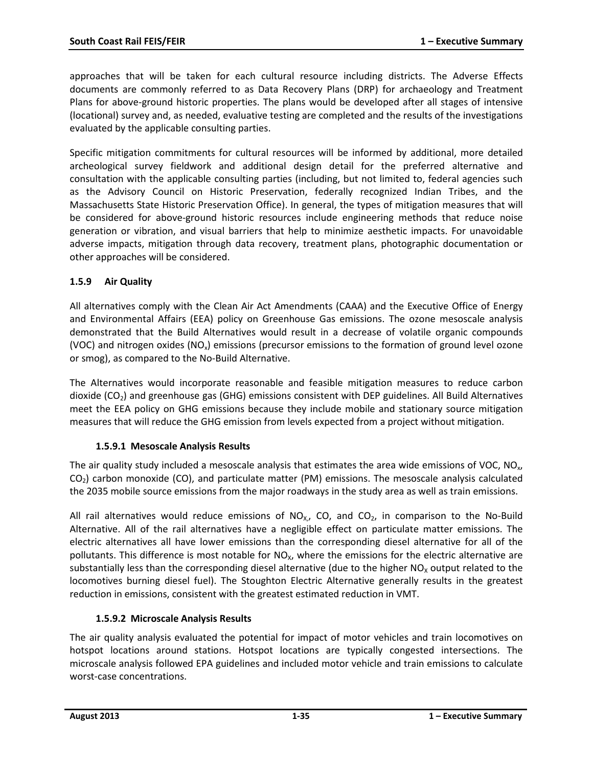approaches that will be taken for each cultural resource including districts. The Adverse Effects documents are commonly referred to as Data Recovery Plans (DRP) for archaeology and Treatment Plans for above-ground historic properties. The plans would be developed after all stages of intensive (locational) survey and, as needed, evaluative testing are completed and the results of the investigations evaluated by the applicable consulting parties.

Specific mitigation commitments for cultural resources will be informed by additional, more detailed archeological survey fieldwork and additional design detail for the preferred alternative and consultation with the applicable consulting parties (including, but not limited to, federal agencies such as the Advisory Council on Historic Preservation, federally recognized Indian Tribes, and the Massachusetts State Historic Preservation Office). In general, the types of mitigation measures that will be considered for above-ground historic resources include engineering methods that reduce noise generation or vibration, and visual barriers that help to minimize aesthetic impacts. For unavoidable adverse impacts, mitigation through data recovery, treatment plans, photographic documentation or other approaches will be considered.

### **1.5.9 Air Quality**

All alternatives comply with the Clean Air Act Amendments (CAAA) and the Executive Office of Energy and Environmental Affairs (EEA) policy on Greenhouse Gas emissions. The ozone mesoscale analysis demonstrated that the Build Alternatives would result in a decrease of volatile organic compounds (VOC) and nitrogen oxides (NO<sub>x</sub>) emissions (precursor emissions to the formation of ground level ozone or smog), as compared to the No-Build Alternative.

The Alternatives would incorporate reasonable and feasible mitigation measures to reduce carbon dioxide  $(CO<sub>2</sub>)$  and greenhouse gas (GHG) emissions consistent with DEP guidelines. All Build Alternatives meet the EEA policy on GHG emissions because they include mobile and stationary source mitigation measures that will reduce the GHG emission from levels expected from a project without mitigation.

### **1.5.9.1 Mesoscale Analysis Results**

The air quality study included a mesoscale analysis that estimates the area wide emissions of VOC, NO<sub>y</sub>,  $CO<sub>2</sub>$ ) carbon monoxide (CO), and particulate matter (PM) emissions. The mesoscale analysis calculated the 2035 mobile source emissions from the major roadways in the study area as well as train emissions.

All rail alternatives would reduce emissions of  $NO_{X,Y}$  CO, and CO<sub>2</sub>, in comparison to the No-Build Alternative. All of the rail alternatives have a negligible effect on particulate matter emissions. The electric alternatives all have lower emissions than the corresponding diesel alternative for all of the pollutants. This difference is most notable for  $NO<sub>x</sub>$ , where the emissions for the electric alternative are substantially less than the corresponding diesel alternative (due to the higher  $NO<sub>x</sub>$  output related to the locomotives burning diesel fuel). The Stoughton Electric Alternative generally results in the greatest reduction in emissions, consistent with the greatest estimated reduction in VMT.

### **1.5.9.2 Microscale Analysis Results**

The air quality analysis evaluated the potential for impact of motor vehicles and train locomotives on hotspot locations around stations. Hotspot locations are typically congested intersections. The microscale analysis followed EPA guidelines and included motor vehicle and train emissions to calculate worst-case concentrations.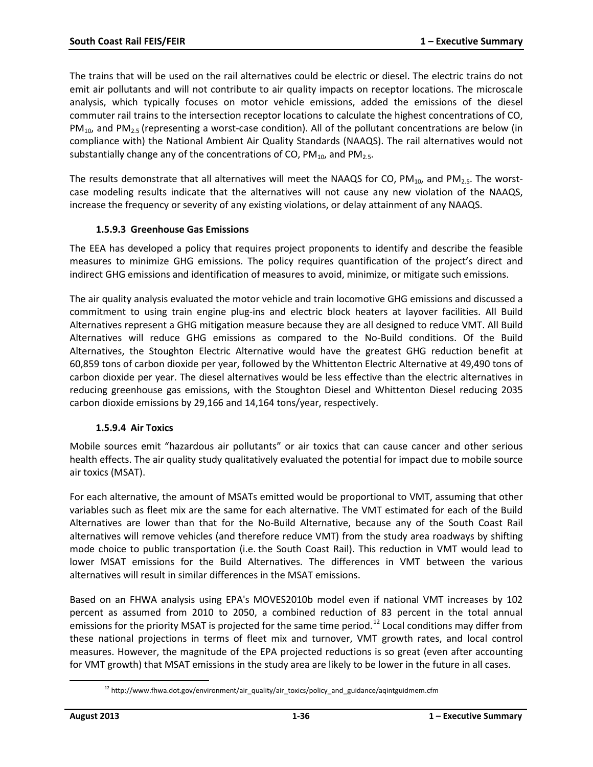The trains that will be used on the rail alternatives could be electric or diesel. The electric trains do not emit air pollutants and will not contribute to air quality impacts on receptor locations. The microscale analysis, which typically focuses on motor vehicle emissions, added the emissions of the diesel commuter rail trains to the intersection receptor locations to calculate the highest concentrations of CO,  $PM_{10}$ , and PM<sub>2.5</sub> (representing a worst-case condition). All of the pollutant concentrations are below (in compliance with) the National Ambient Air Quality Standards (NAAQS). The rail alternatives would not substantially change any of the concentrations of CO,  $PM_{10}$ , and  $PM_{2.5}$ .

The results demonstrate that all alternatives will meet the NAAQS for CO, PM<sub>10</sub>, and PM<sub>2.5</sub>. The worstcase modeling results indicate that the alternatives will not cause any new violation of the NAAQS, increase the frequency or severity of any existing violations, or delay attainment of any NAAQS.

### **1.5.9.3 Greenhouse Gas Emissions**

The EEA has developed a policy that requires project proponents to identify and describe the feasible measures to minimize GHG emissions. The policy requires quantification of the project's direct and indirect GHG emissions and identification of measures to avoid, minimize, or mitigate such emissions.

The air quality analysis evaluated the motor vehicle and train locomotive GHG emissions and discussed a commitment to using train engine plug-ins and electric block heaters at layover facilities. All Build Alternatives represent a GHG mitigation measure because they are all designed to reduce VMT. All Build Alternatives will reduce GHG emissions as compared to the No-Build conditions. Of the Build Alternatives, the Stoughton Electric Alternative would have the greatest GHG reduction benefit at 60,859 tons of carbon dioxide per year, followed by the Whittenton Electric Alternative at 49,490 tons of carbon dioxide per year. The diesel alternatives would be less effective than the electric alternatives in reducing greenhouse gas emissions, with the Stoughton Diesel and Whittenton Diesel reducing 2035 carbon dioxide emissions by 29,166 and 14,164 tons/year, respectively.

### **1.5.9.4 Air Toxics**

Mobile sources emit "hazardous air pollutants" or air toxics that can cause cancer and other serious health effects. The air quality study qualitatively evaluated the potential for impact due to mobile source air toxics (MSAT).

For each alternative, the amount of MSATs emitted would be proportional to VMT, assuming that other variables such as fleet mix are the same for each alternative. The VMT estimated for each of the Build Alternatives are lower than that for the No-Build Alternative, because any of the South Coast Rail alternatives will remove vehicles (and therefore reduce VMT) from the study area roadways by shifting mode choice to public transportation (i.e. the South Coast Rail). This reduction in VMT would lead to lower MSAT emissions for the Build Alternatives. The differences in VMT between the various alternatives will result in similar differences in the MSAT emissions.

Based on an FHWA analysis using EPA's MOVES2010b model even if national VMT increases by 102 percent as assumed from 2010 to 2050, a combined reduction of 83 percent in the total annual emissions for the priority MSAT is projected for the same time period.<sup>[12](#page-35-0)</sup> Local conditions may differ from these national projections in terms of fleet mix and turnover, VMT growth rates, and local control measures. However, the magnitude of the EPA projected reductions is so great (even after accounting for VMT growth) that MSAT emissions in the study area are likely to be lower in the future in all cases.

<span id="page-35-0"></span>l

 $12$  http://www.fhwa.dot.gov/environment/air\_quality/air\_toxics/policy\_and\_guidance/aqintguidmem.cfm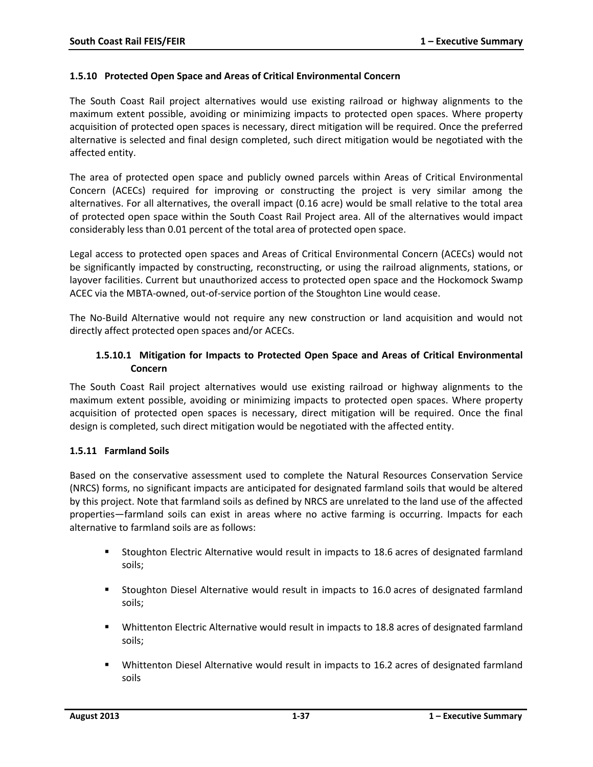#### **1.5.10 Protected Open Space and Areas of Critical Environmental Concern**

The South Coast Rail project alternatives would use existing railroad or highway alignments to the maximum extent possible, avoiding or minimizing impacts to protected open spaces. Where property acquisition of protected open spaces is necessary, direct mitigation will be required. Once the preferred alternative is selected and final design completed, such direct mitigation would be negotiated with the affected entity.

The area of protected open space and publicly owned parcels within Areas of Critical Environmental Concern (ACECs) required for improving or constructing the project is very similar among the alternatives. For all alternatives, the overall impact (0.16 acre) would be small relative to the total area of protected open space within the South Coast Rail Project area. All of the alternatives would impact considerably less than 0.01 percent of the total area of protected open space.

Legal access to protected open spaces and Areas of Critical Environmental Concern (ACECs) would not be significantly impacted by constructing, reconstructing, or using the railroad alignments, stations, or layover facilities. Current but unauthorized access to protected open space and the Hockomock Swamp ACEC via the MBTA-owned, out-of-service portion of the Stoughton Line would cease.

The No-Build Alternative would not require any new construction or land acquisition and would not directly affect protected open spaces and/or ACECs.

## **1.5.10.1 Mitigation for Impacts to Protected Open Space and Areas of Critical Environmental Concern**

The South Coast Rail project alternatives would use existing railroad or highway alignments to the maximum extent possible, avoiding or minimizing impacts to protected open spaces. Where property acquisition of protected open spaces is necessary, direct mitigation will be required. Once the final design is completed, such direct mitigation would be negotiated with the affected entity.

### **1.5.11 Farmland Soils**

Based on the conservative assessment used to complete the Natural Resources Conservation Service (NRCS) forms, no significant impacts are anticipated for designated farmland soils that would be altered by this project. Note that farmland soils as defined by NRCS are unrelated to the land use of the affected properties—farmland soils can exist in areas where no active farming is occurring. Impacts for each alternative to farmland soils are as follows:

- Stoughton Electric Alternative would result in impacts to 18.6 acres of designated farmland soils;
- Stoughton Diesel Alternative would result in impacts to 16.0 acres of designated farmland soils;
- Whittenton Electric Alternative would result in impacts to 18.8 acres of designated farmland soils;
- Whittenton Diesel Alternative would result in impacts to 16.2 acres of designated farmland soils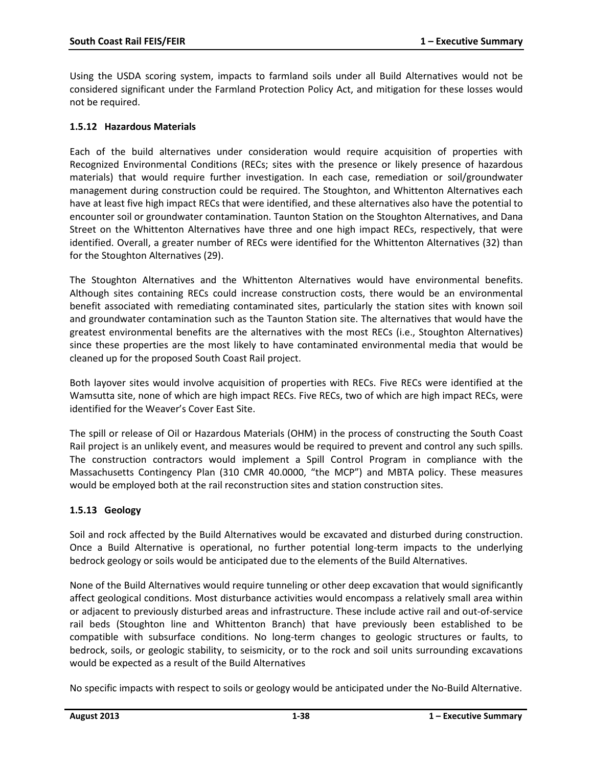Using the USDA scoring system, impacts to farmland soils under all Build Alternatives would not be considered significant under the Farmland Protection Policy Act, and mitigation for these losses would not be required.

#### **1.5.12 Hazardous Materials**

Each of the build alternatives under consideration would require acquisition of properties with Recognized Environmental Conditions (RECs; sites with the presence or likely presence of hazardous materials) that would require further investigation. In each case, remediation or soil/groundwater management during construction could be required. The Stoughton, and Whittenton Alternatives each have at least five high impact RECs that were identified, and these alternatives also have the potential to encounter soil or groundwater contamination. Taunton Station on the Stoughton Alternatives, and Dana Street on the Whittenton Alternatives have three and one high impact RECs, respectively, that were identified. Overall, a greater number of RECs were identified for the Whittenton Alternatives (32) than for the Stoughton Alternatives (29).

The Stoughton Alternatives and the Whittenton Alternatives would have environmental benefits. Although sites containing RECs could increase construction costs, there would be an environmental benefit associated with remediating contaminated sites, particularly the station sites with known soil and groundwater contamination such as the Taunton Station site. The alternatives that would have the greatest environmental benefits are the alternatives with the most RECs (i.e., Stoughton Alternatives) since these properties are the most likely to have contaminated environmental media that would be cleaned up for the proposed South Coast Rail project.

Both layover sites would involve acquisition of properties with RECs. Five RECs were identified at the Wamsutta site, none of which are high impact RECs. Five RECs, two of which are high impact RECs, were identified for the Weaver's Cover East Site.

The spill or release of Oil or Hazardous Materials (OHM) in the process of constructing the South Coast Rail project is an unlikely event, and measures would be required to prevent and control any such spills. The construction contractors would implement a Spill Control Program in compliance with the Massachusetts Contingency Plan (310 CMR 40.0000, "the MCP") and MBTA policy. These measures would be employed both at the rail reconstruction sites and station construction sites.

### **1.5.13 Geology**

Soil and rock affected by the Build Alternatives would be excavated and disturbed during construction. Once a Build Alternative is operational, no further potential long-term impacts to the underlying bedrock geology or soils would be anticipated due to the elements of the Build Alternatives.

None of the Build Alternatives would require tunneling or other deep excavation that would significantly affect geological conditions. Most disturbance activities would encompass a relatively small area within or adjacent to previously disturbed areas and infrastructure. These include active rail and out-of-service rail beds (Stoughton line and Whittenton Branch) that have previously been established to be compatible with subsurface conditions. No long-term changes to geologic structures or faults, to bedrock, soils, or geologic stability, to seismicity, or to the rock and soil units surrounding excavations would be expected as a result of the Build Alternatives

No specific impacts with respect to soils or geology would be anticipated under the No-Build Alternative.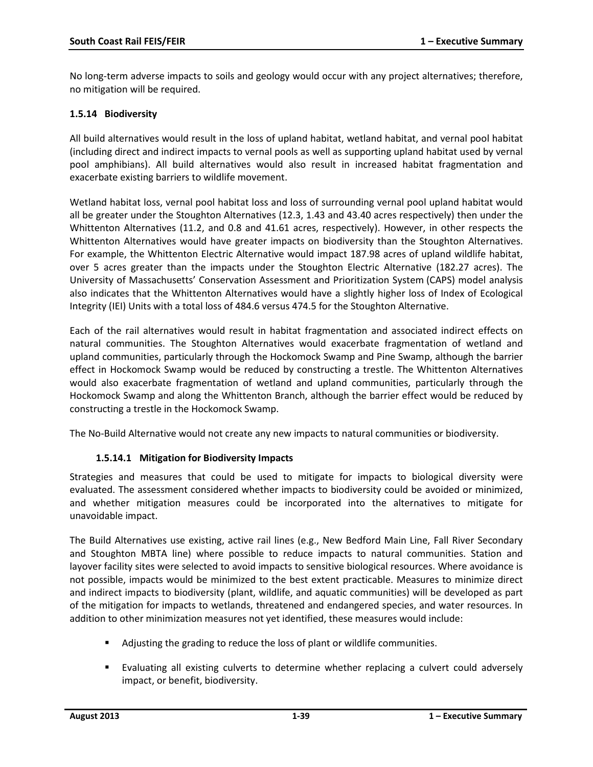No long-term adverse impacts to soils and geology would occur with any project alternatives; therefore, no mitigation will be required.

#### **1.5.14 Biodiversity**

All build alternatives would result in the loss of upland habitat, wetland habitat, and vernal pool habitat (including direct and indirect impacts to vernal pools as well as supporting upland habitat used by vernal pool amphibians). All build alternatives would also result in increased habitat fragmentation and exacerbate existing barriers to wildlife movement.

Wetland habitat loss, vernal pool habitat loss and loss of surrounding vernal pool upland habitat would all be greater under the Stoughton Alternatives (12.3, 1.43 and 43.40 acres respectively) then under the Whittenton Alternatives (11.2, and 0.8 and 41.61 acres, respectively). However, in other respects the Whittenton Alternatives would have greater impacts on biodiversity than the Stoughton Alternatives. For example, the Whittenton Electric Alternative would impact 187.98 acres of upland wildlife habitat, over 5 acres greater than the impacts under the Stoughton Electric Alternative (182.27 acres). The University of Massachusetts' Conservation Assessment and Prioritization System (CAPS) model analysis also indicates that the Whittenton Alternatives would have a slightly higher loss of Index of Ecological Integrity (IEI) Units with a total loss of 484.6 versus 474.5 for the Stoughton Alternative.

Each of the rail alternatives would result in habitat fragmentation and associated indirect effects on natural communities. The Stoughton Alternatives would exacerbate fragmentation of wetland and upland communities, particularly through the Hockomock Swamp and Pine Swamp, although the barrier effect in Hockomock Swamp would be reduced by constructing a trestle. The Whittenton Alternatives would also exacerbate fragmentation of wetland and upland communities, particularly through the Hockomock Swamp and along the Whittenton Branch, although the barrier effect would be reduced by constructing a trestle in the Hockomock Swamp.

The No-Build Alternative would not create any new impacts to natural communities or biodiversity.

### **1.5.14.1 Mitigation for Biodiversity Impacts**

Strategies and measures that could be used to mitigate for impacts to biological diversity were evaluated. The assessment considered whether impacts to biodiversity could be avoided or minimized, and whether mitigation measures could be incorporated into the alternatives to mitigate for unavoidable impact.

The Build Alternatives use existing, active rail lines (e.g., New Bedford Main Line, Fall River Secondary and Stoughton MBTA line) where possible to reduce impacts to natural communities. Station and layover facility sites were selected to avoid impacts to sensitive biological resources. Where avoidance is not possible, impacts would be minimized to the best extent practicable. Measures to minimize direct and indirect impacts to biodiversity (plant, wildlife, and aquatic communities) will be developed as part of the mitigation for impacts to wetlands, threatened and endangered species, and water resources. In addition to other minimization measures not yet identified, these measures would include:

- Adjusting the grading to reduce the loss of plant or wildlife communities.
- Evaluating all existing culverts to determine whether replacing a culvert could adversely impact, or benefit, biodiversity.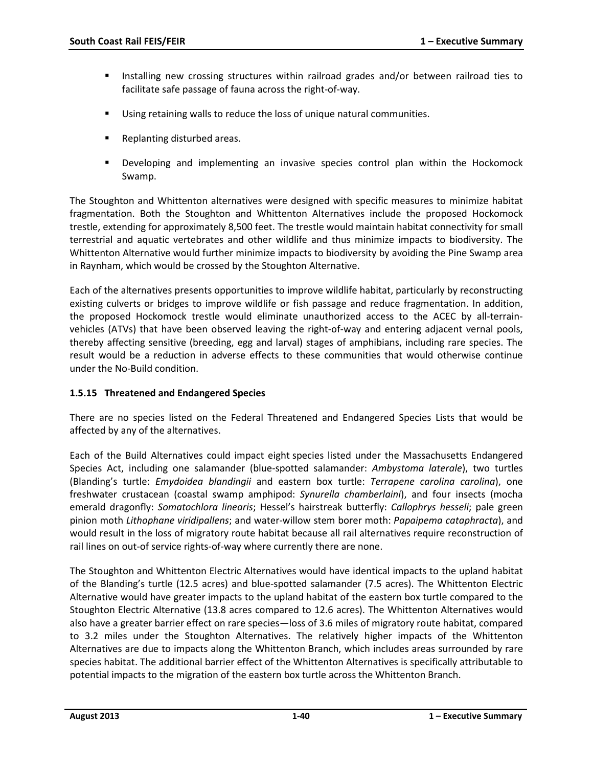- Installing new crossing structures within railroad grades and/or between railroad ties to facilitate safe passage of fauna across the right-of-way.
- Using retaining walls to reduce the loss of unique natural communities.
- **Replanting disturbed areas.**
- Developing and implementing an invasive species control plan within the Hockomock Swamp.

The Stoughton and Whittenton alternatives were designed with specific measures to minimize habitat fragmentation. Both the Stoughton and Whittenton Alternatives include the proposed Hockomock trestle, extending for approximately 8,500 feet. The trestle would maintain habitat connectivity for small terrestrial and aquatic vertebrates and other wildlife and thus minimize impacts to biodiversity. The Whittenton Alternative would further minimize impacts to biodiversity by avoiding the Pine Swamp area in Raynham, which would be crossed by the Stoughton Alternative.

Each of the alternatives presents opportunities to improve wildlife habitat, particularly by reconstructing existing culverts or bridges to improve wildlife or fish passage and reduce fragmentation. In addition, the proposed Hockomock trestle would eliminate unauthorized access to the ACEC by all-terrainvehicles (ATVs) that have been observed leaving the right-of-way and entering adjacent vernal pools, thereby affecting sensitive (breeding, egg and larval) stages of amphibians, including rare species. The result would be a reduction in adverse effects to these communities that would otherwise continue under the No-Build condition.

### **1.5.15 Threatened and Endangered Species**

There are no species listed on the Federal Threatened and Endangered Species Lists that would be affected by any of the alternatives.

Each of the Build Alternatives could impact eight species listed under the Massachusetts Endangered Species Act, including one salamander (blue-spotted salamander: *Ambystoma laterale*), two turtles (Blanding's turtle: *Emydoidea blandingii* and eastern box turtle: *Terrapene carolina carolina*), one freshwater crustacean (coastal swamp amphipod: *Synurella chamberlaini*), and four insects (mocha emerald dragonfly: *Somatochlora linearis*; Hessel's hairstreak butterfly: *Callophrys hesseli*; pale green pinion moth *Lithophane viridipallens*; and water-willow stem borer moth: *Papaipema cataphracta*), and would result in the loss of migratory route habitat because all rail alternatives require reconstruction of rail lines on out-of service rights-of-way where currently there are none.

The Stoughton and Whittenton Electric Alternatives would have identical impacts to the upland habitat of the Blanding's turtle (12.5 acres) and blue-spotted salamander (7.5 acres). The Whittenton Electric Alternative would have greater impacts to the upland habitat of the eastern box turtle compared to the Stoughton Electric Alternative (13.8 acres compared to 12.6 acres). The Whittenton Alternatives would also have a greater barrier effect on rare species—loss of 3.6 miles of migratory route habitat, compared to 3.2 miles under the Stoughton Alternatives. The relatively higher impacts of the Whittenton Alternatives are due to impacts along the Whittenton Branch, which includes areas surrounded by rare species habitat. The additional barrier effect of the Whittenton Alternatives is specifically attributable to potential impacts to the migration of the eastern box turtle across the Whittenton Branch.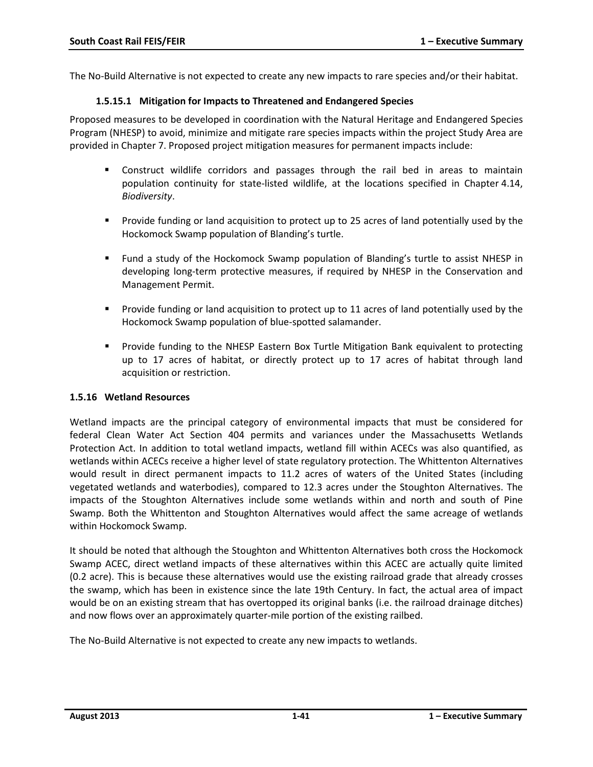The No-Build Alternative is not expected to create any new impacts to rare species and/or their habitat.

#### **1.5.15.1 Mitigation for Impacts to Threatened and Endangered Species**

Proposed measures to be developed in coordination with the Natural Heritage and Endangered Species Program (NHESP) to avoid, minimize and mitigate rare species impacts within the project Study Area are provided in Chapter 7. Proposed project mitigation measures for permanent impacts include:

- Construct wildlife corridors and passages through the rail bed in areas to maintain population continuity for state-listed wildlife, at the locations specified in Chapter 4.14, *Biodiversity*.
- **Provide funding or land acquisition to protect up to 25 acres of land potentially used by the** Hockomock Swamp population of Blanding's turtle.
- Fund a study of the Hockomock Swamp population of Blanding's turtle to assist NHESP in developing long-term protective measures, if required by NHESP in the Conservation and Management Permit.
- **Provide funding or land acquisition to protect up to 11 acres of land potentially used by the** Hockomock Swamp population of blue-spotted salamander.
- Provide funding to the NHESP Eastern Box Turtle Mitigation Bank equivalent to protecting up to 17 acres of habitat, or directly protect up to 17 acres of habitat through land acquisition or restriction.

#### **1.5.16 Wetland Resources**

Wetland impacts are the principal category of environmental impacts that must be considered for federal Clean Water Act Section 404 permits and variances under the Massachusetts Wetlands Protection Act. In addition to total wetland impacts, wetland fill within ACECs was also quantified, as wetlands within ACECs receive a higher level of state regulatory protection. The Whittenton Alternatives would result in direct permanent impacts to 11.2 acres of waters of the United States (including vegetated wetlands and waterbodies), compared to 12.3 acres under the Stoughton Alternatives. The impacts of the Stoughton Alternatives include some wetlands within and north and south of Pine Swamp. Both the Whittenton and Stoughton Alternatives would affect the same acreage of wetlands within Hockomock Swamp.

It should be noted that although the Stoughton and Whittenton Alternatives both cross the Hockomock Swamp ACEC, direct wetland impacts of these alternatives within this ACEC are actually quite limited (0.2 acre). This is because these alternatives would use the existing railroad grade that already crosses the swamp, which has been in existence since the late 19th Century. In fact, the actual area of impact would be on an existing stream that has overtopped its original banks (i.e. the railroad drainage ditches) and now flows over an approximately quarter-mile portion of the existing railbed.

The No-Build Alternative is not expected to create any new impacts to wetlands.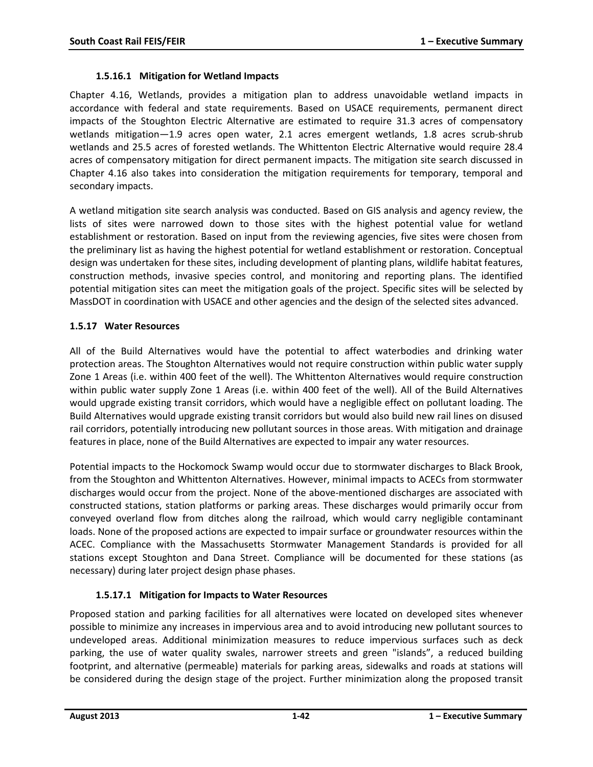#### **1.5.16.1 Mitigation for Wetland Impacts**

Chapter 4.16, Wetlands, provides a mitigation plan to address unavoidable wetland impacts in accordance with federal and state requirements. Based on USACE requirements, permanent direct impacts of the Stoughton Electric Alternative are estimated to require 31.3 acres of compensatory wetlands mitigation—1.9 acres open water, 2.1 acres emergent wetlands, 1.8 acres scrub-shrub wetlands and 25.5 acres of forested wetlands. The Whittenton Electric Alternative would require 28.4 acres of compensatory mitigation for direct permanent impacts. The mitigation site search discussed in Chapter 4.16 also takes into consideration the mitigation requirements for temporary, temporal and secondary impacts.

A wetland mitigation site search analysis was conducted. Based on GIS analysis and agency review, the lists of sites were narrowed down to those sites with the highest potential value for wetland establishment or restoration. Based on input from the reviewing agencies, five sites were chosen from the preliminary list as having the highest potential for wetland establishment or restoration. Conceptual design was undertaken for these sites, including development of planting plans, wildlife habitat features, construction methods, invasive species control, and monitoring and reporting plans. The identified potential mitigation sites can meet the mitigation goals of the project. Specific sites will be selected by MassDOT in coordination with USACE and other agencies and the design of the selected sites advanced.

#### **1.5.17 Water Resources**

All of the Build Alternatives would have the potential to affect waterbodies and drinking water protection areas. The Stoughton Alternatives would not require construction within public water supply Zone 1 Areas (i.e. within 400 feet of the well). The Whittenton Alternatives would require construction within public water supply Zone 1 Areas (i.e. within 400 feet of the well). All of the Build Alternatives would upgrade existing transit corridors, which would have a negligible effect on pollutant loading. The Build Alternatives would upgrade existing transit corridors but would also build new rail lines on disused rail corridors, potentially introducing new pollutant sources in those areas. With mitigation and drainage features in place, none of the Build Alternatives are expected to impair any water resources.

Potential impacts to the Hockomock Swamp would occur due to stormwater discharges to Black Brook, from the Stoughton and Whittenton Alternatives. However, minimal impacts to ACECs from stormwater discharges would occur from the project. None of the above-mentioned discharges are associated with constructed stations, station platforms or parking areas. These discharges would primarily occur from conveyed overland flow from ditches along the railroad, which would carry negligible contaminant loads. None of the proposed actions are expected to impair surface or groundwater resources within the ACEC. Compliance with the Massachusetts Stormwater Management Standards is provided for all stations except Stoughton and Dana Street. Compliance will be documented for these stations (as necessary) during later project design phase phases.

### **1.5.17.1 Mitigation for Impacts to Water Resources**

Proposed station and parking facilities for all alternatives were located on developed sites whenever possible to minimize any increases in impervious area and to avoid introducing new pollutant sources to undeveloped areas. Additional minimization measures to reduce impervious surfaces such as deck parking, the use of water quality swales, narrower streets and green "islands", a reduced building footprint, and alternative (permeable) materials for parking areas, sidewalks and roads at stations will be considered during the design stage of the project. Further minimization along the proposed transit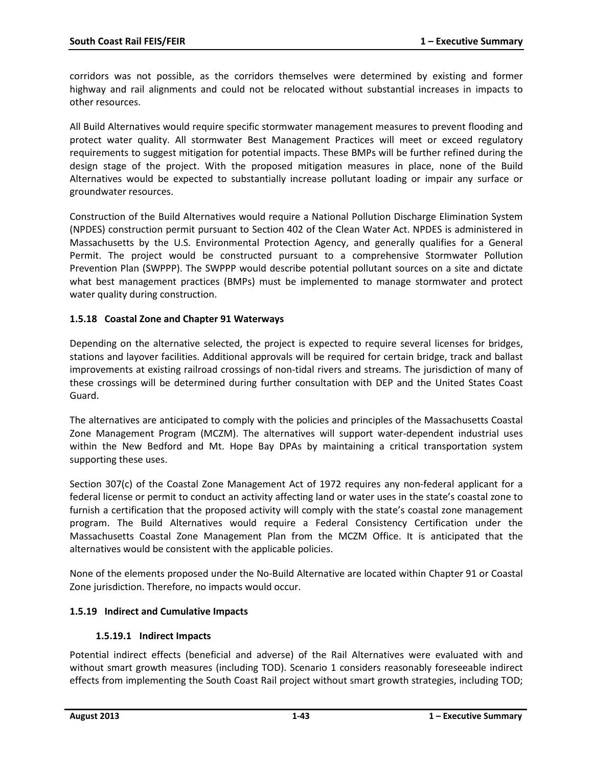corridors was not possible, as the corridors themselves were determined by existing and former highway and rail alignments and could not be relocated without substantial increases in impacts to other resources.

All Build Alternatives would require specific stormwater management measures to prevent flooding and protect water quality. All stormwater Best Management Practices will meet or exceed regulatory requirements to suggest mitigation for potential impacts. These BMPs will be further refined during the design stage of the project. With the proposed mitigation measures in place, none of the Build Alternatives would be expected to substantially increase pollutant loading or impair any surface or groundwater resources.

Construction of the Build Alternatives would require a National Pollution Discharge Elimination System (NPDES) construction permit pursuant to Section 402 of the Clean Water Act. NPDES is administered in Massachusetts by the U.S. Environmental Protection Agency, and generally qualifies for a General Permit. The project would be constructed pursuant to a comprehensive Stormwater Pollution Prevention Plan (SWPPP). The SWPPP would describe potential pollutant sources on a site and dictate what best management practices (BMPs) must be implemented to manage stormwater and protect water quality during construction.

### **1.5.18 Coastal Zone and Chapter 91 Waterways**

Depending on the alternative selected, the project is expected to require several licenses for bridges, stations and layover facilities. Additional approvals will be required for certain bridge, track and ballast improvements at existing railroad crossings of non-tidal rivers and streams. The jurisdiction of many of these crossings will be determined during further consultation with DEP and the United States Coast Guard.

The alternatives are anticipated to comply with the policies and principles of the Massachusetts Coastal Zone Management Program (MCZM). The alternatives will support water-dependent industrial uses within the New Bedford and Mt. Hope Bay DPAs by maintaining a critical transportation system supporting these uses.

Section 307(c) of the Coastal Zone Management Act of 1972 requires any non-federal applicant for a federal license or permit to conduct an activity affecting land or water uses in the state's coastal zone to furnish a certification that the proposed activity will comply with the state's coastal zone management program. The Build Alternatives would require a Federal Consistency Certification under the Massachusetts Coastal Zone Management Plan from the MCZM Office. It is anticipated that the alternatives would be consistent with the applicable policies.

None of the elements proposed under the No-Build Alternative are located within Chapter 91 or Coastal Zone jurisdiction. Therefore, no impacts would occur.

### **1.5.19 Indirect and Cumulative Impacts**

#### **1.5.19.1 Indirect Impacts**

Potential indirect effects (beneficial and adverse) of the Rail Alternatives were evaluated with and without smart growth measures (including TOD). Scenario 1 considers reasonably foreseeable indirect effects from implementing the South Coast Rail project without smart growth strategies, including TOD;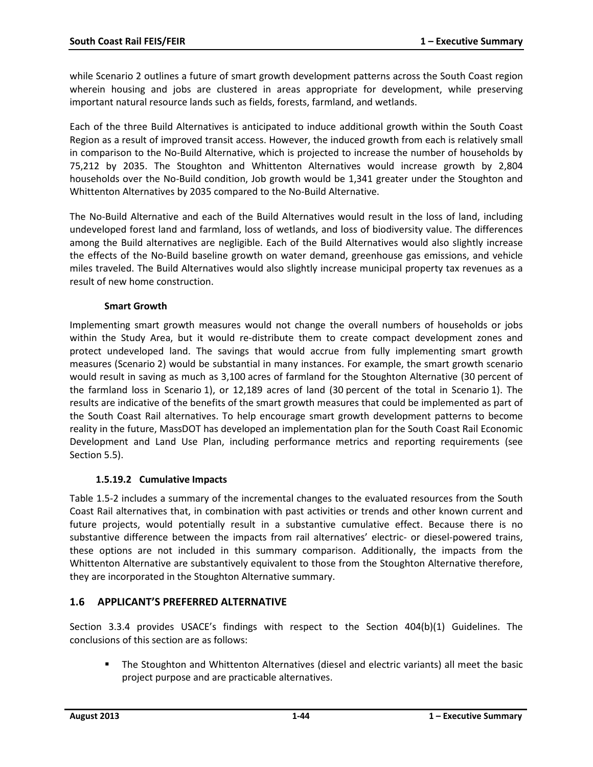while Scenario 2 outlines a future of smart growth development patterns across the South Coast region wherein housing and jobs are clustered in areas appropriate for development, while preserving important natural resource lands such as fields, forests, farmland, and wetlands.

Each of the three Build Alternatives is anticipated to induce additional growth within the South Coast Region as a result of improved transit access. However, the induced growth from each is relatively small in comparison to the No-Build Alternative, which is projected to increase the number of households by 75,212 by 2035. The Stoughton and Whittenton Alternatives would increase growth by 2,804 households over the No-Build condition, Job growth would be 1,341 greater under the Stoughton and Whittenton Alternatives by 2035 compared to the No-Build Alternative.

The No-Build Alternative and each of the Build Alternatives would result in the loss of land, including undeveloped forest land and farmland, loss of wetlands, and loss of biodiversity value. The differences among the Build alternatives are negligible. Each of the Build Alternatives would also slightly increase the effects of the No-Build baseline growth on water demand, greenhouse gas emissions, and vehicle miles traveled. The Build Alternatives would also slightly increase municipal property tax revenues as a result of new home construction.

#### **Smart Growth**

Implementing smart growth measures would not change the overall numbers of households or jobs within the Study Area, but it would re-distribute them to create compact development zones and protect undeveloped land. The savings that would accrue from fully implementing smart growth measures (Scenario 2) would be substantial in many instances. For example, the smart growth scenario would result in saving as much as 3,100 acres of farmland for the Stoughton Alternative (30 percent of the farmland loss in Scenario 1), or 12,189 acres of land (30 percent of the total in Scenario 1). The results are indicative of the benefits of the smart growth measures that could be implemented as part of the South Coast Rail alternatives. To help encourage smart growth development patterns to become reality in the future, MassDOT has developed an implementation plan for the South Coast Rail Economic Development and Land Use Plan, including performance metrics and reporting requirements (see Section 5.5).

### **1.5.19.2 Cumulative Impacts**

Table 1.5-2 includes a summary of the incremental changes to the evaluated resources from the South Coast Rail alternatives that, in combination with past activities or trends and other known current and future projects, would potentially result in a substantive cumulative effect. Because there is no substantive difference between the impacts from rail alternatives' electric- or diesel-powered trains, these options are not included in this summary comparison. Additionally, the impacts from the Whittenton Alternative are substantively equivalent to those from the Stoughton Alternative therefore, they are incorporated in the Stoughton Alternative summary.

### **1.6 APPLICANT'S PREFERRED ALTERNATIVE**

Section 3.3.4 provides USACE's findings with respect to the Section 404(b)(1) Guidelines. The conclusions of this section are as follows:

 The Stoughton and Whittenton Alternatives (diesel and electric variants) all meet the basic project purpose and are practicable alternatives.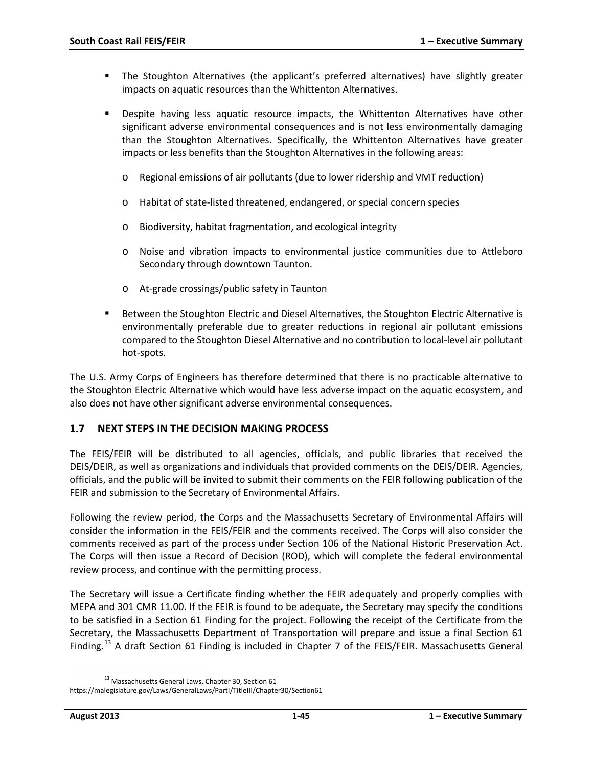- The Stoughton Alternatives (the applicant's preferred alternatives) have slightly greater impacts on aquatic resources than the Whittenton Alternatives.
- Despite having less aquatic resource impacts, the Whittenton Alternatives have other significant adverse environmental consequences and is not less environmentally damaging than the Stoughton Alternatives. Specifically, the Whittenton Alternatives have greater impacts or less benefits than the Stoughton Alternatives in the following areas:
	- o Regional emissions of air pollutants (due to lower ridership and VMT reduction)
	- o Habitat of state-listed threatened, endangered, or special concern species
	- o Biodiversity, habitat fragmentation, and ecological integrity
	- o Noise and vibration impacts to environmental justice communities due to Attleboro Secondary through downtown Taunton.
	- o At-grade crossings/public safety in Taunton
- Between the Stoughton Electric and Diesel Alternatives, the Stoughton Electric Alternative is environmentally preferable due to greater reductions in regional air pollutant emissions compared to the Stoughton Diesel Alternative and no contribution to local-level air pollutant hot-spots.

The U.S. Army Corps of Engineers has therefore determined that there is no practicable alternative to the Stoughton Electric Alternative which would have less adverse impact on the aquatic ecosystem, and also does not have other significant adverse environmental consequences.

### **1.7 NEXT STEPS IN THE DECISION MAKING PROCESS**

The FEIS/FEIR will be distributed to all agencies, officials, and public libraries that received the DEIS/DEIR, as well as organizations and individuals that provided comments on the DEIS/DEIR. Agencies, officials, and the public will be invited to submit their comments on the FEIR following publication of the FEIR and submission to the Secretary of Environmental Affairs.

Following the review period, the Corps and the Massachusetts Secretary of Environmental Affairs will consider the information in the FEIS/FEIR and the comments received. The Corps will also consider the comments received as part of the process under Section 106 of the National Historic Preservation Act. The Corps will then issue a Record of Decision (ROD), which will complete the federal environmental review process, and continue with the permitting process.

The Secretary will issue a Certificate finding whether the FEIR adequately and properly complies with MEPA and 301 CMR 11.00. If the FEIR is found to be adequate, the Secretary may specify the conditions to be satisfied in a Section 61 Finding for the project. Following the receipt of the Certificate from the Secretary, the Massachusetts Department of Transportation will prepare and issue a final Section 61 Finding.<sup>[13](#page-44-0)</sup> A draft Section 61 Finding is included in Chapter 7 of the FEIS/FEIR. Massachusetts General

<span id="page-44-0"></span><sup>&</sup>lt;sup>13</sup> Massachusetts General Laws, Chapter 30, Section 61 https://malegislature.gov/Laws/GeneralLaws/PartI/TitleIII/Chapter30/Section61  $\overline{\phantom{a}}$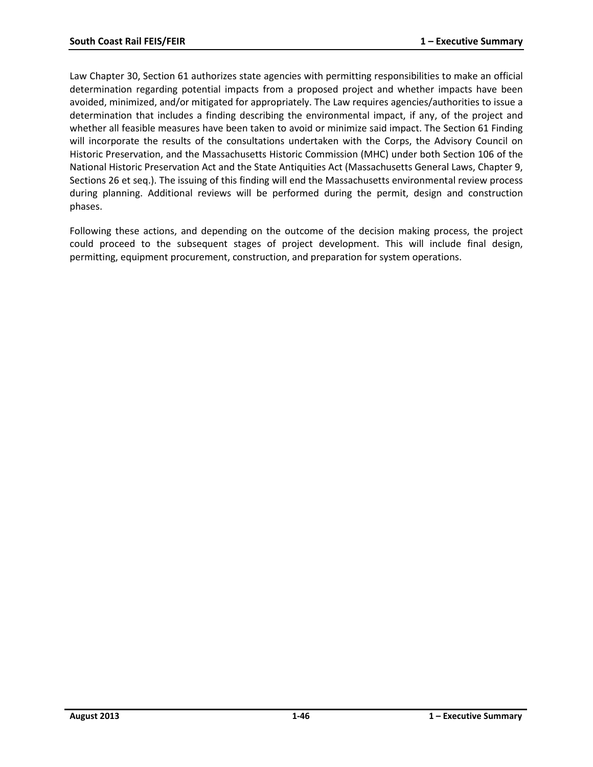Law Chapter 30, Section 61 authorizes state agencies with permitting responsibilities to make an official determination regarding potential impacts from a proposed project and whether impacts have been avoided, minimized, and/or mitigated for appropriately. The Law requires agencies/authorities to issue a determination that includes a finding describing the environmental impact, if any, of the project and whether all feasible measures have been taken to avoid or minimize said impact. The Section 61 Finding will incorporate the results of the consultations undertaken with the Corps, the Advisory Council on Historic Preservation, and the Massachusetts Historic Commission (MHC) under both Section 106 of the National Historic Preservation Act and the State Antiquities Act (Massachusetts General Laws, Chapter 9, Sections 26 et seq.). The issuing of this finding will end the Massachusetts environmental review process during planning. Additional reviews will be performed during the permit, design and construction phases.

Following these actions, and depending on the outcome of the decision making process, the project could proceed to the subsequent stages of project development. This will include final design, permitting, equipment procurement, construction, and preparation for system operations.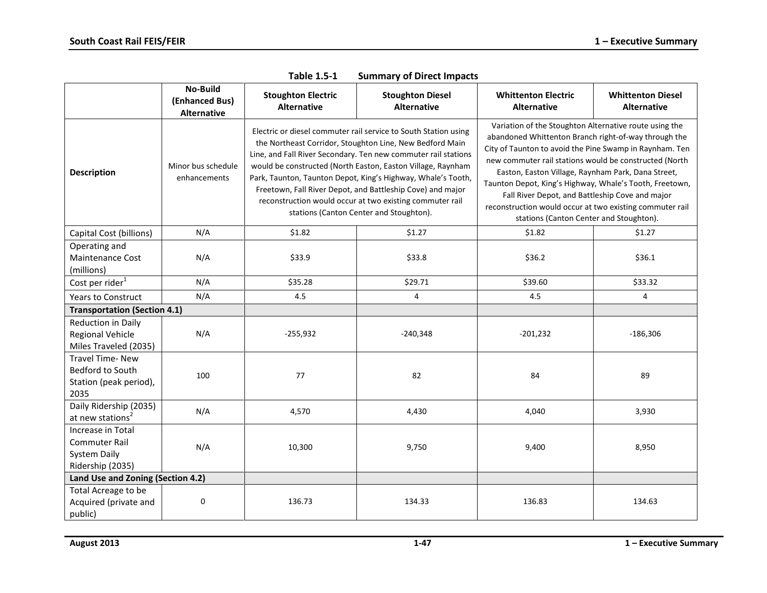|                                                                               | No-Build<br>(Enhanced Bus)<br><b>Alternative</b> | <b>Stoughton Electric</b><br><b>Alternative</b> | <b>Stoughton Diesel</b><br><b>Alternative</b>                                                                                                                                                                                                                                                                                                                                                                                                                                                     | <b>Whittenton Electric</b><br><b>Alternative</b>                                                                                                                                                                                                                                                                                                                                                                                                                                                               | <b>Whittenton Diesel</b><br><b>Alternative</b> |
|-------------------------------------------------------------------------------|--------------------------------------------------|-------------------------------------------------|---------------------------------------------------------------------------------------------------------------------------------------------------------------------------------------------------------------------------------------------------------------------------------------------------------------------------------------------------------------------------------------------------------------------------------------------------------------------------------------------------|----------------------------------------------------------------------------------------------------------------------------------------------------------------------------------------------------------------------------------------------------------------------------------------------------------------------------------------------------------------------------------------------------------------------------------------------------------------------------------------------------------------|------------------------------------------------|
| <b>Description</b>                                                            | Minor bus schedule<br>enhancements               |                                                 | Electric or diesel commuter rail service to South Station using<br>the Northeast Corridor, Stoughton Line, New Bedford Main<br>Line, and Fall River Secondary. Ten new commuter rail stations<br>would be constructed (North Easton, Easton Village, Raynham<br>Park, Taunton, Taunton Depot, King's Highway, Whale's Tooth,<br>Freetown, Fall River Depot, and Battleship Cove) and major<br>reconstruction would occur at two existing commuter rail<br>stations (Canton Center and Stoughton). | Variation of the Stoughton Alternative route using the<br>abandoned Whittenton Branch right-of-way through the<br>City of Taunton to avoid the Pine Swamp in Raynham. Ten<br>new commuter rail stations would be constructed (North<br>Easton, Easton Village, Raynham Park, Dana Street,<br>Taunton Depot, King's Highway, Whale's Tooth, Freetown,<br>Fall River Depot, and Battleship Cove and major<br>reconstruction would occur at two existing commuter rail<br>stations (Canton Center and Stoughton). |                                                |
| Capital Cost (billions)                                                       | N/A                                              | \$1.82                                          | \$1.27                                                                                                                                                                                                                                                                                                                                                                                                                                                                                            | \$1.82                                                                                                                                                                                                                                                                                                                                                                                                                                                                                                         | \$1.27                                         |
| Operating and<br><b>Maintenance Cost</b><br>(millions)                        | N/A                                              | \$33.9                                          | \$33.8                                                                                                                                                                                                                                                                                                                                                                                                                                                                                            | \$36.2                                                                                                                                                                                                                                                                                                                                                                                                                                                                                                         | \$36.1                                         |
| Cost per rider <sup>1</sup>                                                   | N/A                                              | \$35.28                                         | \$29.71                                                                                                                                                                                                                                                                                                                                                                                                                                                                                           | \$39.60                                                                                                                                                                                                                                                                                                                                                                                                                                                                                                        | \$33.32                                        |
| <b>Years to Construct</b>                                                     | N/A                                              | 4.5                                             | 4                                                                                                                                                                                                                                                                                                                                                                                                                                                                                                 | 4.5                                                                                                                                                                                                                                                                                                                                                                                                                                                                                                            | 4                                              |
| <b>Transportation (Section 4.1)</b>                                           |                                                  |                                                 |                                                                                                                                                                                                                                                                                                                                                                                                                                                                                                   |                                                                                                                                                                                                                                                                                                                                                                                                                                                                                                                |                                                |
| Reduction in Daily<br>Regional Vehicle<br>Miles Traveled (2035)               | N/A                                              | $-255,932$                                      | $-240,348$                                                                                                                                                                                                                                                                                                                                                                                                                                                                                        | $-201,232$                                                                                                                                                                                                                                                                                                                                                                                                                                                                                                     | $-186,306$                                     |
| Travel Time-New<br>Bedford to South<br>Station (peak period),<br>2035         | 100                                              | 77                                              | 82                                                                                                                                                                                                                                                                                                                                                                                                                                                                                                | 84                                                                                                                                                                                                                                                                                                                                                                                                                                                                                                             | 89                                             |
| Daily Ridership (2035)<br>at new stations <sup>2</sup>                        | N/A                                              | 4,570                                           | 4,430                                                                                                                                                                                                                                                                                                                                                                                                                                                                                             | 4,040                                                                                                                                                                                                                                                                                                                                                                                                                                                                                                          | 3,930                                          |
| Increase in Total<br><b>Commuter Rail</b><br>System Daily<br>Ridership (2035) | N/A                                              | 10,300<br>9,750                                 |                                                                                                                                                                                                                                                                                                                                                                                                                                                                                                   | 9,400                                                                                                                                                                                                                                                                                                                                                                                                                                                                                                          | 8,950                                          |
| Land Use and Zoning (Section 4.2)                                             |                                                  |                                                 |                                                                                                                                                                                                                                                                                                                                                                                                                                                                                                   |                                                                                                                                                                                                                                                                                                                                                                                                                                                                                                                |                                                |
| Total Acreage to be<br>Acquired (private and<br>public)                       | 0                                                | 136.73                                          | 134.33                                                                                                                                                                                                                                                                                                                                                                                                                                                                                            | 136.83                                                                                                                                                                                                                                                                                                                                                                                                                                                                                                         | 134.63                                         |

**Table 1.5-1 Summary of Direct Impacts**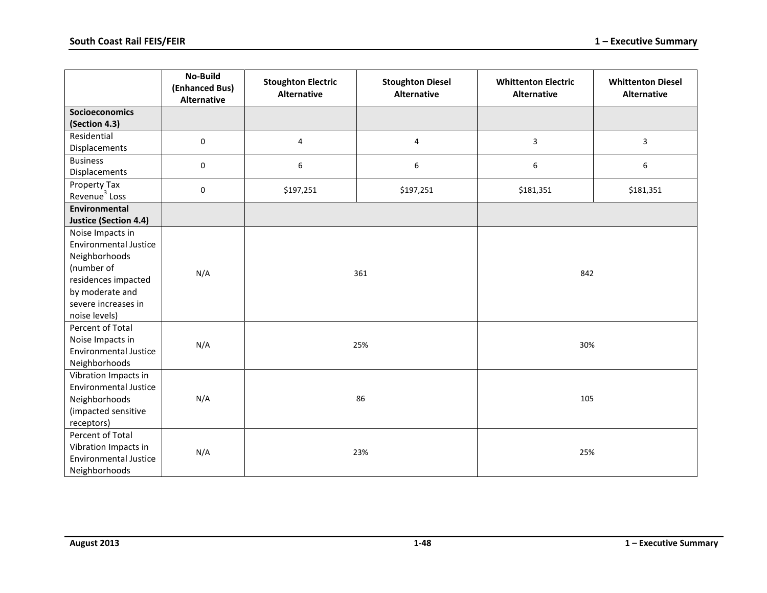|                                                  | <b>No-Build</b><br>(Enhanced Bus)<br><b>Alternative</b> | <b>Stoughton Electric</b><br><b>Alternative</b> | <b>Stoughton Diesel</b><br><b>Alternative</b> | <b>Whittenton Electric</b><br><b>Alternative</b> | <b>Whittenton Diesel</b><br><b>Alternative</b> |  |
|--------------------------------------------------|---------------------------------------------------------|-------------------------------------------------|-----------------------------------------------|--------------------------------------------------|------------------------------------------------|--|
| <b>Socioeconomics</b>                            |                                                         |                                                 |                                               |                                                  |                                                |  |
| (Section 4.3)                                    |                                                         |                                                 |                                               |                                                  |                                                |  |
| Residential<br>Displacements                     | $\pmb{0}$                                               | 4                                               | 4                                             | $\mathbf{3}$                                     | 3                                              |  |
| <b>Business</b><br>Displacements                 | $\mathbf 0$                                             | 6                                               | 6                                             | 6                                                | 6                                              |  |
| Property Tax<br>Revenue <sup>3</sup> Loss        | $\pmb{0}$                                               | \$197,251                                       | \$197,251                                     | \$181,351                                        | \$181,351                                      |  |
| Environmental                                    |                                                         |                                                 |                                               |                                                  |                                                |  |
| <b>Justice (Section 4.4)</b>                     |                                                         |                                                 |                                               |                                                  |                                                |  |
| Noise Impacts in<br><b>Environmental Justice</b> |                                                         |                                                 |                                               |                                                  |                                                |  |
| Neighborhoods                                    |                                                         |                                                 |                                               |                                                  |                                                |  |
| (number of                                       | N/A                                                     |                                                 | 361                                           | 842                                              |                                                |  |
| residences impacted                              |                                                         |                                                 |                                               |                                                  |                                                |  |
| by moderate and                                  |                                                         |                                                 |                                               |                                                  |                                                |  |
| severe increases in                              |                                                         |                                                 |                                               |                                                  |                                                |  |
| noise levels)                                    |                                                         |                                                 |                                               |                                                  |                                                |  |
| Percent of Total                                 |                                                         |                                                 |                                               |                                                  |                                                |  |
| Noise Impacts in                                 | N/A                                                     |                                                 | 25%                                           | 30%                                              |                                                |  |
| <b>Environmental Justice</b>                     |                                                         |                                                 |                                               |                                                  |                                                |  |
| Neighborhoods                                    |                                                         |                                                 |                                               |                                                  |                                                |  |
| Vibration Impacts in                             |                                                         |                                                 |                                               |                                                  |                                                |  |
| <b>Environmental Justice</b>                     |                                                         |                                                 |                                               |                                                  |                                                |  |
| Neighborhoods                                    | N/A                                                     |                                                 | 86                                            | 105                                              |                                                |  |
| (impacted sensitive                              |                                                         |                                                 |                                               |                                                  |                                                |  |
| receptors)                                       |                                                         |                                                 |                                               |                                                  |                                                |  |
| Percent of Total                                 |                                                         |                                                 |                                               |                                                  |                                                |  |
| Vibration Impacts in                             |                                                         |                                                 |                                               |                                                  |                                                |  |
| <b>Environmental Justice</b>                     | N/A                                                     |                                                 | 23%                                           | 25%                                              |                                                |  |
| Neighborhoods                                    |                                                         |                                                 |                                               |                                                  |                                                |  |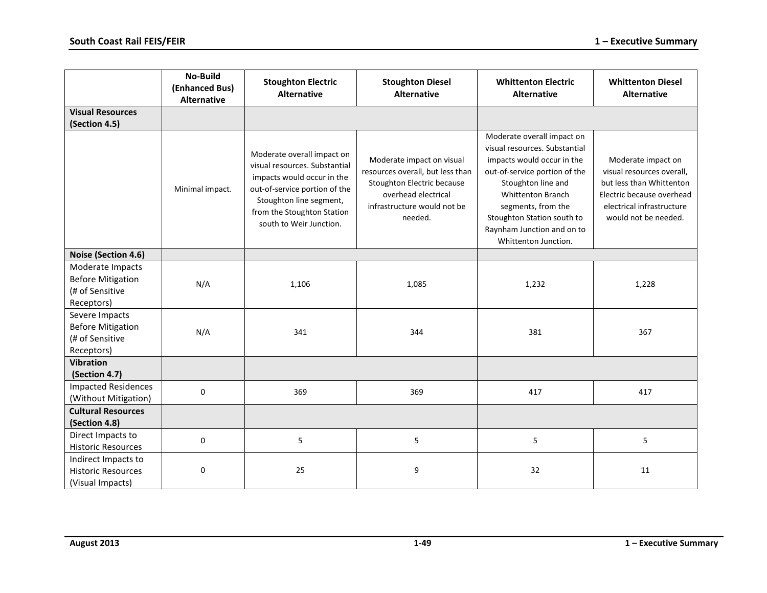|                                                                               | No-Build<br>(Enhanced Bus)<br><b>Alternative</b> | <b>Stoughton Electric</b><br><b>Alternative</b>                                                                                                                                                                | <b>Stoughton Diesel</b><br><b>Alternative</b>                                                                                                                | <b>Whittenton Electric</b><br><b>Alternative</b>                                                                                                                                                                                                                                       | <b>Whittenton Diesel</b><br><b>Alternative</b>                                                                                                                |
|-------------------------------------------------------------------------------|--------------------------------------------------|----------------------------------------------------------------------------------------------------------------------------------------------------------------------------------------------------------------|--------------------------------------------------------------------------------------------------------------------------------------------------------------|----------------------------------------------------------------------------------------------------------------------------------------------------------------------------------------------------------------------------------------------------------------------------------------|---------------------------------------------------------------------------------------------------------------------------------------------------------------|
| <b>Visual Resources</b><br>(Section 4.5)                                      |                                                  |                                                                                                                                                                                                                |                                                                                                                                                              |                                                                                                                                                                                                                                                                                        |                                                                                                                                                               |
|                                                                               | Minimal impact.                                  | Moderate overall impact on<br>visual resources. Substantial<br>impacts would occur in the<br>out-of-service portion of the<br>Stoughton line segment,<br>from the Stoughton Station<br>south to Weir Junction. | Moderate impact on visual<br>resources overall, but less than<br>Stoughton Electric because<br>overhead electrical<br>infrastructure would not be<br>needed. | Moderate overall impact on<br>visual resources. Substantial<br>impacts would occur in the<br>out-of-service portion of the<br>Stoughton line and<br><b>Whittenton Branch</b><br>segments, from the<br>Stoughton Station south to<br>Raynham Junction and on to<br>Whittenton Junction. | Moderate impact on<br>visual resources overall,<br>but less than Whittenton<br>Electric because overhead<br>electrical infrastructure<br>would not be needed. |
| Noise (Section 4.6)                                                           |                                                  |                                                                                                                                                                                                                |                                                                                                                                                              |                                                                                                                                                                                                                                                                                        |                                                                                                                                                               |
| Moderate Impacts<br><b>Before Mitigation</b><br>(# of Sensitive<br>Receptors) | N/A                                              | 1,106                                                                                                                                                                                                          | 1,085                                                                                                                                                        | 1,232                                                                                                                                                                                                                                                                                  | 1,228                                                                                                                                                         |
| Severe Impacts<br><b>Before Mitigation</b><br>(# of Sensitive<br>Receptors)   | N/A                                              | 341                                                                                                                                                                                                            | 344                                                                                                                                                          | 381                                                                                                                                                                                                                                                                                    | 367                                                                                                                                                           |
| <b>Vibration</b>                                                              |                                                  |                                                                                                                                                                                                                |                                                                                                                                                              |                                                                                                                                                                                                                                                                                        |                                                                                                                                                               |
| (Section 4.7)                                                                 |                                                  |                                                                                                                                                                                                                |                                                                                                                                                              |                                                                                                                                                                                                                                                                                        |                                                                                                                                                               |
| <b>Impacted Residences</b><br>(Without Mitigation)                            | 0                                                | 369                                                                                                                                                                                                            | 369                                                                                                                                                          | 417                                                                                                                                                                                                                                                                                    | 417                                                                                                                                                           |
| <b>Cultural Resources</b>                                                     |                                                  |                                                                                                                                                                                                                |                                                                                                                                                              |                                                                                                                                                                                                                                                                                        |                                                                                                                                                               |
| (Section 4.8)                                                                 |                                                  |                                                                                                                                                                                                                |                                                                                                                                                              |                                                                                                                                                                                                                                                                                        |                                                                                                                                                               |
| Direct Impacts to<br><b>Historic Resources</b>                                | 0                                                | 5                                                                                                                                                                                                              | 5                                                                                                                                                            | 5                                                                                                                                                                                                                                                                                      | 5                                                                                                                                                             |
| Indirect Impacts to<br><b>Historic Resources</b><br>(Visual Impacts)          | $\mathbf 0$                                      | 25                                                                                                                                                                                                             | 9                                                                                                                                                            | 32                                                                                                                                                                                                                                                                                     | 11                                                                                                                                                            |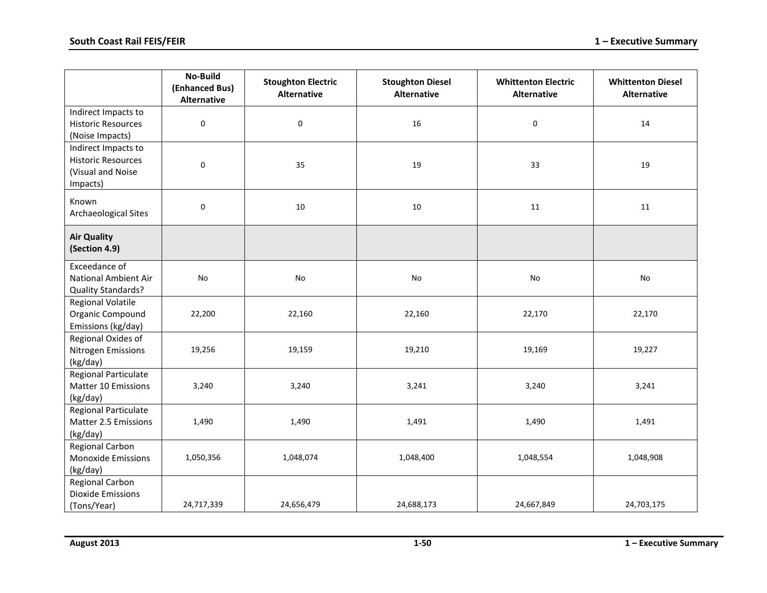|                                                                                   | <b>No-Build</b><br>(Enhanced Bus)<br><b>Alternative</b> | <b>Stoughton Electric</b><br>Alternative | <b>Stoughton Diesel</b><br><b>Alternative</b> | <b>Whittenton Electric</b><br><b>Alternative</b> | <b>Whittenton Diesel</b><br><b>Alternative</b> |
|-----------------------------------------------------------------------------------|---------------------------------------------------------|------------------------------------------|-----------------------------------------------|--------------------------------------------------|------------------------------------------------|
| Indirect Impacts to<br><b>Historic Resources</b><br>(Noise Impacts)               | 0                                                       | $\mathbf 0$                              | 16                                            | 0                                                | 14                                             |
| Indirect Impacts to<br><b>Historic Resources</b><br>(Visual and Noise<br>Impacts) | $\boldsymbol{0}$                                        | 35                                       | 19                                            | 33                                               | 19                                             |
| Known<br>Archaeological Sites                                                     | $\mathsf{O}\xspace$                                     | 10                                       | 10<br>11                                      |                                                  | 11                                             |
| <b>Air Quality</b><br>(Section 4.9)                                               |                                                         |                                          |                                               |                                                  |                                                |
| Exceedance of<br>National Ambient Air<br>Quality Standards?                       | No                                                      | <b>No</b>                                | No                                            | No                                               | <b>No</b>                                      |
| <b>Regional Volatile</b><br>Organic Compound<br>Emissions (kg/day)                | 22,200                                                  | 22,160                                   | 22,160                                        | 22,170                                           | 22,170                                         |
| Regional Oxides of<br>Nitrogen Emissions<br>(kg/day)                              | 19,256                                                  | 19,159                                   | 19,210                                        | 19,169                                           | 19,227                                         |
| Regional Particulate<br>Matter 10 Emissions<br>(kg/day)                           | 3,240                                                   | 3,240                                    | 3,241                                         | 3,240                                            | 3,241                                          |
| Regional Particulate<br>Matter 2.5 Emissions<br>(kg/day)                          | 1,490                                                   | 1,490                                    | 1,491                                         | 1,490                                            | 1,491                                          |
| Regional Carbon<br><b>Monoxide Emissions</b><br>(kg/day)                          | 1,050,356                                               | 1,048,074                                | 1,048,400                                     | 1,048,554                                        | 1,048,908                                      |
| <b>Regional Carbon</b><br><b>Dioxide Emissions</b><br>(Tons/Year)                 | 24,717,339                                              | 24,656,479                               | 24,688,173                                    | 24,667,849                                       | 24,703,175                                     |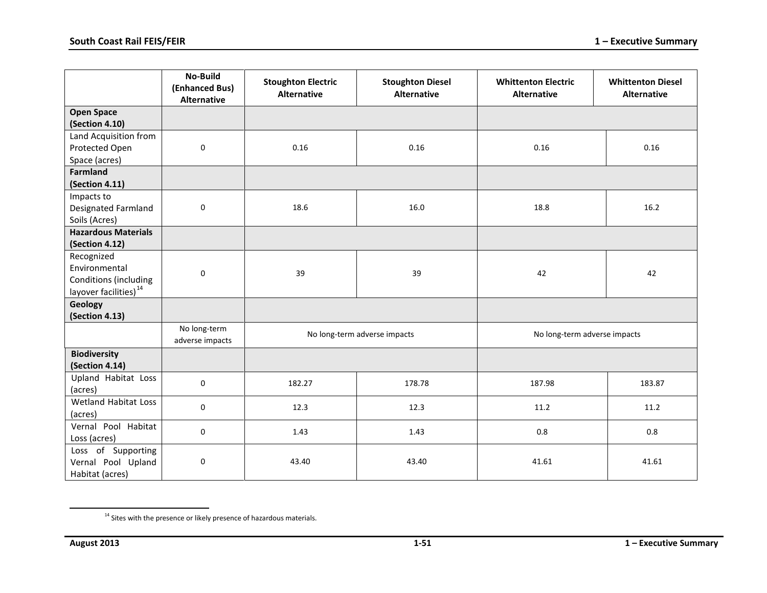<span id="page-50-0"></span>

|                                                                                           | <b>No-Build</b><br>(Enhanced Bus)<br><b>Alternative</b> | <b>Stoughton Electric</b><br><b>Alternative</b> | <b>Stoughton Diesel</b><br><b>Alternative</b> | <b>Whittenton Electric</b><br><b>Alternative</b> | <b>Whittenton Diesel</b><br><b>Alternative</b> |
|-------------------------------------------------------------------------------------------|---------------------------------------------------------|-------------------------------------------------|-----------------------------------------------|--------------------------------------------------|------------------------------------------------|
| <b>Open Space</b><br>(Section 4.10)                                                       |                                                         |                                                 |                                               |                                                  |                                                |
| Land Acquisition from<br>Protected Open<br>Space (acres)                                  | $\mathbf 0$                                             | 0.16                                            | 0.16                                          | 0.16                                             | 0.16                                           |
| <b>Farmland</b><br>(Section 4.11)                                                         |                                                         |                                                 |                                               |                                                  |                                                |
| Impacts to<br>Designated Farmland<br>Soils (Acres)                                        | 0                                                       | 18.6                                            | 16.0                                          | 18.8                                             | 16.2                                           |
| <b>Hazardous Materials</b><br>(Section 4.12)                                              |                                                         |                                                 |                                               |                                                  |                                                |
| Recognized<br>Environmental<br>Conditions (including<br>layover facilities) <sup>14</sup> | $\pmb{0}$                                               | 39                                              | 39                                            | 42                                               | 42                                             |
| <b>Geology</b><br>(Section 4.13)                                                          |                                                         |                                                 |                                               |                                                  |                                                |
|                                                                                           | No long-term<br>adverse impacts                         |                                                 | No long-term adverse impacts                  | No long-term adverse impacts                     |                                                |
| <b>Biodiversity</b><br>(Section 4.14)                                                     |                                                         |                                                 |                                               |                                                  |                                                |
| Upland Habitat Loss<br>(acres)                                                            | 0                                                       | 182.27                                          | 178.78                                        | 187.98                                           | 183.87                                         |
| Wetland Habitat Loss<br>(acres)                                                           | 0                                                       | 12.3                                            | 12.3                                          | 11.2                                             | 11.2                                           |
| Vernal Pool Habitat<br>Loss (acres)                                                       | 0                                                       | 1.43                                            | 1.43                                          | 0.8                                              | 0.8                                            |
| Loss of Supporting<br>Vernal Pool Upland<br>Habitat (acres)                               | 0                                                       | 43.40                                           | 43.40                                         | 41.61                                            | 41.61                                          |

 $\overline{\phantom{a}}$ 

 $14$  Sites with the presence or likely presence of hazardous materials.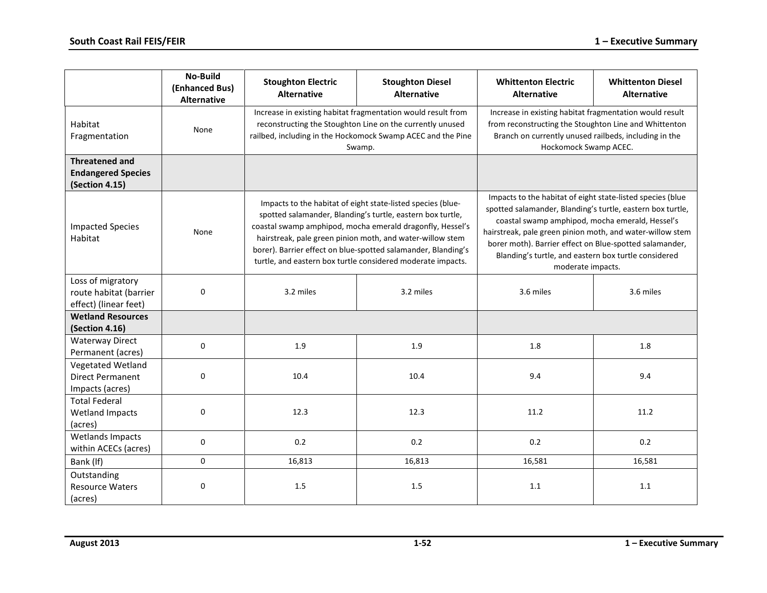|                                                                        | <b>No-Build</b><br>(Enhanced Bus)<br><b>Alternative</b> | <b>Stoughton Electric</b><br><b>Alternative</b> | <b>Stoughton Diesel</b><br><b>Alternative</b>                                                                                                                                                                                                                                                                                                                                       | <b>Whittenton Electric</b><br><b>Alternative</b>                                                                                                                                                                                                                                                                                                                                 | <b>Whittenton Diesel</b><br><b>Alternative</b> |
|------------------------------------------------------------------------|---------------------------------------------------------|-------------------------------------------------|-------------------------------------------------------------------------------------------------------------------------------------------------------------------------------------------------------------------------------------------------------------------------------------------------------------------------------------------------------------------------------------|----------------------------------------------------------------------------------------------------------------------------------------------------------------------------------------------------------------------------------------------------------------------------------------------------------------------------------------------------------------------------------|------------------------------------------------|
| Habitat<br>Fragmentation                                               | None                                                    |                                                 | Increase in existing habitat fragmentation would result from<br>reconstructing the Stoughton Line on the currently unused<br>railbed, including in the Hockomock Swamp ACEC and the Pine<br>Swamp.                                                                                                                                                                                  | Increase in existing habitat fragmentation would result<br>from reconstructing the Stoughton Line and Whittenton<br>Branch on currently unused railbeds, including in the<br>Hockomock Swamp ACEC.                                                                                                                                                                               |                                                |
| <b>Threatened and</b><br><b>Endangered Species</b><br>(Section 4.15)   |                                                         |                                                 |                                                                                                                                                                                                                                                                                                                                                                                     |                                                                                                                                                                                                                                                                                                                                                                                  |                                                |
| <b>Impacted Species</b><br>Habitat                                     | None                                                    |                                                 | Impacts to the habitat of eight state-listed species (blue-<br>spotted salamander, Blanding's turtle, eastern box turtle,<br>coastal swamp amphipod, mocha emerald dragonfly, Hessel's<br>hairstreak, pale green pinion moth, and water-willow stem<br>borer). Barrier effect on blue-spotted salamander, Blanding's<br>turtle, and eastern box turtle considered moderate impacts. | Impacts to the habitat of eight state-listed species (blue<br>spotted salamander, Blanding's turtle, eastern box turtle,<br>coastal swamp amphipod, mocha emerald, Hessel's<br>hairstreak, pale green pinion moth, and water-willow stem<br>borer moth). Barrier effect on Blue-spotted salamander,<br>Blanding's turtle, and eastern box turtle considered<br>moderate impacts. |                                                |
| Loss of migratory<br>route habitat (barrier<br>effect) (linear feet)   | 0                                                       | 3.2 miles                                       | 3.2 miles                                                                                                                                                                                                                                                                                                                                                                           | 3.6 miles                                                                                                                                                                                                                                                                                                                                                                        | 3.6 miles                                      |
| <b>Wetland Resources</b><br>(Section 4.16)                             |                                                         |                                                 |                                                                                                                                                                                                                                                                                                                                                                                     |                                                                                                                                                                                                                                                                                                                                                                                  |                                                |
| <b>Waterway Direct</b><br>Permanent (acres)                            | 0                                                       | 1.9                                             | 1.9                                                                                                                                                                                                                                                                                                                                                                                 | 1.8                                                                                                                                                                                                                                                                                                                                                                              | 1.8                                            |
| <b>Vegetated Wetland</b><br><b>Direct Permanent</b><br>Impacts (acres) | 0                                                       | 10.4                                            | 10.4                                                                                                                                                                                                                                                                                                                                                                                | 9.4                                                                                                                                                                                                                                                                                                                                                                              | 9.4                                            |
| <b>Total Federal</b><br><b>Wetland Impacts</b><br>(acres)              | 0                                                       | 12.3                                            | 12.3                                                                                                                                                                                                                                                                                                                                                                                |                                                                                                                                                                                                                                                                                                                                                                                  | 11.2                                           |
| <b>Wetlands Impacts</b><br>within ACECs (acres)                        | 0                                                       | 0.2                                             | 0.2                                                                                                                                                                                                                                                                                                                                                                                 | 0.2                                                                                                                                                                                                                                                                                                                                                                              | 0.2                                            |
| Bank (If)                                                              | 0                                                       | 16,813                                          | 16,813                                                                                                                                                                                                                                                                                                                                                                              | 16,581                                                                                                                                                                                                                                                                                                                                                                           | 16,581                                         |
| Outstanding<br><b>Resource Waters</b><br>(acres)                       | 0                                                       | 1.5                                             | 1.5                                                                                                                                                                                                                                                                                                                                                                                 | 1.1                                                                                                                                                                                                                                                                                                                                                                              | 1.1                                            |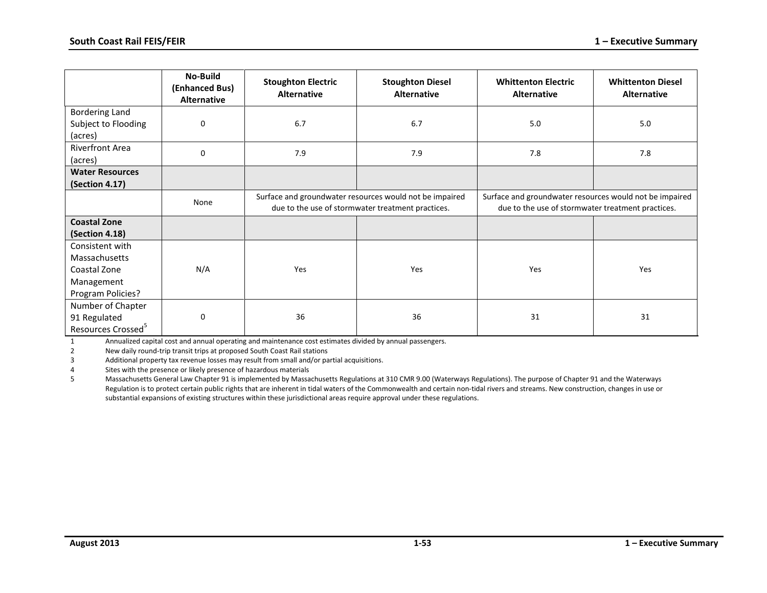|                                                                                     | No-Build<br>(Enhanced Bus)<br><b>Alternative</b> | <b>Stoughton Electric</b><br><b>Alternative</b>                                                              | <b>Stoughton Diesel</b><br><b>Alternative</b> | <b>Whittenton Electric</b><br><b>Alternative</b>                                                             | <b>Whittenton Diesel</b><br><b>Alternative</b> |
|-------------------------------------------------------------------------------------|--------------------------------------------------|--------------------------------------------------------------------------------------------------------------|-----------------------------------------------|--------------------------------------------------------------------------------------------------------------|------------------------------------------------|
| <b>Bordering Land</b><br>Subject to Flooding<br>(acres)                             | $\mathbf 0$                                      | 6.7                                                                                                          | 6.7                                           | 5.0                                                                                                          | 5.0                                            |
| <b>Riverfront Area</b><br>(acres)                                                   | $\mathbf 0$                                      | 7.9                                                                                                          | 7.9                                           |                                                                                                              | 7.8                                            |
| <b>Water Resources</b><br>(Section 4.17)                                            |                                                  |                                                                                                              |                                               |                                                                                                              |                                                |
|                                                                                     | None                                             | Surface and groundwater resources would not be impaired<br>due to the use of stormwater treatment practices. |                                               | Surface and groundwater resources would not be impaired<br>due to the use of stormwater treatment practices. |                                                |
| <b>Coastal Zone</b><br>(Section 4.18)                                               |                                                  |                                                                                                              |                                               |                                                                                                              |                                                |
| Consistent with<br>Massachusetts<br>Coastal Zone<br>Management<br>Program Policies? | N/A                                              | Yes                                                                                                          | Yes                                           | Yes                                                                                                          | Yes                                            |
| Number of Chapter<br>91 Regulated<br>Resources Crossed <sup>5</sup>                 | 0                                                | 36                                                                                                           | 36                                            | 31                                                                                                           | 31                                             |

1 Annualized capital cost and annual operating and maintenance cost estimates divided by annual passengers.

2 New daily round-trip transit trips at proposed South Coast Rail stations

3 Additional property tax revenue losses may result from small and/or partial acquisitions.

4 Sites with the presence or likely presence of hazardous materials

5 Massachusetts General Law Chapter 91 is implemented by Massachusetts Regulations at 310 CMR 9.00 (Waterways Regulations). The purpose of Chapter 91 and the Waterways Regulation is to protect certain public rights that are inherent in tidal waters of the Commonwealth and certain non-tidal rivers and streams. New construction, changes in use or substantial expansions of existing structures within these jurisdictional areas require approval under these regulations.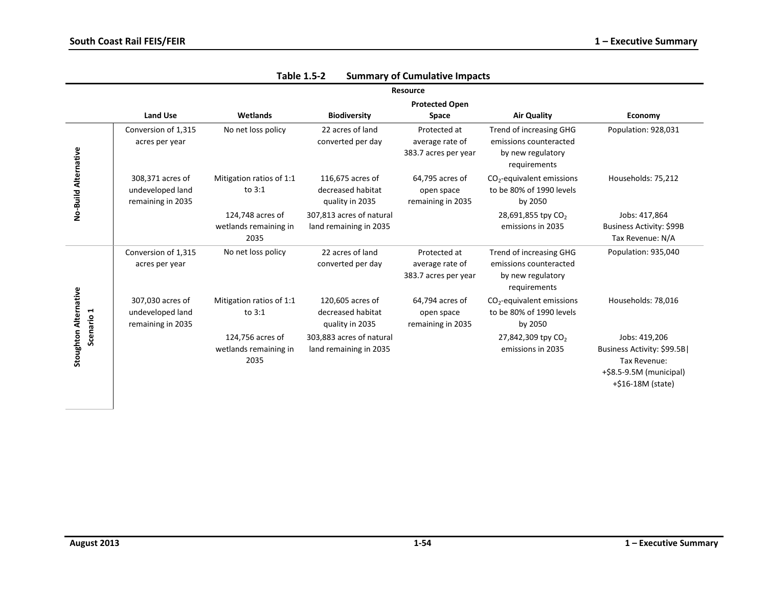|                              |                                                           |                                                   |                                                          | <b>Resource</b>                                         |                                                                                        |                                                                                                             |
|------------------------------|-----------------------------------------------------------|---------------------------------------------------|----------------------------------------------------------|---------------------------------------------------------|----------------------------------------------------------------------------------------|-------------------------------------------------------------------------------------------------------------|
|                              | <b>Land Use</b>                                           | Wetlands                                          | <b>Biodiversity</b>                                      | <b>Protected Open</b><br>Space                          | <b>Air Quality</b>                                                                     | Economy                                                                                                     |
|                              | Conversion of 1,315<br>acres per year                     | No net loss policy                                | 22 acres of land<br>converted per day                    | Protected at<br>average rate of<br>383.7 acres per year | Trend of increasing GHG<br>emissions counteracted<br>by new regulatory<br>requirements | Population: 928,031                                                                                         |
| No-Build Alternative         | 308,371 acres of<br>undeveloped land<br>remaining in 2035 | Mitigation ratios of 1:1<br>to $3:1$              | 116,675 acres of<br>decreased habitat<br>quality in 2035 | 64,795 acres of<br>open space<br>remaining in 2035      | $CO2$ -equivalent emissions<br>to be 80% of 1990 levels<br>by 2050                     | Households: 75,212                                                                                          |
|                              |                                                           | 124,748 acres of<br>wetlands remaining in<br>2035 | 307,813 acres of natural<br>land remaining in 2035       |                                                         | 28,691,855 tpy CO <sub>2</sub><br>emissions in 2035                                    | Jobs: 417,864<br>Business Activity: \$99B<br>Tax Revenue: N/A                                               |
|                              | Conversion of 1,315<br>acres per year                     | No net loss policy                                | 22 acres of land<br>converted per day                    | Protected at<br>average rate of<br>383.7 acres per year | Trend of increasing GHG<br>emissions counteracted<br>by new regulatory<br>requirements | Population: 935,040                                                                                         |
| Scenario 1                   | 307,030 acres of<br>undeveloped land<br>remaining in 2035 | Mitigation ratios of 1:1<br>to $3:1$              | 120,605 acres of<br>decreased habitat<br>quality in 2035 | 64,794 acres of<br>open space<br>remaining in 2035      | $CO2$ -equivalent emissions<br>to be 80% of 1990 levels<br>by 2050                     | Households: 78,016                                                                                          |
| <b>Stoughton Alternative</b> |                                                           | 124,756 acres of<br>wetlands remaining in<br>2035 | 303,883 acres of natural<br>land remaining in 2035       |                                                         | 27,842,309 tpy CO <sub>2</sub><br>emissions in 2035                                    | Jobs: 419,206<br>Business Activity: \$99.5B<br>Tax Revenue:<br>+\$8.5-9.5M (municipal)<br>+\$16-18M (state) |

| Table 1.5-2 |  | <b>Summary of Cumulative Impacts</b> |  |
|-------------|--|--------------------------------------|--|
|-------------|--|--------------------------------------|--|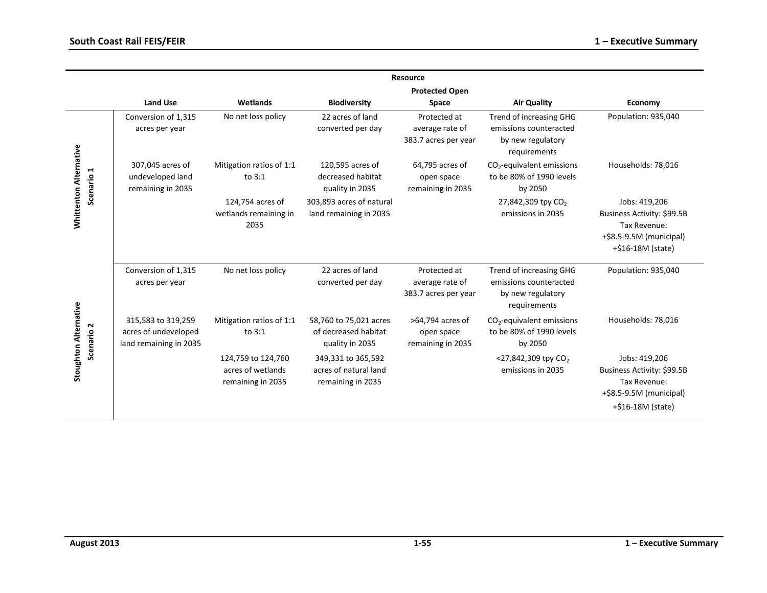|                                                       |                                                                      |                                                              |                                                                   | <b>Resource</b>                                         |                                                                                        |                                                                                                             |
|-------------------------------------------------------|----------------------------------------------------------------------|--------------------------------------------------------------|-------------------------------------------------------------------|---------------------------------------------------------|----------------------------------------------------------------------------------------|-------------------------------------------------------------------------------------------------------------|
|                                                       | <b>Land Use</b>                                                      | Wetlands                                                     | <b>Biodiversity</b>                                               | <b>Protected Open</b><br>Space                          | <b>Air Quality</b>                                                                     | Economy                                                                                                     |
|                                                       | Conversion of 1,315<br>acres per year                                | No net loss policy                                           | 22 acres of land<br>converted per day                             | Protected at<br>average rate of<br>383.7 acres per year | Trend of increasing GHG<br>emissions counteracted<br>by new regulatory<br>requirements | Population: 935,040                                                                                         |
| Scenario 1                                            | 307,045 acres of<br>undeveloped land<br>remaining in 2035            | Mitigation ratios of 1:1<br>to $3:1$                         | 120,595 acres of<br>decreased habitat<br>quality in 2035          | 64,795 acres of<br>open space<br>remaining in 2035      | $CO2$ -equivalent emissions<br>to be 80% of 1990 levels<br>by 2050                     | Households: 78,016                                                                                          |
| <b>Whittenton Alternative</b>                         |                                                                      | 124,754 acres of<br>wetlands remaining in<br>2035            | 303,893 acres of natural<br>land remaining in 2035                |                                                         | 27,842,309 tpy CO <sub>2</sub><br>emissions in 2035                                    | Jobs: 419,206<br>Business Activity: \$99.5B<br>Tax Revenue:<br>+\$8.5-9.5M (municipal)<br>+\$16-18M (state) |
|                                                       | Conversion of 1,315<br>acres per year                                | No net loss policy                                           | 22 acres of land<br>converted per day                             | Protected at<br>average rate of<br>383.7 acres per year | Trend of increasing GHG<br>emissions counteracted<br>by new regulatory<br>requirements | Population: 935,040                                                                                         |
| <b>Stoughton Alternative</b><br>Scenario <sub>2</sub> | 315,583 to 319,259<br>acres of undeveloped<br>land remaining in 2035 | Mitigation ratios of 1:1<br>to $3:1$                         | 58,760 to 75,021 acres<br>of decreased habitat<br>quality in 2035 | >64,794 acres of<br>open space<br>remaining in 2035     | $CO2$ -equivalent emissions<br>to be 80% of 1990 levels<br>by 2050                     | Households: 78,016                                                                                          |
|                                                       |                                                                      | 124,759 to 124,760<br>acres of wetlands<br>remaining in 2035 | 349,331 to 365,592<br>acres of natural land<br>remaining in 2035  |                                                         | <27,842,309 tpy $CO2$<br>emissions in 2035                                             | Jobs: 419,206<br>Business Activity: \$99.5B<br>Tax Revenue:<br>+\$8.5-9.5M (municipal)<br>+\$16-18M (state) |